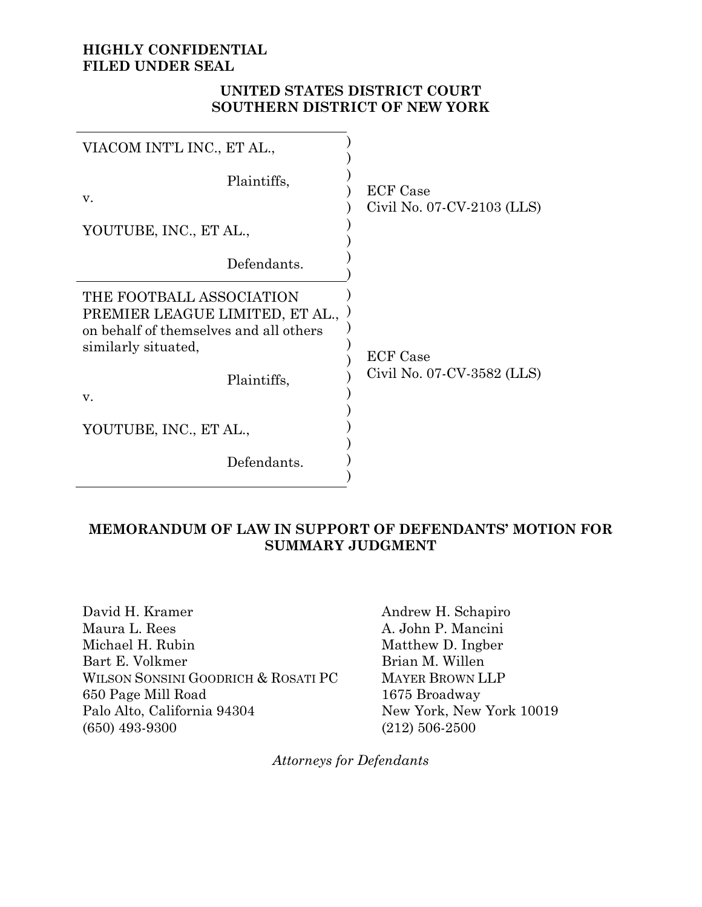## **HIGHLY CONFIDENTIAL FILED UNDER SEAL**

## **UNITED STATES DISTRICT COURT SOUTHERN DISTRICT OF NEW YORK**

| VIACOM INT'L INC., ET AL.,                                                                                                                        |                                               |  |
|---------------------------------------------------------------------------------------------------------------------------------------------------|-----------------------------------------------|--|
| Plaintiffs,<br>v.                                                                                                                                 | <b>ECF</b> Case<br>Civil No. 07-CV-2103 (LLS) |  |
| YOUTUBE, INC., ET AL.,                                                                                                                            |                                               |  |
| Defendants.                                                                                                                                       |                                               |  |
| THE FOOTBALL ASSOCIATION<br>PREMIER LEAGUE LIMITED, ET AL.,<br>on behalf of themselves and all others<br>similarly situated,<br>Plaintiffs,<br>V. | <b>ECF</b> Case<br>Civil No. 07-CV-3582 (LLS) |  |
| YOUTUBE, INC., ET AL.,                                                                                                                            |                                               |  |
| Defendants.                                                                                                                                       |                                               |  |

## **MEMORANDUM OF LAW IN SUPPORT OF DEFENDANTS' MOTION FOR SUMMARY JUDGMENT**

David H. Kramer Maura L. Rees Michael H. Rubin Bart E. Volkmer WILSON SONSINI GOODRICH & ROSATI PC 650 Page Mill Road Palo Alto, California 94304 (650) 493-9300

Andrew H. Schapiro A. John P. Mancini Matthew D. Ingber Brian M. Willen MAYER BROWN LLP 1675 Broadway New York, New York 10019 (212) 506-2500

*Attorneys for Defendants*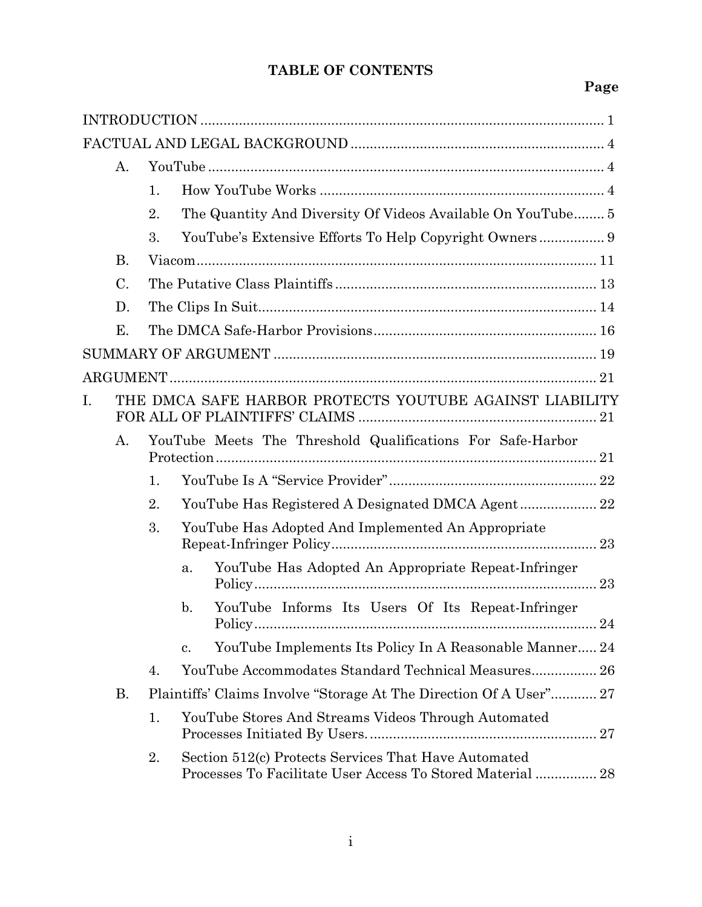# **TABLE OF CONTENTS**

# **Page**

|                                                                                                                                   | А.        |                |                                                                                                                    |
|-----------------------------------------------------------------------------------------------------------------------------------|-----------|----------------|--------------------------------------------------------------------------------------------------------------------|
|                                                                                                                                   |           | $\mathbf{1}$ . |                                                                                                                    |
|                                                                                                                                   |           | 2.             | The Quantity And Diversity Of Videos Available On YouTube 5                                                        |
|                                                                                                                                   |           | 3.             |                                                                                                                    |
|                                                                                                                                   | <b>B.</b> |                |                                                                                                                    |
| C.                                                                                                                                |           |                |                                                                                                                    |
| D.                                                                                                                                |           |                |                                                                                                                    |
|                                                                                                                                   | Е.        |                |                                                                                                                    |
|                                                                                                                                   |           |                |                                                                                                                    |
|                                                                                                                                   |           |                |                                                                                                                    |
| THE DMCA SAFE HARBOR PROTECTS YOUTUBE AGAINST LIABILITY<br>I.<br>YouTube Meets The Threshold Qualifications For Safe-Harbor<br>А. |           |                |                                                                                                                    |
|                                                                                                                                   |           |                |                                                                                                                    |
|                                                                                                                                   |           | 1.             |                                                                                                                    |
|                                                                                                                                   |           | 2.             |                                                                                                                    |
|                                                                                                                                   |           | 3.             | YouTube Has Adopted And Implemented An Appropriate                                                                 |
|                                                                                                                                   |           |                | YouTube Has Adopted An Appropriate Repeat-Infringer<br>a.                                                          |
|                                                                                                                                   |           |                | YouTube Informs Its Users Of Its Repeat-Infringer<br>$\mathbf b$ .                                                 |
|                                                                                                                                   |           |                | YouTube Implements Its Policy In A Reasonable Manner 24<br>c.                                                      |
|                                                                                                                                   |           | 4.             | YouTube Accommodates Standard Technical Measures 26                                                                |
|                                                                                                                                   | В.        |                | Plaintiffs' Claims Involve "Storage At The Direction Of A User" 27                                                 |
|                                                                                                                                   |           | 1.             | YouTube Stores And Streams Videos Through Automated                                                                |
|                                                                                                                                   |           | 2.             | Section 512(c) Protects Services That Have Automated<br>Processes To Facilitate User Access To Stored Material  28 |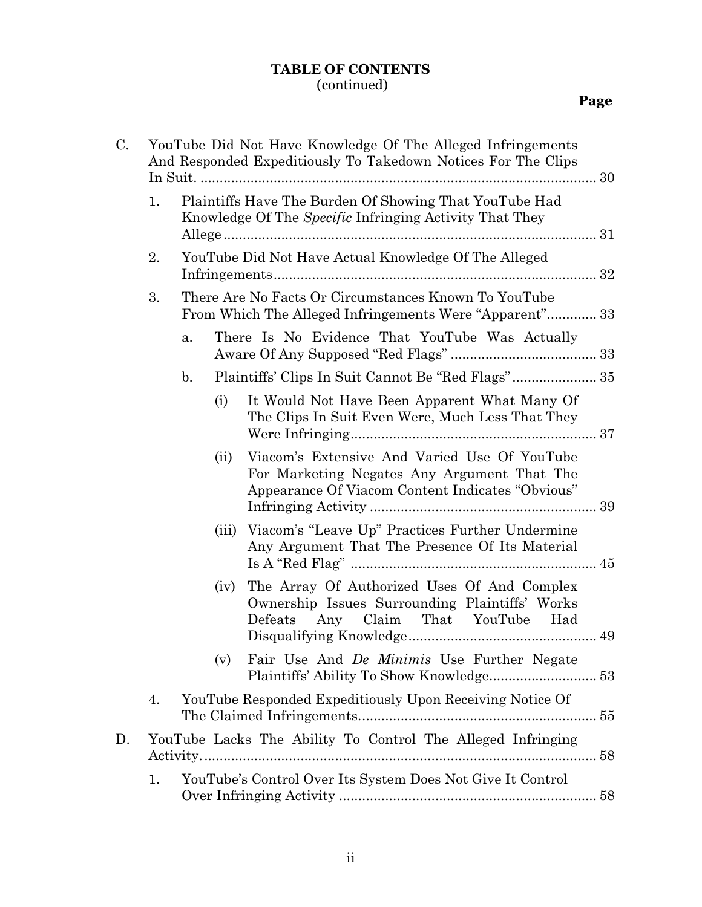# **TABLE OF CONTENTS** (continued)

| C. | YouTube Did Not Have Knowledge Of The Alleged Infringements<br>And Responded Expeditiously To Takedown Notices For The Clips |                                                                                                                                                         |  |  |
|----|------------------------------------------------------------------------------------------------------------------------------|---------------------------------------------------------------------------------------------------------------------------------------------------------|--|--|
|    | 1.                                                                                                                           | Plaintiffs Have The Burden Of Showing That YouTube Had<br>Knowledge Of The Specific Infringing Activity That They                                       |  |  |
|    | 2.                                                                                                                           | YouTube Did Not Have Actual Knowledge Of The Alleged                                                                                                    |  |  |
|    | 3.                                                                                                                           | There Are No Facts Or Circumstances Known To YouTube<br>From Which The Alleged Infringements Were "Apparent" 33                                         |  |  |
|    |                                                                                                                              | There Is No Evidence That YouTube Was Actually<br>a.                                                                                                    |  |  |
|    |                                                                                                                              | Plaintiffs' Clips In Suit Cannot Be "Red Flags" 35<br>$\mathbf{b}$ .                                                                                    |  |  |
|    |                                                                                                                              | It Would Not Have Been Apparent What Many Of<br>(i)<br>The Clips In Suit Even Were, Much Less That They                                                 |  |  |
|    |                                                                                                                              | Viacom's Extensive And Varied Use Of YouTube<br>(ii)<br>For Marketing Negates Any Argument That The<br>Appearance Of Viacom Content Indicates "Obvious" |  |  |
|    |                                                                                                                              | (iii) Viacom's "Leave Up" Practices Further Undermine<br>Any Argument That The Presence Of Its Material                                                 |  |  |
|    |                                                                                                                              | The Array Of Authorized Uses Of And Complex<br>(iv)<br>Ownership Issues Surrounding Plaintiffs' Works<br>Claim That YouTube Had<br>Defeats<br>Any       |  |  |
|    |                                                                                                                              | Fair Use And De Minimis Use Further Negate<br>(v)                                                                                                       |  |  |
|    | 4.                                                                                                                           | YouTube Responded Expeditiously Upon Receiving Notice Of                                                                                                |  |  |
| D. |                                                                                                                              | YouTube Lacks The Ability To Control The Alleged Infringing                                                                                             |  |  |
|    | 1.                                                                                                                           | YouTube's Control Over Its System Does Not Give It Control                                                                                              |  |  |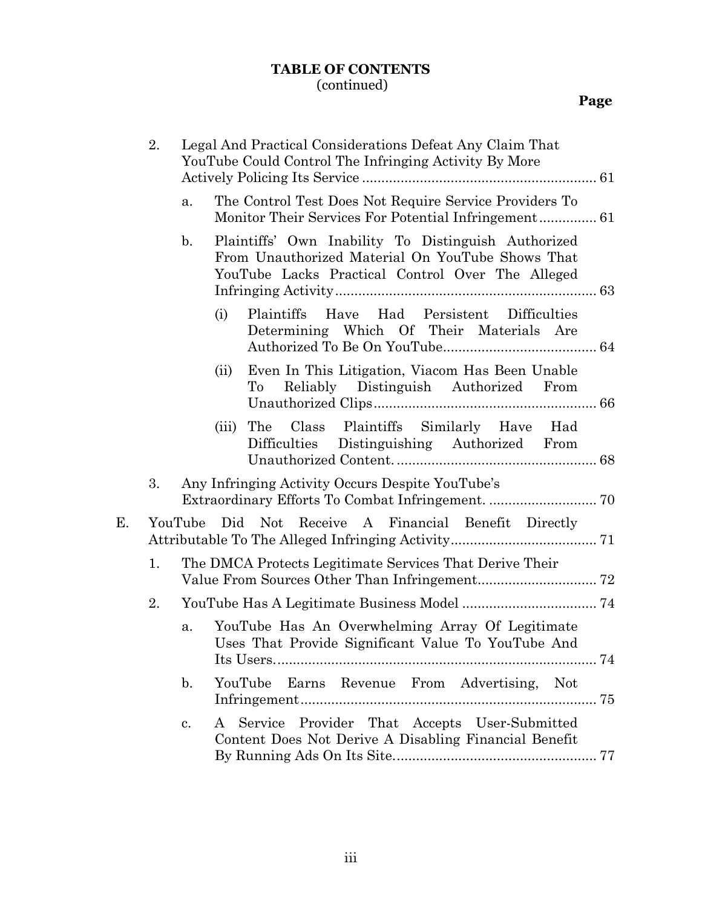## **TABLE OF CONTENTS** (continued)

| 2.<br>Legal And Practical Considerations Defeat Any Claim That<br>YouTube Could Control The Infringing Activity By More |    |                                                                                                                                                                               |
|-------------------------------------------------------------------------------------------------------------------------|----|-------------------------------------------------------------------------------------------------------------------------------------------------------------------------------|
|                                                                                                                         |    | The Control Test Does Not Require Service Providers To<br>a.                                                                                                                  |
|                                                                                                                         |    | Plaintiffs' Own Inability To Distinguish Authorized<br>$\mathbf{b}$ .<br>From Unauthorized Material On YouTube Shows That<br>YouTube Lacks Practical Control Over The Alleged |
|                                                                                                                         |    | Have Had Persistent Difficulties<br>(i)<br>Plaintiffs<br>Determining Which Of Their Materials Are                                                                             |
|                                                                                                                         |    | Even In This Litigation, Viacom Has Been Unable<br>(ii)<br>Reliably Distinguish Authorized From<br>To                                                                         |
|                                                                                                                         |    | Class Plaintiffs Similarly Have Had<br>The<br>(iii)<br>Difficulties Distinguishing Authorized From                                                                            |
|                                                                                                                         | 3. | Any Infringing Activity Occurs Despite YouTube's                                                                                                                              |
| Е.                                                                                                                      |    | YouTube Did Not Receive A Financial Benefit Directly                                                                                                                          |
|                                                                                                                         | 1. | The DMCA Protects Legitimate Services That Derive Their                                                                                                                       |
|                                                                                                                         | 2. |                                                                                                                                                                               |
|                                                                                                                         |    | YouTube Has An Overwhelming Array Of Legitimate<br>a.<br>Uses That Provide Significant Value To YouTube And                                                                   |
|                                                                                                                         |    | YouTube Earns Revenue From Advertising, Not<br>$\mathbf{b}$ .                                                                                                                 |
|                                                                                                                         |    | Service Provider That Accepts User-Submitted<br>A<br>c.<br>Content Does Not Derive A Disabling Financial Benefit                                                              |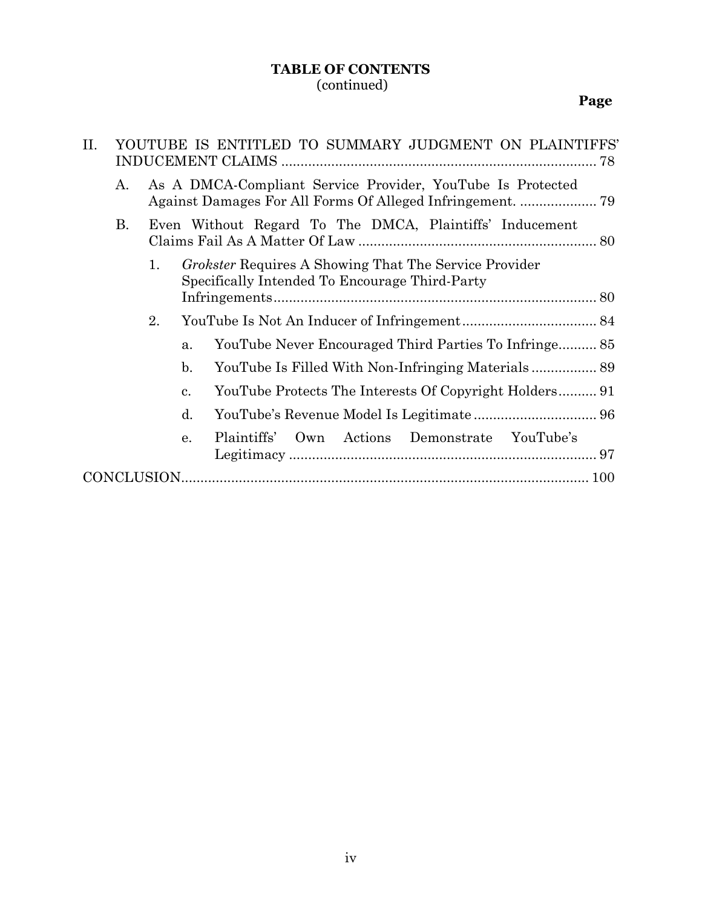## **TABLE OF CONTENTS** (continued)

# **Page**

| II.                                                                                                                        | YOUTUBE IS ENTITLED TO SUMMARY JUDGMENT ON PLAINTIFFS' |                                                         |                                                              |  |
|----------------------------------------------------------------------------------------------------------------------------|--------------------------------------------------------|---------------------------------------------------------|--------------------------------------------------------------|--|
|                                                                                                                            | А.                                                     |                                                         | As A DMCA-Compliant Service Provider, YouTube Is Protected   |  |
|                                                                                                                            | В.                                                     | Even Without Regard To The DMCA, Plaintiffs' Inducement |                                                              |  |
| <i>Grokster</i> Requires A Showing That The Service Provider<br>1.<br>Specifically Intended To Encourage Third-Party<br>2. |                                                        |                                                         |                                                              |  |
|                                                                                                                            |                                                        |                                                         |                                                              |  |
|                                                                                                                            |                                                        |                                                         |                                                              |  |
|                                                                                                                            | $\mathbf b$ .                                          |                                                         |                                                              |  |
|                                                                                                                            |                                                        |                                                         | YouTube Protects The Interests Of Copyright Holders 91<br>c. |  |
|                                                                                                                            |                                                        |                                                         | $\mathbf{d}$ .                                               |  |
|                                                                                                                            |                                                        |                                                         | Actions Demonstrate YouTube's<br>Plaintiffs'<br>Own<br>e.    |  |
|                                                                                                                            |                                                        |                                                         |                                                              |  |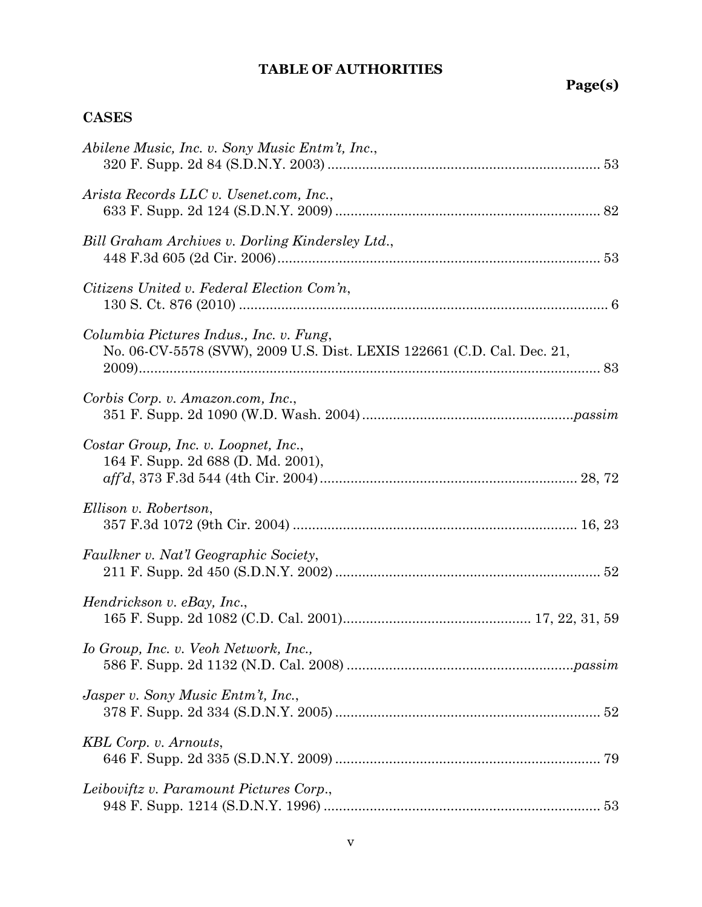# **TABLE OF AUTHORITIES**

**Page(s)**

# **CASES**

| Abilene Music, Inc. v. Sony Music Entm't, Inc.,                                                                   |
|-------------------------------------------------------------------------------------------------------------------|
| Arista Records LLC v. Usenet.com, Inc.,                                                                           |
| Bill Graham Archives v. Dorling Kindersley Ltd.,                                                                  |
| Citizens United v. Federal Election Com'n,                                                                        |
| Columbia Pictures Indus., Inc. v. Fung,<br>No. 06-CV-5578 (SVW), 2009 U.S. Dist. LEXIS 122661 (C.D. Cal. Dec. 21, |
| Corbis Corp. v. Amazon.com, Inc.,                                                                                 |
| Costar Group, Inc. v. Loopnet, Inc.,<br>164 F. Supp. 2d 688 (D. Md. 2001),                                        |
| Ellison v. Robertson,                                                                                             |
| Faulkner v. Nat'l Geographic Society,                                                                             |
| Hendrickson v. eBay, Inc.,                                                                                        |
| Io Group, Inc. v. Veoh Network, Inc.,                                                                             |
| Jasper v. Sony Music Entm't, Inc.,                                                                                |
| KBL Corp. v. Arnouts,                                                                                             |
| Leiboviftz v. Paramount Pictures Corp.,                                                                           |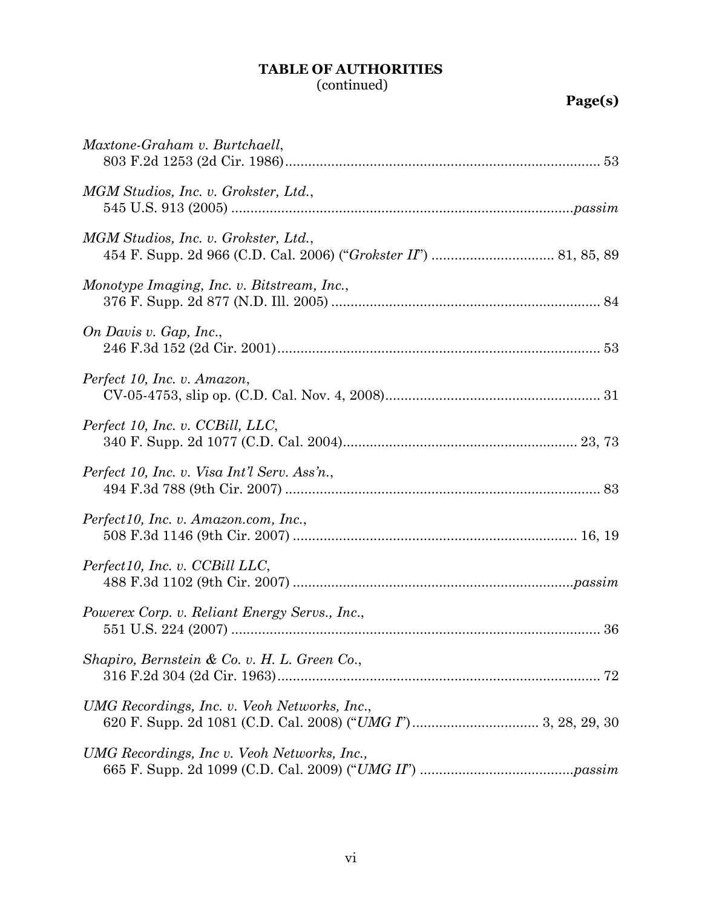# **TABLE OF AUTHORITIES**

# (continued)

| Maxtone-Graham v. Burtchaell,                       |
|-----------------------------------------------------|
| MGM Studios, Inc. v. Grokster, Ltd.,                |
| MGM Studios, Inc. v. Grokster, Ltd.,                |
| Monotype Imaging, Inc. v. Bitstream, Inc.,          |
| On Davis v. Gap, Inc.,                              |
| Perfect 10, Inc. v. Amazon,                         |
| Perfect 10, Inc. v. CCBill, LLC,                    |
| Perfect 10, Inc. v. Visa Int'l Serv. Ass'n.,        |
| Perfect10, Inc. v. Amazon.com, Inc.,                |
| Perfect10, Inc. v. CCBill LLC,                      |
| Powerex Corp. v. Reliant Energy Servs., Inc.,<br>36 |
| Shapiro, Bernstein & Co. v. H. L. Green Co.,        |
| UMG Recordings, Inc. v. Veoh Networks, Inc.,        |
| UMG Recordings, Inc v. Veoh Networks, Inc.,         |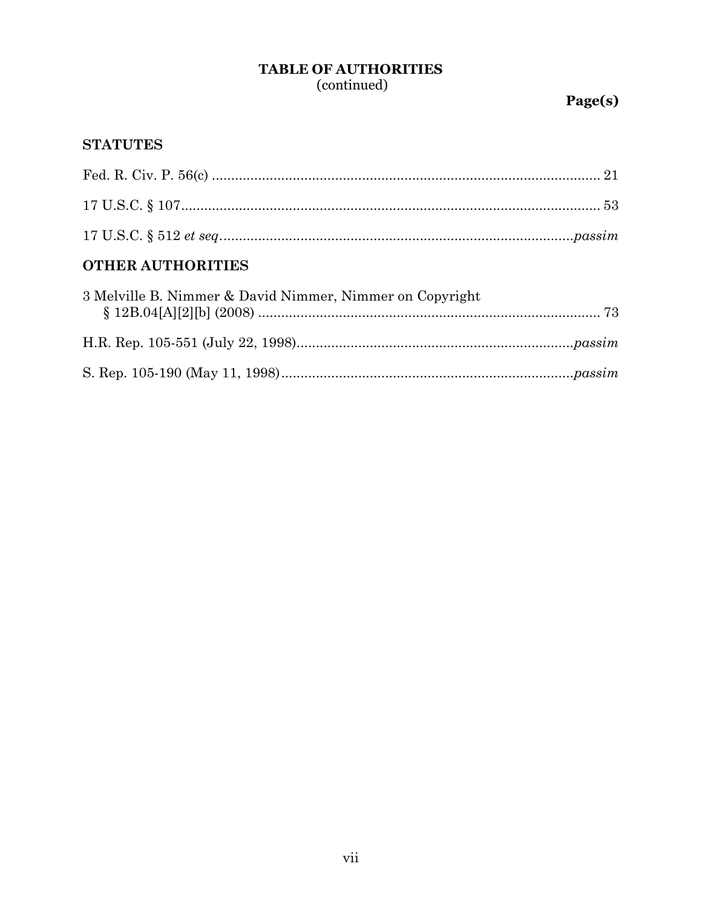# **TABLE OF AUTHORITIES**

(continued)

# **STATUTES**

| OMILED ATIMILODIAIRC |  |
|----------------------|--|
|                      |  |
|                      |  |
|                      |  |

## **OTHER AUTHORITIES**

| 3 Melville B. Nimmer & David Nimmer, Nimmer on Copyright |  |
|----------------------------------------------------------|--|
|                                                          |  |
|                                                          |  |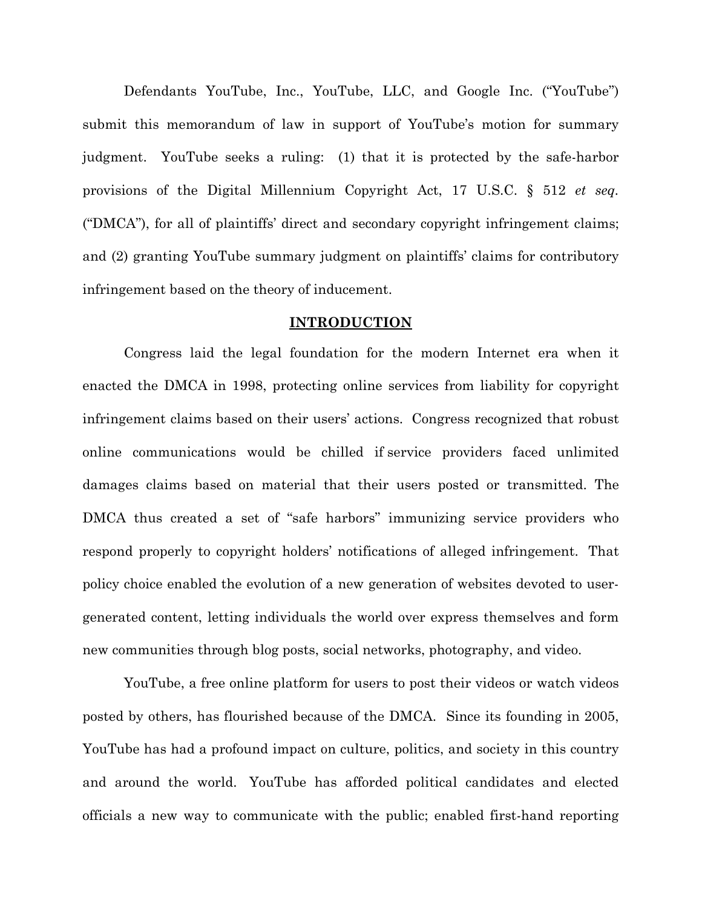Defendants YouTube, Inc., YouTube, LLC, and Google Inc. ("YouTube") submit this memorandum of law in support of YouTube's motion for summary judgment. YouTube seeks a ruling: (1) that it is protected by the safe-harbor provisions of the Digital Millennium Copyright Act, 17 U.S.C. § 512 *et seq.* ("DMCA"), for all of plaintiffs' direct and secondary copyright infringement claims; and (2) granting YouTube summary judgment on plaintiffs' claims for contributory infringement based on the theory of inducement.

#### **INTRODUCTION**

Congress laid the legal foundation for the modern Internet era when it enacted the DMCA in 1998, protecting online services from liability for copyright infringement claims based on their users' actions. Congress recognized that robust online communications would be chilled if service providers faced unlimited damages claims based on material that their users posted or transmitted. The DMCA thus created a set of "safe harbors" immunizing service providers who respond properly to copyright holders' notifications of alleged infringement. That policy choice enabled the evolution of a new generation of websites devoted to usergenerated content, letting individuals the world over express themselves and form new communities through blog posts, social networks, photography, and video.

YouTube, a free online platform for users to post their videos or watch videos posted by others, has flourished because of the DMCA. Since its founding in 2005, YouTube has had a profound impact on culture, politics, and society in this country and around the world. YouTube has afforded political candidates and elected officials a new way to communicate with the public; enabled first-hand reporting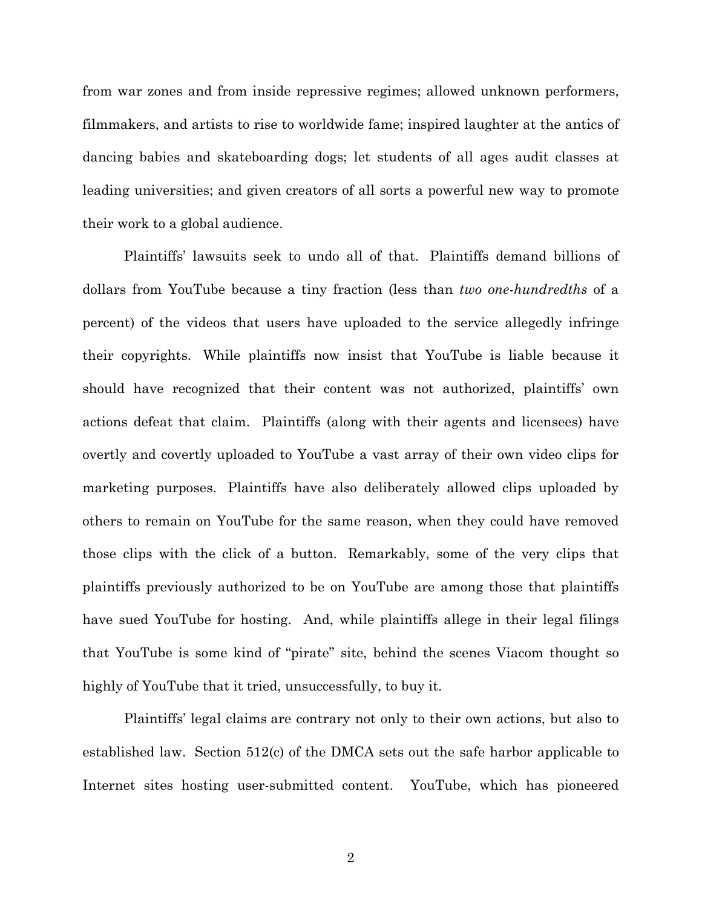from war zones and from inside repressive regimes; allowed unknown performers, filmmakers, and artists to rise to worldwide fame; inspired laughter at the antics of dancing babies and skateboarding dogs; let students of all ages audit classes at leading universities; and given creators of all sorts a powerful new way to promote their work to a global audience.

Plaintiffs' lawsuits seek to undo all of that. Plaintiffs demand billions of dollars from YouTube because a tiny fraction (less than *two one-hundredths* of a percent) of the videos that users have uploaded to the service allegedly infringe their copyrights. While plaintiffs now insist that YouTube is liable because it should have recognized that their content was not authorized, plaintiffs' own actions defeat that claim. Plaintiffs (along with their agents and licensees) have overtly and covertly uploaded to YouTube a vast array of their own video clips for marketing purposes. Plaintiffs have also deliberately allowed clips uploaded by others to remain on YouTube for the same reason, when they could have removed those clips with the click of a button. Remarkably, some of the very clips that plaintiffs previously authorized to be on YouTube are among those that plaintiffs have sued YouTube for hosting. And, while plaintiffs allege in their legal filings that YouTube is some kind of "pirate" site, behind the scenes Viacom thought so highly of YouTube that it tried, unsuccessfully, to buy it.

Plaintiffs' legal claims are contrary not only to their own actions, but also to established law. Section 512(c) of the DMCA sets out the safe harbor applicable to Internet sites hosting user-submitted content. YouTube, which has pioneered

2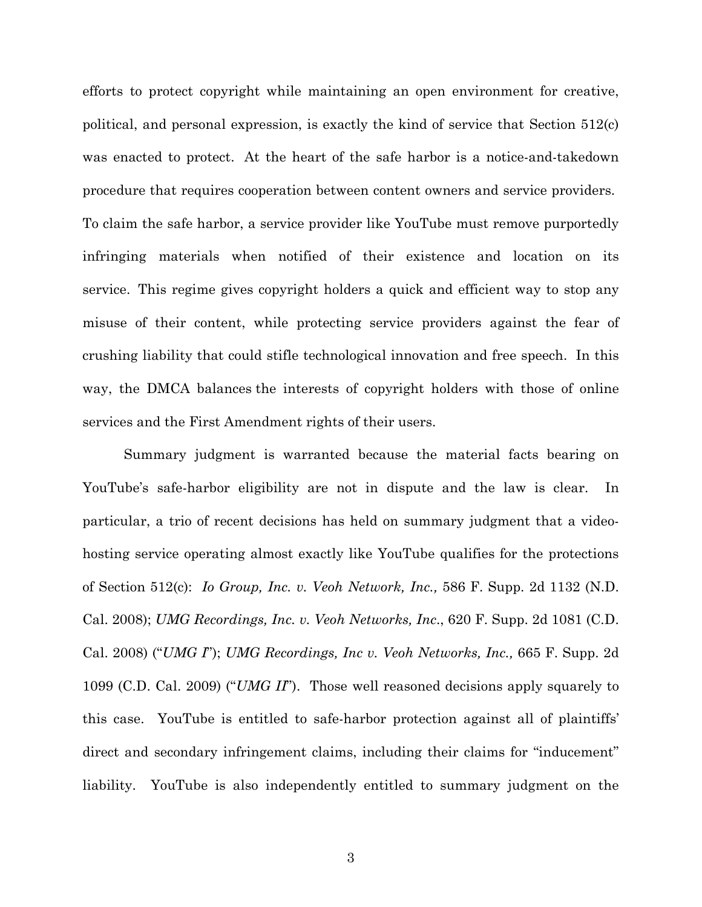efforts to protect copyright while maintaining an open environment for creative, political, and personal expression, is exactly the kind of service that Section 512(c) was enacted to protect. At the heart of the safe harbor is a notice-and-takedown procedure that requires cooperation between content owners and service providers. To claim the safe harbor, a service provider like YouTube must remove purportedly infringing materials when notified of their existence and location on its service. This regime gives copyright holders a quick and efficient way to stop any misuse of their content, while protecting service providers against the fear of crushing liability that could stifle technological innovation and free speech. In this way, the DMCA balances the interests of copyright holders with those of online services and the First Amendment rights of their users.

Summary judgment is warranted because the material facts bearing on YouTube's safe-harbor eligibility are not in dispute and the law is clear. In particular, a trio of recent decisions has held on summary judgment that a videohosting service operating almost exactly like YouTube qualifies for the protections of Section 512(c): *Io Group, Inc. v. Veoh Network, Inc.,* 586 F. Supp. 2d 1132 (N.D. Cal. 2008); *UMG Recordings, Inc. v. Veoh Networks, Inc*., 620 F. Supp. 2d 1081 (C.D. Cal. 2008) ("*UMG I*"); *UMG Recordings, Inc v. Veoh Networks, Inc.,* 665 F. Supp. 2d 1099 (C.D. Cal. 2009) ("*UMG II*"). Those well reasoned decisions apply squarely to this case. YouTube is entitled to safe-harbor protection against all of plaintiffs' direct and secondary infringement claims, including their claims for "inducement" liability. YouTube is also independently entitled to summary judgment on the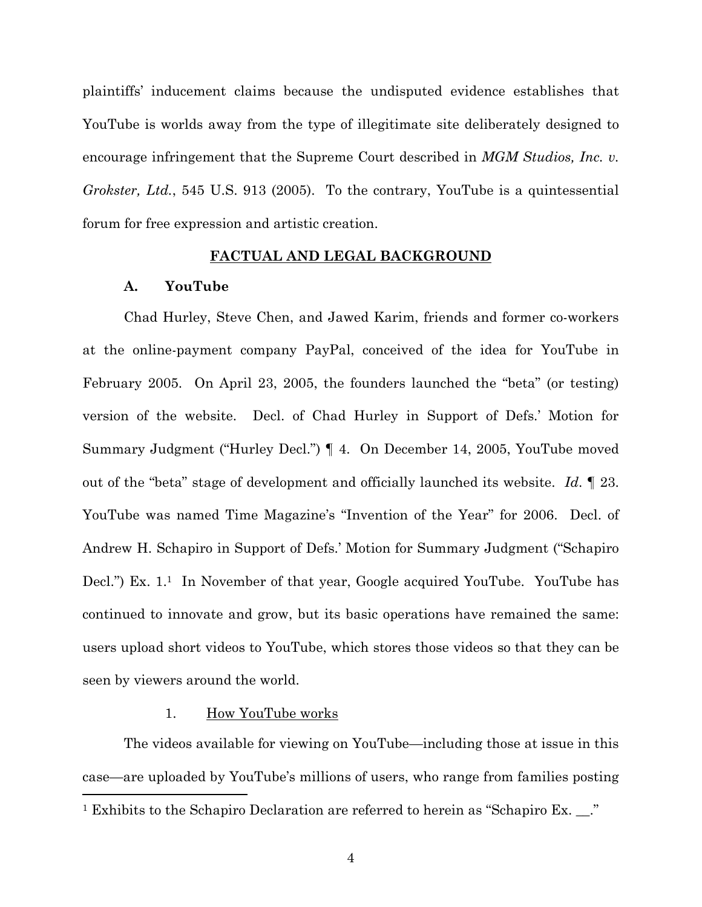plaintiffs' inducement claims because the undisputed evidence establishes that YouTube is worlds away from the type of illegitimate site deliberately designed to encourage infringement that the Supreme Court described in *MGM Studios, Inc. v. Grokster, Ltd.*, 545 U.S. 913 (2005). To the contrary, YouTube is a quintessential forum for free expression and artistic creation.

#### **FACTUAL AND LEGAL BACKGROUND**

### **A. YouTube**

Chad Hurley, Steve Chen, and Jawed Karim, friends and former co-workers at the online-payment company PayPal, conceived of the idea for YouTube in February 2005. On April 23, 2005, the founders launched the "beta" (or testing) version of the website. Decl. of Chad Hurley in Support of Defs.' Motion for Summary Judgment ("Hurley Decl.") ¶ 4. On December 14, 2005, YouTube moved out of the "beta" stage of development and officially launched its website. *Id*. ¶ 23. YouTube was named Time Magazine's "Invention of the Year" for 2006. Decl. of Andrew H. Schapiro in Support of Defs.' Motion for Summary Judgment ("Schapiro Decl.") Ex. 1.<sup>1</sup> In November of that year, Google acquired YouTube. YouTube has continued to innovate and grow, but its basic operations have remained the same: users upload short videos to YouTube, which stores those videos so that they can be seen by viewers around the world.

#### 1. How YouTube works

The videos available for viewing on YouTube—including those at issue in this case—are uploaded by YouTube's millions of users, who range from families posting <sup>1</sup> Exhibits to the Schapiro Declaration are referred to herein as "Schapiro Ex. \_\_."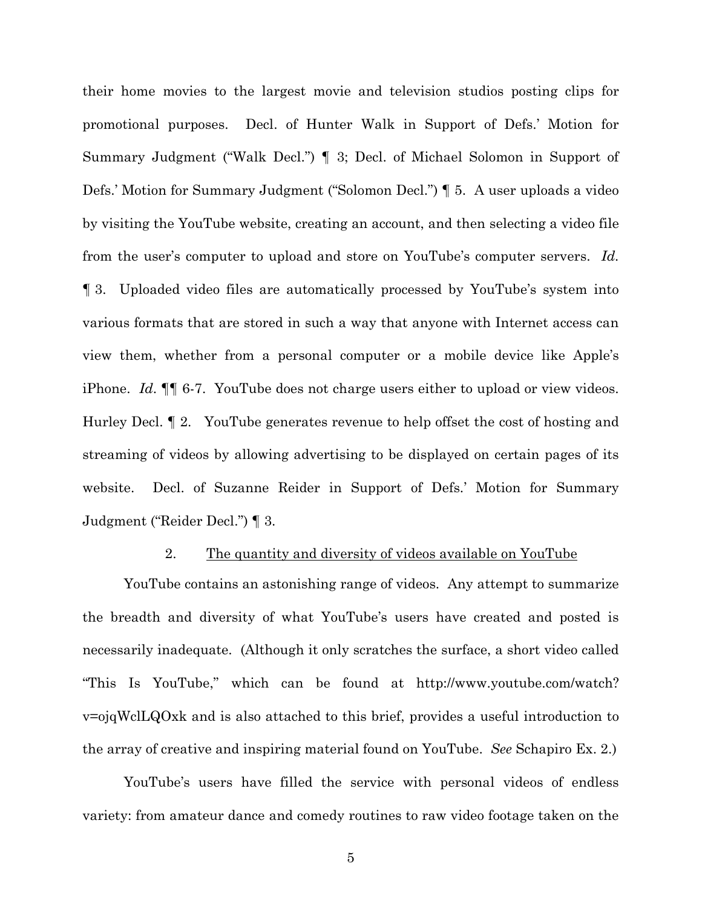their home movies to the largest movie and television studios posting clips for promotional purposes. Decl. of Hunter Walk in Support of Defs.' Motion for Summary Judgment ("Walk Decl.") ¶ 3; Decl. of Michael Solomon in Support of Defs.' Motion for Summary Judgment ("Solomon Decl.") ¶ 5. A user uploads a video by visiting the YouTube website, creating an account, and then selecting a video file from the user's computer to upload and store on YouTube's computer servers. *Id.* ¶ 3. Uploaded video files are automatically processed by YouTube's system into various formats that are stored in such a way that anyone with Internet access can view them, whether from a personal computer or a mobile device like Apple's iPhone. *Id*. ¶¶ 6-7. YouTube does not charge users either to upload or view videos. Hurley Decl. ¶ 2. YouTube generates revenue to help offset the cost of hosting and streaming of videos by allowing advertising to be displayed on certain pages of its website. Decl. of Suzanne Reider in Support of Defs.' Motion for Summary Judgment ("Reider Decl.") ¶ 3.

#### 2. The quantity and diversity of videos available on YouTube

YouTube contains an astonishing range of videos. Any attempt to summarize the breadth and diversity of what YouTube's users have created and posted is necessarily inadequate. (Although it only scratches the surface, a short video called "This Is YouTube," which can be found at http://www.youtube.com/watch? v=ojqWclLQOxk and is also attached to this brief, provides a useful introduction to the array of creative and inspiring material found on YouTube. *See* Schapiro Ex. 2.)

YouTube's users have filled the service with personal videos of endless variety: from amateur dance and comedy routines to raw video footage taken on the

5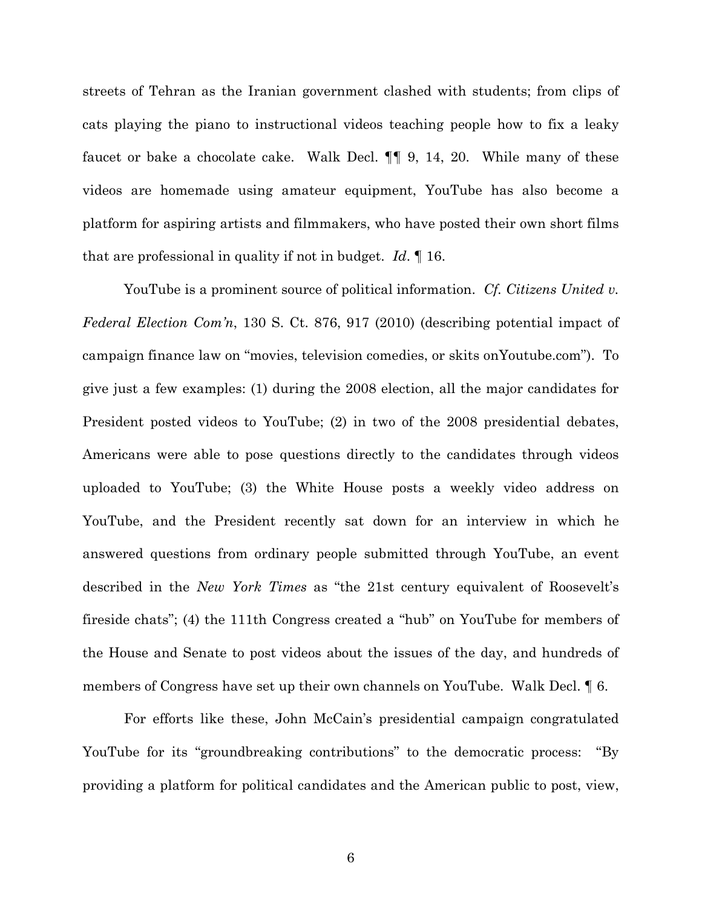streets of Tehran as the Iranian government clashed with students; from clips of cats playing the piano to instructional videos teaching people how to fix a leaky faucet or bake a chocolate cake. Walk Decl. ¶¶ 9, 14, 20. While many of these videos are homemade using amateur equipment, YouTube has also become a platform for aspiring artists and filmmakers, who have posted their own short films that are professional in quality if not in budget. *Id*. ¶ 16.

YouTube is a prominent source of political information. *Cf. Citizens United v. Federal Election Com'n*, 130 S. Ct. 876, 917 (2010) (describing potential impact of campaign finance law on "movies, television comedies, or skits onYoutube.com"). To give just a few examples: (1) during the 2008 election, all the major candidates for President posted videos to YouTube; (2) in two of the 2008 presidential debates, Americans were able to pose questions directly to the candidates through videos uploaded to YouTube; (3) the White House posts a weekly video address on YouTube, and the President recently sat down for an interview in which he answered questions from ordinary people submitted through YouTube, an event described in the *New York Times* as "the 21st century equivalent of Roosevelt's fireside chats"; (4) the 111th Congress created a "hub" on YouTube for members of the House and Senate to post videos about the issues of the day, and hundreds of members of Congress have set up their own channels on YouTube. Walk Decl. ¶ 6.

For efforts like these, John McCain's presidential campaign congratulated YouTube for its "groundbreaking contributions" to the democratic process: "By providing a platform for political candidates and the American public to post, view,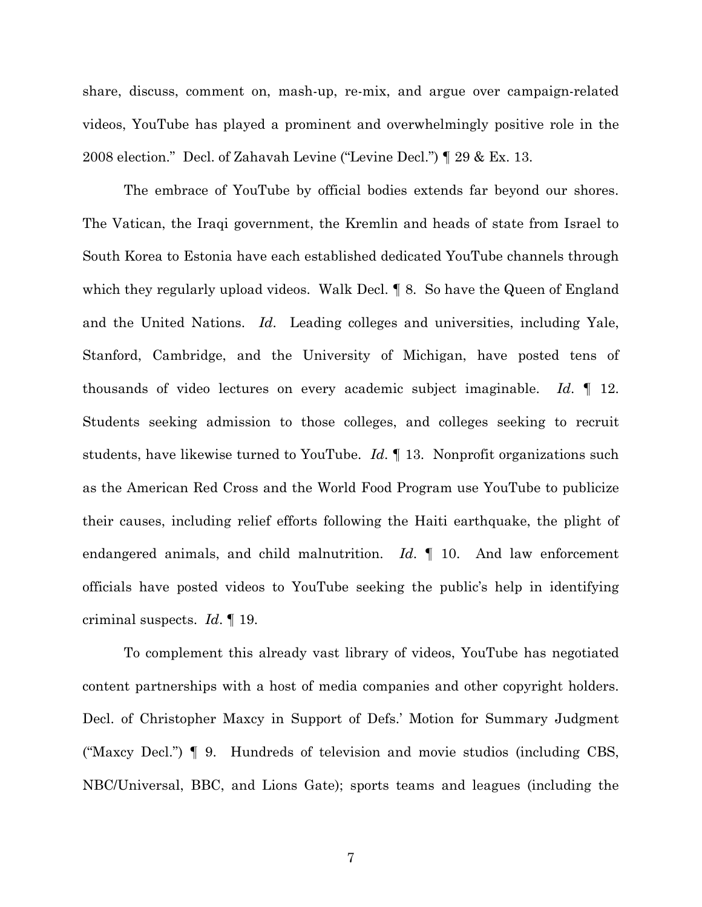share, discuss, comment on, mash-up, re-mix, and argue over campaign-related videos, YouTube has played a prominent and overwhelmingly positive role in the 2008 election." Decl. of Zahavah Levine ("Levine Decl.") ¶ 29 & Ex. 13.

The embrace of YouTube by official bodies extends far beyond our shores. The Vatican, the Iraqi government, the Kremlin and heads of state from Israel to South Korea to Estonia have each established dedicated YouTube channels through which they regularly upload videos. Walk Decl. 18. So have the Queen of England and the United Nations. *Id*. Leading colleges and universities, including Yale, Stanford, Cambridge, and the University of Michigan, have posted tens of thousands of video lectures on every academic subject imaginable. *Id*. ¶ 12. Students seeking admission to those colleges, and colleges seeking to recruit students, have likewise turned to YouTube. *Id*. ¶ 13. Nonprofit organizations such as the American Red Cross and the World Food Program use YouTube to publicize their causes, including relief efforts following the Haiti earthquake, the plight of endangered animals, and child malnutrition. *Id*. ¶ 10. And law enforcement officials have posted videos to YouTube seeking the public's help in identifying criminal suspects. *Id*. ¶ 19.

To complement this already vast library of videos, YouTube has negotiated content partnerships with a host of media companies and other copyright holders. Decl. of Christopher Maxcy in Support of Defs.' Motion for Summary Judgment ("Maxcy Decl.") ¶ 9. Hundreds of television and movie studios (including CBS, NBC/Universal, BBC, and Lions Gate); sports teams and leagues (including the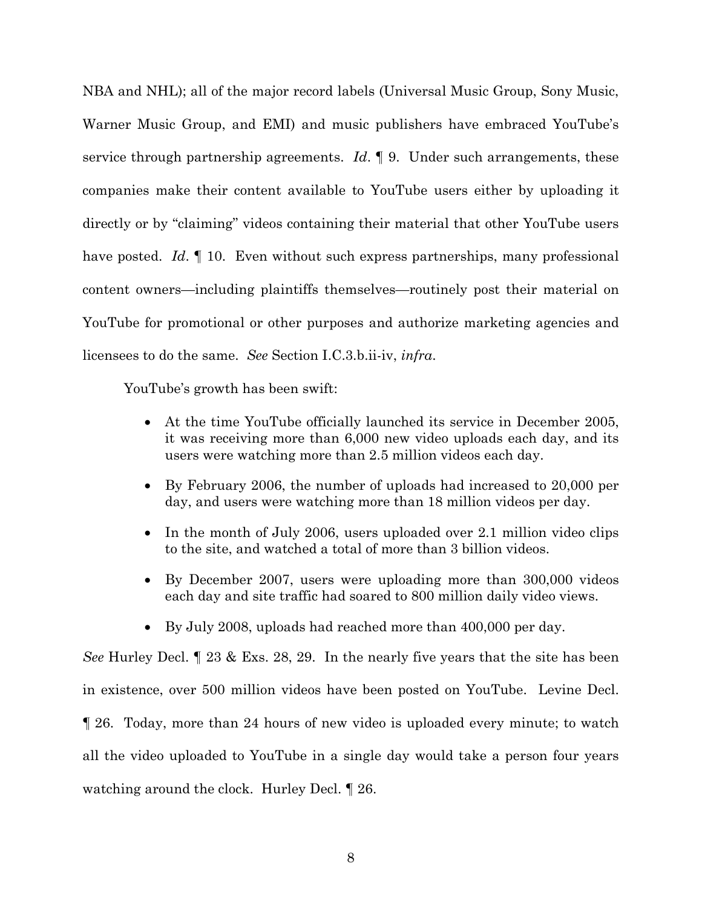NBA and NHL); all of the major record labels (Universal Music Group, Sony Music, Warner Music Group, and EMI) and music publishers have embraced YouTube's service through partnership agreements. *Id*. ¶ 9. Under such arrangements, these companies make their content available to YouTube users either by uploading it directly or by "claiming" videos containing their material that other YouTube users have posted. *Id*. 10. Even without such express partnerships, many professional content owners—including plaintiffs themselves—routinely post their material on YouTube for promotional or other purposes and authorize marketing agencies and licensees to do the same. *See* Section I.C.3.b.ii-iv, *infra*.

YouTube's growth has been swift:

- At the time YouTube officially launched its service in December 2005, it was receiving more than 6,000 new video uploads each day, and its users were watching more than 2.5 million videos each day.
- By February 2006, the number of uploads had increased to 20,000 per day, and users were watching more than 18 million videos per day.
- In the month of July 2006, users uploaded over 2.1 million video clips to the site, and watched a total of more than 3 billion videos.
- By December 2007, users were uploading more than 300,000 videos each day and site traffic had soared to 800 million daily video views.
- By July 2008, uploads had reached more than 400,000 per day.

*See* Hurley Decl. ¶ 23 & Exs. 28, 29. In the nearly five years that the site has been in existence, over 500 million videos have been posted on YouTube. Levine Decl. ¶ 26. Today, more than 24 hours of new video is uploaded every minute; to watch all the video uploaded to YouTube in a single day would take a person four years watching around the clock. Hurley Decl. ¶ 26.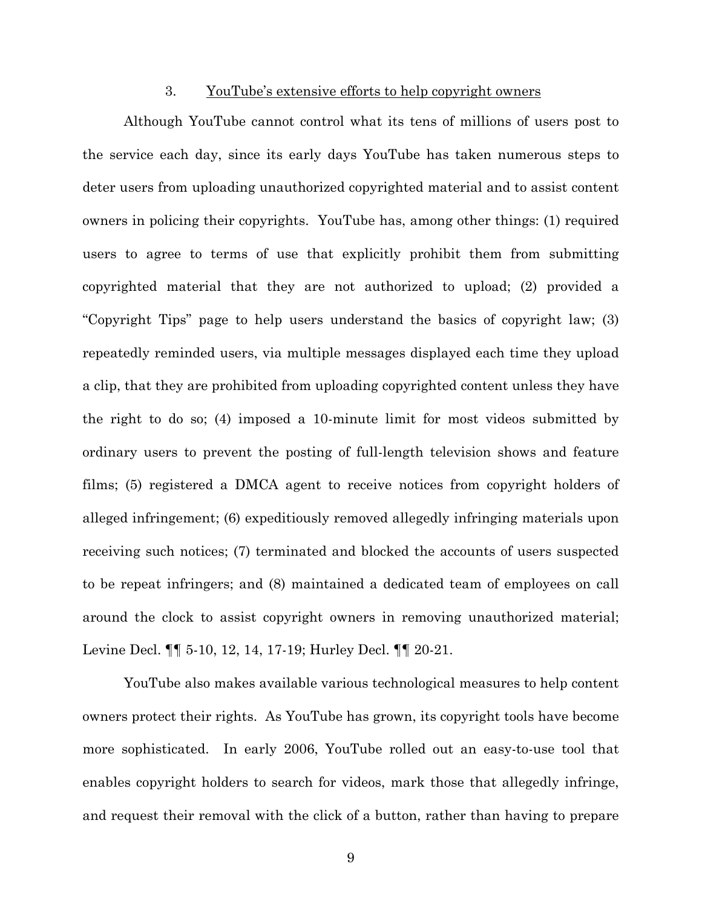#### 3. YouTube's extensive efforts to help copyright owners

Although YouTube cannot control what its tens of millions of users post to the service each day, since its early days YouTube has taken numerous steps to deter users from uploading unauthorized copyrighted material and to assist content owners in policing their copyrights. YouTube has, among other things: (1) required users to agree to terms of use that explicitly prohibit them from submitting copyrighted material that they are not authorized to upload; (2) provided a "Copyright Tips" page to help users understand the basics of copyright law; (3) repeatedly reminded users, via multiple messages displayed each time they upload a clip, that they are prohibited from uploading copyrighted content unless they have the right to do so; (4) imposed a 10-minute limit for most videos submitted by ordinary users to prevent the posting of full-length television shows and feature films; (5) registered a DMCA agent to receive notices from copyright holders of alleged infringement; (6) expeditiously removed allegedly infringing materials upon receiving such notices; (7) terminated and blocked the accounts of users suspected to be repeat infringers; and (8) maintained a dedicated team of employees on call around the clock to assist copyright owners in removing unauthorized material; Levine Decl. ¶¶ 5-10, 12, 14, 17-19; Hurley Decl. ¶¶ 20-21.

YouTube also makes available various technological measures to help content owners protect their rights. As YouTube has grown, its copyright tools have become more sophisticated. In early 2006, YouTube rolled out an easy-to-use tool that enables copyright holders to search for videos, mark those that allegedly infringe, and request their removal with the click of a button, rather than having to prepare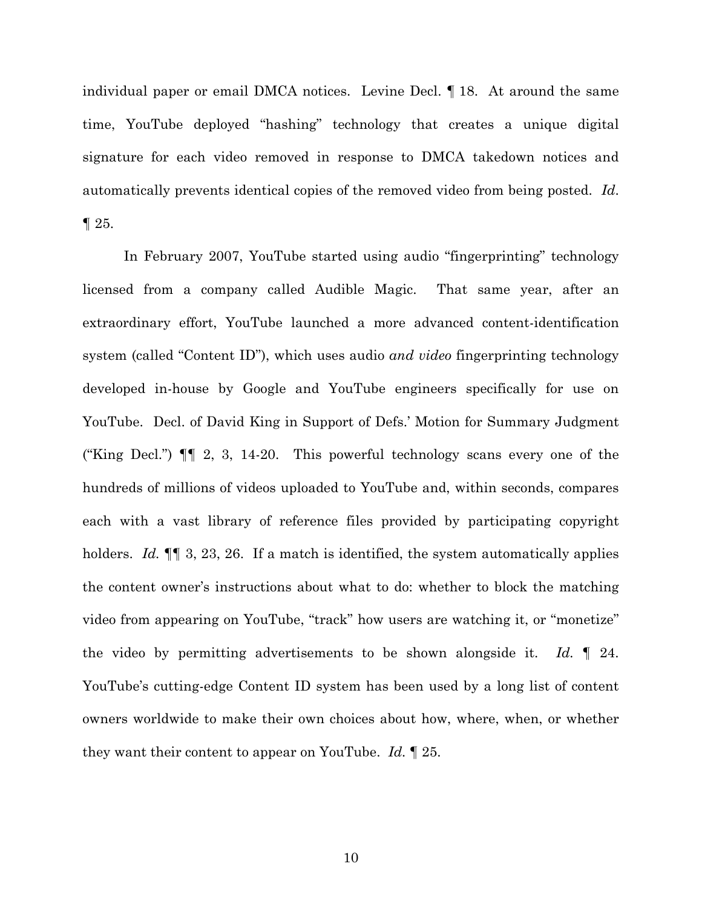individual paper or email DMCA notices. Levine Decl. ¶ 18. At around the same time, YouTube deployed "hashing" technology that creates a unique digital signature for each video removed in response to DMCA takedown notices and automatically prevents identical copies of the removed video from being posted. *Id*.  $\P$  25.

In February 2007, YouTube started using audio "fingerprinting" technology licensed from a company called Audible Magic. That same year, after an extraordinary effort, YouTube launched a more advanced content-identification system (called "Content ID"), which uses audio *and video* fingerprinting technology developed in-house by Google and YouTube engineers specifically for use on YouTube. Decl. of David King in Support of Defs.' Motion for Summary Judgment ("King Decl.") ¶¶ 2, 3, 14-20. This powerful technology scans every one of the hundreds of millions of videos uploaded to YouTube and, within seconds, compares each with a vast library of reference files provided by participating copyright holders. *Id.*  $\P$  3, 23, 26. If a match is identified, the system automatically applies the content owner's instructions about what to do: whether to block the matching video from appearing on YouTube, "track" how users are watching it, or "monetize" the video by permitting advertisements to be shown alongside it. *Id.* ¶ 24. YouTube's cutting-edge Content ID system has been used by a long list of content owners worldwide to make their own choices about how, where, when, or whether they want their content to appear on YouTube. *Id.* ¶ 25.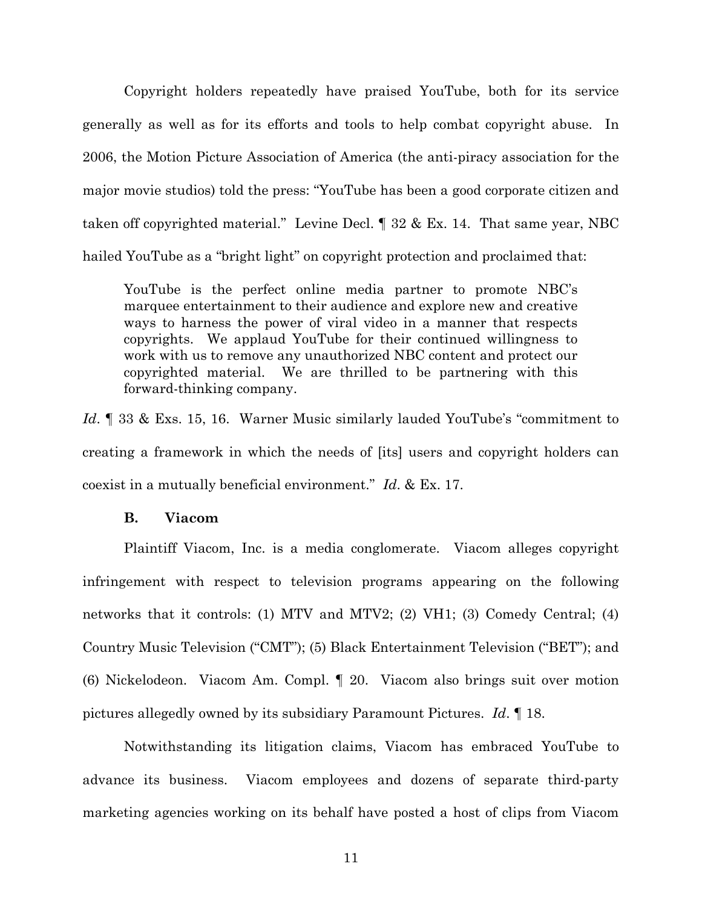Copyright holders repeatedly have praised YouTube, both for its service generally as well as for its efforts and tools to help combat copyright abuse. In 2006, the Motion Picture Association of America (the anti-piracy association for the major movie studios) told the press: "YouTube has been a good corporate citizen and taken off copyrighted material." Levine Decl. ¶ 32 & Ex. 14. That same year, NBC hailed YouTube as a "bright light" on copyright protection and proclaimed that:

YouTube is the perfect online media partner to promote NBC's marquee entertainment to their audience and explore new and creative ways to harness the power of viral video in a manner that respects copyrights. We applaud YouTube for their continued willingness to work with us to remove any unauthorized NBC content and protect our copyrighted material. We are thrilled to be partnering with this forward-thinking company.

*Id*. ¶ 33 & Exs. 15, 16. Warner Music similarly lauded YouTube's "commitment to creating a framework in which the needs of [its] users and copyright holders can coexist in a mutually beneficial environment." *Id*. & Ex. 17.

## **B. Viacom**

Plaintiff Viacom, Inc. is a media conglomerate. Viacom alleges copyright infringement with respect to television programs appearing on the following networks that it controls: (1) MTV and MTV2; (2) VH1; (3) Comedy Central; (4) Country Music Television ("CMT"); (5) Black Entertainment Television ("BET"); and (6) Nickelodeon. Viacom Am. Compl. ¶ 20. Viacom also brings suit over motion pictures allegedly owned by its subsidiary Paramount Pictures. *Id*. ¶ 18.

Notwithstanding its litigation claims, Viacom has embraced YouTube to advance its business. Viacom employees and dozens of separate third-party marketing agencies working on its behalf have posted a host of clips from Viacom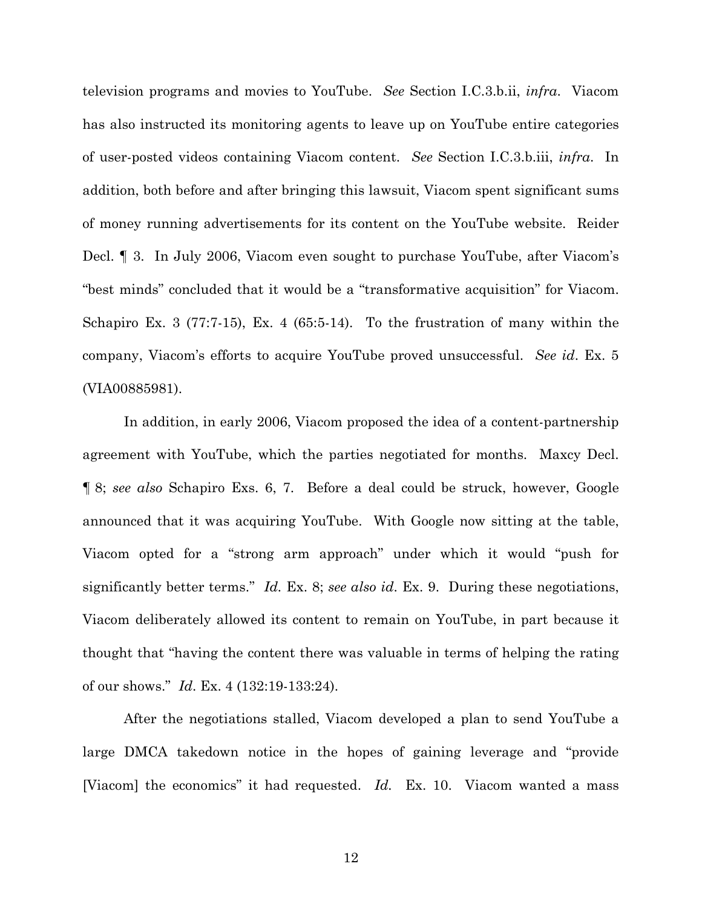television programs and movies to YouTube. *See* Section I.C.3.b.ii, *infra*. Viacom has also instructed its monitoring agents to leave up on YouTube entire categories of user-posted videos containing Viacom content. *See* Section I.C.3.b.iii, *infra*. In addition, both before and after bringing this lawsuit, Viacom spent significant sums of money running advertisements for its content on the YouTube website. Reider Decl. ¶ 3. In July 2006, Viacom even sought to purchase YouTube, after Viacom's "best minds" concluded that it would be a "transformative acquisition" for Viacom. Schapiro Ex. 3 (77:7-15), Ex. 4 (65:5-14). To the frustration of many within the company, Viacom's efforts to acquire YouTube proved unsuccessful. *See id*. Ex. 5 (VIA00885981).

In addition, in early 2006, Viacom proposed the idea of a content-partnership agreement with YouTube, which the parties negotiated for months. Maxcy Decl. ¶ 8; *see also* Schapiro Exs. 6, 7. Before a deal could be struck, however, Google announced that it was acquiring YouTube. With Google now sitting at the table, Viacom opted for a "strong arm approach" under which it would "push for significantly better terms." *Id.* Ex. 8; *see also id*. Ex. 9. During these negotiations, Viacom deliberately allowed its content to remain on YouTube, in part because it thought that "having the content there was valuable in terms of helping the rating of our shows." *Id*. Ex. 4 (132:19-133:24).

After the negotiations stalled, Viacom developed a plan to send YouTube a large DMCA takedown notice in the hopes of gaining leverage and "provide [Viacom] the economics" it had requested. *Id.* Ex. 10. Viacom wanted a mass

12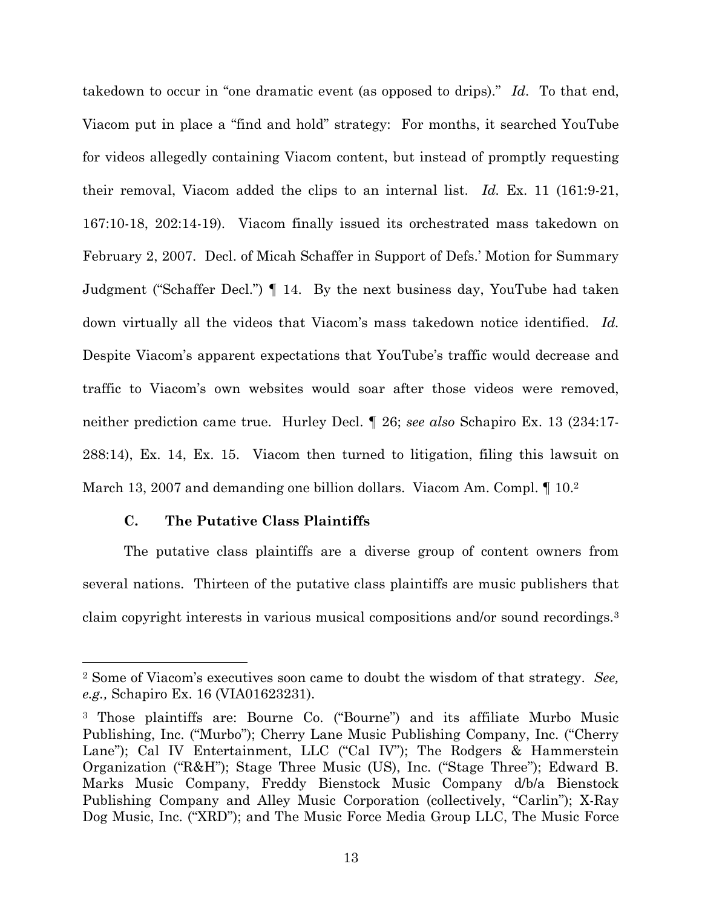takedown to occur in "one dramatic event (as opposed to drips)." *Id*. To that end, Viacom put in place a "find and hold" strategy: For months, it searched YouTube for videos allegedly containing Viacom content, but instead of promptly requesting their removal, Viacom added the clips to an internal list. *Id.* Ex. 11 (161:9-21, 167:10-18, 202:14-19). Viacom finally issued its orchestrated mass takedown on February 2, 2007. Decl. of Micah Schaffer in Support of Defs.' Motion for Summary Judgment ("Schaffer Decl.") ¶ 14. By the next business day, YouTube had taken down virtually all the videos that Viacom's mass takedown notice identified. *Id.* Despite Viacom's apparent expectations that YouTube's traffic would decrease and traffic to Viacom's own websites would soar after those videos were removed, neither prediction came true. Hurley Decl. ¶ 26; *see also* Schapiro Ex. 13 (234:17- 288:14), Ex. 14, Ex. 15. Viacom then turned to litigation, filing this lawsuit on March 13, 2007 and demanding one billion dollars. Viacom Am. Compl. 10.2

## **C. The Putative Class Plaintiffs**

The putative class plaintiffs are a diverse group of content owners from several nations. Thirteen of the putative class plaintiffs are music publishers that claim copyright interests in various musical compositions and/or sound recordings.<sup>3</sup>

<sup>2</sup> Some of Viacom's executives soon came to doubt the wisdom of that strategy. *See, e.g.,* Schapiro Ex. 16 (VIA01623231).

<sup>3</sup> Those plaintiffs are: Bourne Co. ("Bourne") and its affiliate Murbo Music Publishing, Inc. ("Murbo"); Cherry Lane Music Publishing Company, Inc. ("Cherry Lane"); Cal IV Entertainment, LLC ("Cal IV"); The Rodgers & Hammerstein Organization ("R&H"); Stage Three Music (US), Inc. ("Stage Three"); Edward B. Marks Music Company, Freddy Bienstock Music Company d/b/a Bienstock Publishing Company and Alley Music Corporation (collectively, "Carlin"); X-Ray Dog Music, Inc. ("XRD"); and The Music Force Media Group LLC, The Music Force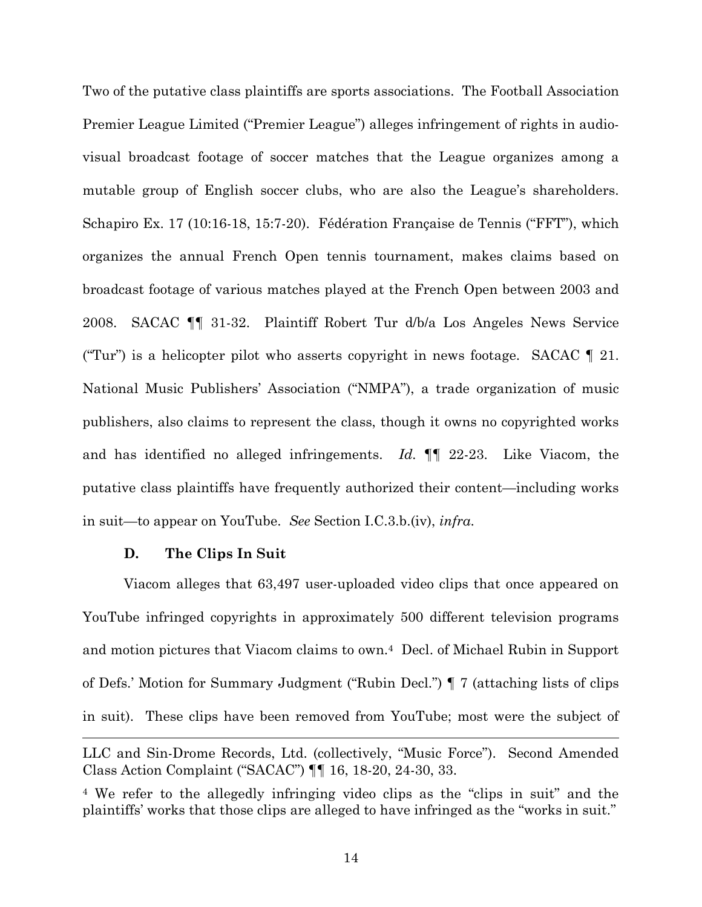Two of the putative class plaintiffs are sports associations. The Football Association Premier League Limited ("Premier League") alleges infringement of rights in audiovisual broadcast footage of soccer matches that the League organizes among a mutable group of English soccer clubs, who are also the League's shareholders. Schapiro Ex. 17 (10:16-18, 15:7-20). Fédération Française de Tennis ("FFT"), which organizes the annual French Open tennis tournament, makes claims based on broadcast footage of various matches played at the French Open between 2003 and 2008. SACAC ¶¶ 31-32. Plaintiff Robert Tur d/b/a Los Angeles News Service ("Tur") is a helicopter pilot who asserts copyright in news footage. SACAC  $\llbracket$  21. National Music Publishers' Association ("NMPA"), a trade organization of music publishers, also claims to represent the class, though it owns no copyrighted works and has identified no alleged infringements. *Id.* ¶¶ 22-23. Like Viacom, the putative class plaintiffs have frequently authorized their content—including works in suit—to appear on YouTube. *See* Section I.C.3.b.(iv), *infra*.

#### **D. The Clips In Suit**

Viacom alleges that 63,497 user-uploaded video clips that once appeared on YouTube infringed copyrights in approximately 500 different television programs and motion pictures that Viacom claims to own.<sup>4</sup> Decl. of Michael Rubin in Support of Defs.' Motion for Summary Judgment ("Rubin Decl.") ¶ 7 (attaching lists of clips in suit). These clips have been removed from YouTube; most were the subject of

LLC and Sin-Drome Records, Ltd. (collectively, "Music Force"). Second Amended Class Action Complaint ("SACAC") ¶¶ 16, 18-20, 24-30, 33.

<sup>4</sup> We refer to the allegedly infringing video clips as the "clips in suit" and the plaintiffs' works that those clips are alleged to have infringed as the "works in suit."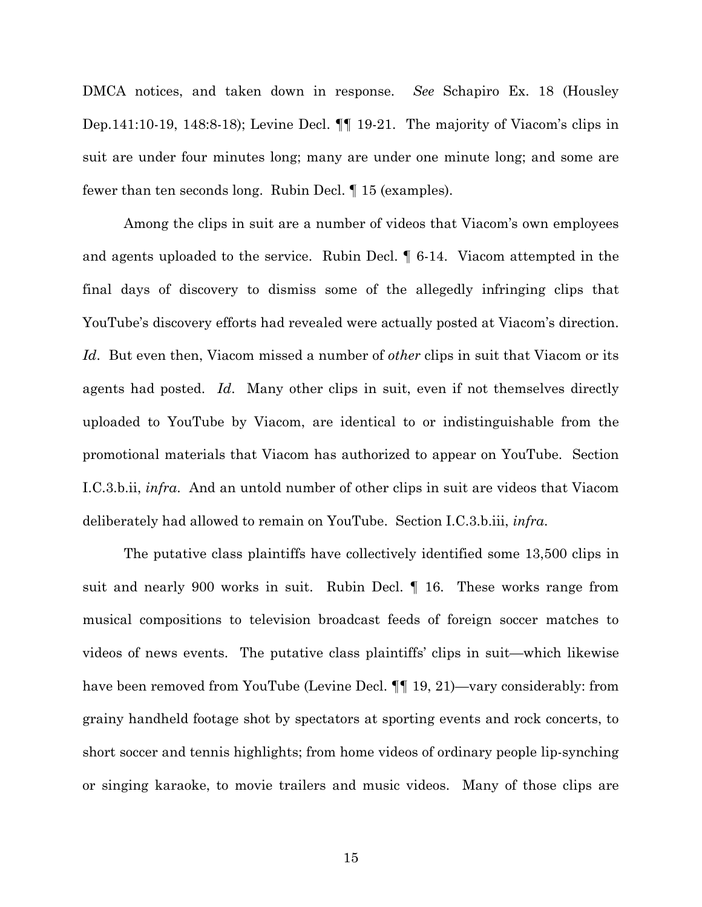DMCA notices, and taken down in response. *See* Schapiro Ex. 18 (Housley Dep.141:10-19, 148:8-18); Levine Decl. ¶¶ 19-21. The majority of Viacom's clips in suit are under four minutes long; many are under one minute long; and some are fewer than ten seconds long. Rubin Decl. ¶ 15 (examples).

Among the clips in suit are a number of videos that Viacom's own employees and agents uploaded to the service. Rubin Decl. ¶ 6-14. Viacom attempted in the final days of discovery to dismiss some of the allegedly infringing clips that YouTube's discovery efforts had revealed were actually posted at Viacom's direction. *Id*. But even then, Viacom missed a number of *other* clips in suit that Viacom or its agents had posted. *Id*. Many other clips in suit, even if not themselves directly uploaded to YouTube by Viacom, are identical to or indistinguishable from the promotional materials that Viacom has authorized to appear on YouTube. Section I.C.3.b.ii, *infra*. And an untold number of other clips in suit are videos that Viacom deliberately had allowed to remain on YouTube. Section I.C.3.b.iii, *infra*.

The putative class plaintiffs have collectively identified some 13,500 clips in suit and nearly 900 works in suit. Rubin Decl. ¶ 16. These works range from musical compositions to television broadcast feeds of foreign soccer matches to videos of news events. The putative class plaintiffs' clips in suit—which likewise have been removed from YouTube (Levine Decl. ¶¶ 19, 21)—vary considerably: from grainy handheld footage shot by spectators at sporting events and rock concerts, to short soccer and tennis highlights; from home videos of ordinary people lip-synching or singing karaoke, to movie trailers and music videos. Many of those clips are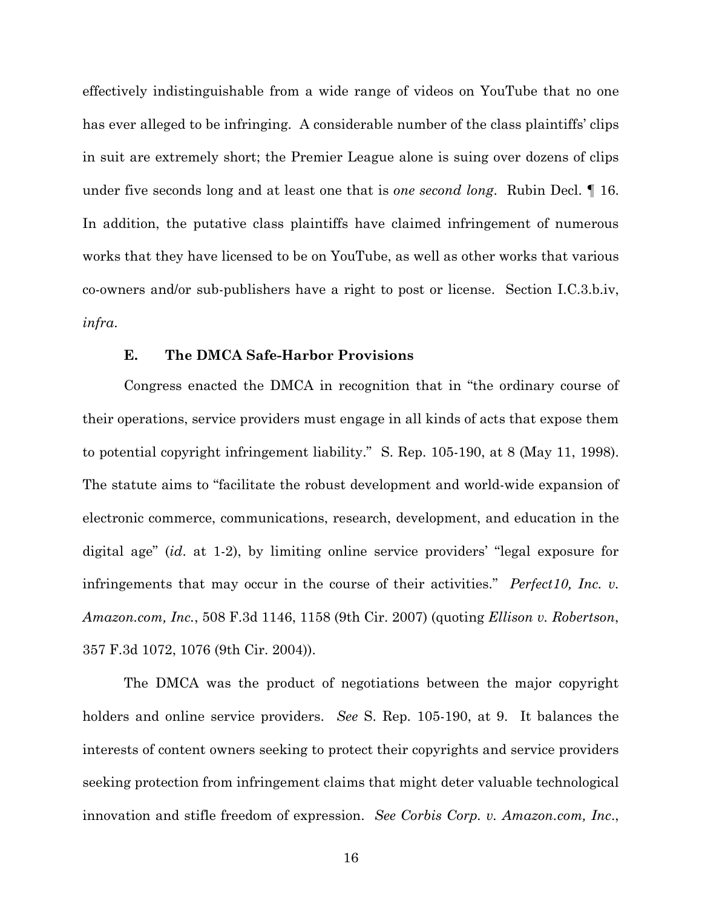effectively indistinguishable from a wide range of videos on YouTube that no one has ever alleged to be infringing. A considerable number of the class plaintiffs' clips in suit are extremely short; the Premier League alone is suing over dozens of clips under five seconds long and at least one that is *one second long*. Rubin Decl. ¶ 16. In addition, the putative class plaintiffs have claimed infringement of numerous works that they have licensed to be on YouTube, as well as other works that various co-owners and/or sub-publishers have a right to post or license. Section I.C.3.b.iv, *infra*.

#### **E. The DMCA Safe-Harbor Provisions**

Congress enacted the DMCA in recognition that in "the ordinary course of their operations, service providers must engage in all kinds of acts that expose them to potential copyright infringement liability." S. Rep. 105-190, at 8 (May 11, 1998). The statute aims to "facilitate the robust development and world-wide expansion of electronic commerce, communications, research, development, and education in the digital age" (*id*. at 1-2), by limiting online service providers' "legal exposure for infringements that may occur in the course of their activities." *Perfect10, Inc. v. Amazon.com, Inc.*, 508 F.3d 1146, 1158 (9th Cir. 2007) (quoting *Ellison v. Robertson*, 357 F.3d 1072, 1076 (9th Cir. 2004)).

The DMCA was the product of negotiations between the major copyright holders and online service providers. *See* S. Rep. 105-190, at 9. It balances the interests of content owners seeking to protect their copyrights and service providers seeking protection from infringement claims that might deter valuable technological innovation and stifle freedom of expression. *See Corbis Corp. v. Amazon.com, Inc*.,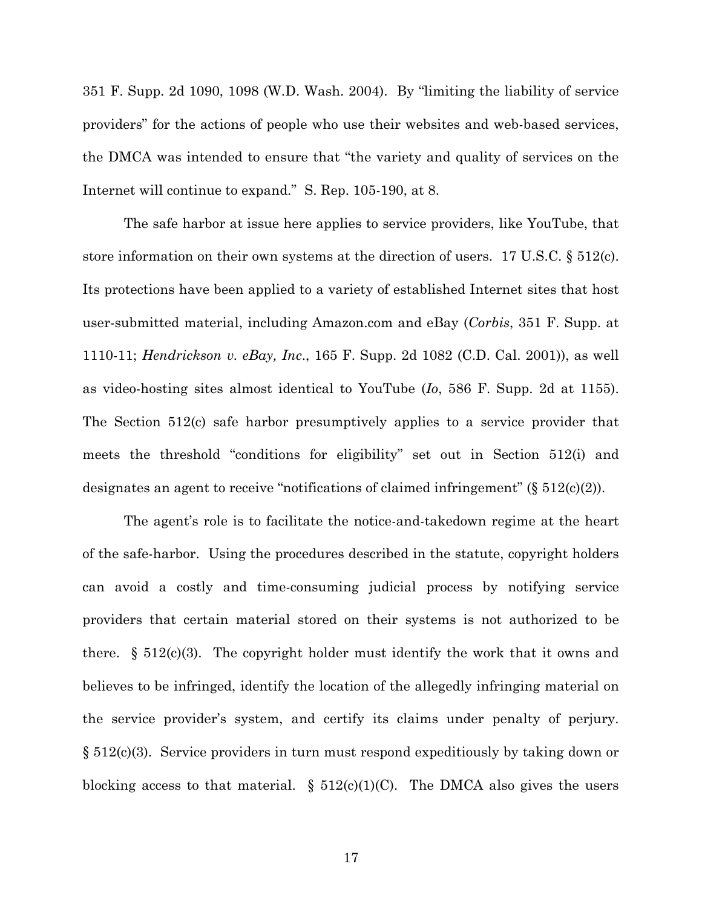351 F. Supp. 2d 1090, 1098 (W.D. Wash. 2004). By "limiting the liability of service providers" for the actions of people who use their websites and web-based services, the DMCA was intended to ensure that "the variety and quality of services on the Internet will continue to expand." S. Rep. 105-190, at 8.

The safe harbor at issue here applies to service providers, like YouTube, that store information on their own systems at the direction of users. 17 U.S.C. § 512(c). Its protections have been applied to a variety of established Internet sites that host user-submitted material, including Amazon.com and eBay (*Corbis*, 351 F. Supp. at 1110-11; *Hendrickson v. eBay, Inc*., 165 F. Supp. 2d 1082 (C.D. Cal. 2001)), as well as video-hosting sites almost identical to YouTube (*Io*, 586 F. Supp. 2d at 1155). The Section 512(c) safe harbor presumptively applies to a service provider that meets the threshold "conditions for eligibility" set out in Section 512(i) and designates an agent to receive "notifications of claimed infringement" (§ 512(c)(2)).

The agent's role is to facilitate the notice-and-takedown regime at the heart of the safe-harbor. Using the procedures described in the statute, copyright holders can avoid a costly and time-consuming judicial process by notifying service providers that certain material stored on their systems is not authorized to be there.  $\S$  512(c)(3). The copyright holder must identify the work that it owns and believes to be infringed, identify the location of the allegedly infringing material on the service provider's system, and certify its claims under penalty of perjury. § 512(c)(3). Service providers in turn must respond expeditiously by taking down or blocking access to that material.  $\S$  512(c)(1)(C). The DMCA also gives the users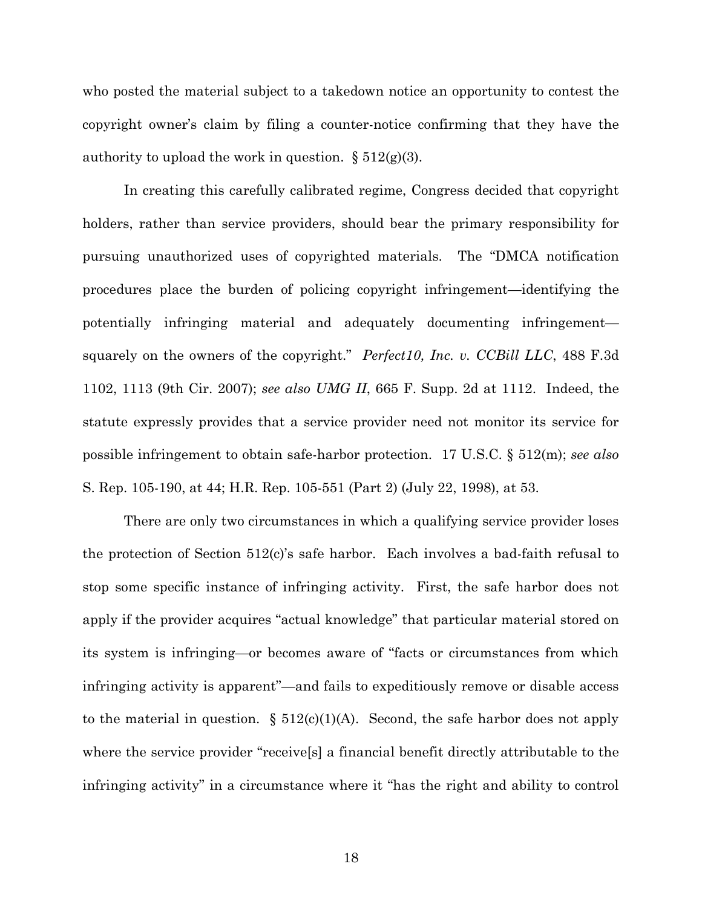who posted the material subject to a takedown notice an opportunity to contest the copyright owner's claim by filing a counter-notice confirming that they have the authority to upload the work in question.  $\S 512(g)(3)$ .

In creating this carefully calibrated regime, Congress decided that copyright holders, rather than service providers, should bear the primary responsibility for pursuing unauthorized uses of copyrighted materials. The "DMCA notification procedures place the burden of policing copyright infringement—identifying the potentially infringing material and adequately documenting infringement squarely on the owners of the copyright." *Perfect10, Inc. v. CCBill LLC*, 488 F.3d 1102, 1113 (9th Cir. 2007); *see also UMG II*, 665 F. Supp. 2d at 1112. Indeed, the statute expressly provides that a service provider need not monitor its service for possible infringement to obtain safe-harbor protection. 17 U.S.C. § 512(m); *see also* S. Rep. 105-190, at 44; H.R. Rep. 105-551 (Part 2) (July 22, 1998), at 53.

There are only two circumstances in which a qualifying service provider loses the protection of Section 512(c)'s safe harbor. Each involves a bad-faith refusal to stop some specific instance of infringing activity. First, the safe harbor does not apply if the provider acquires "actual knowledge" that particular material stored on its system is infringing—or becomes aware of "facts or circumstances from which infringing activity is apparent"—and fails to expeditiously remove or disable access to the material in question.  $\S$  512(c)(1)(A). Second, the safe harbor does not apply where the service provider "receive[s] a financial benefit directly attributable to the infringing activity" in a circumstance where it "has the right and ability to control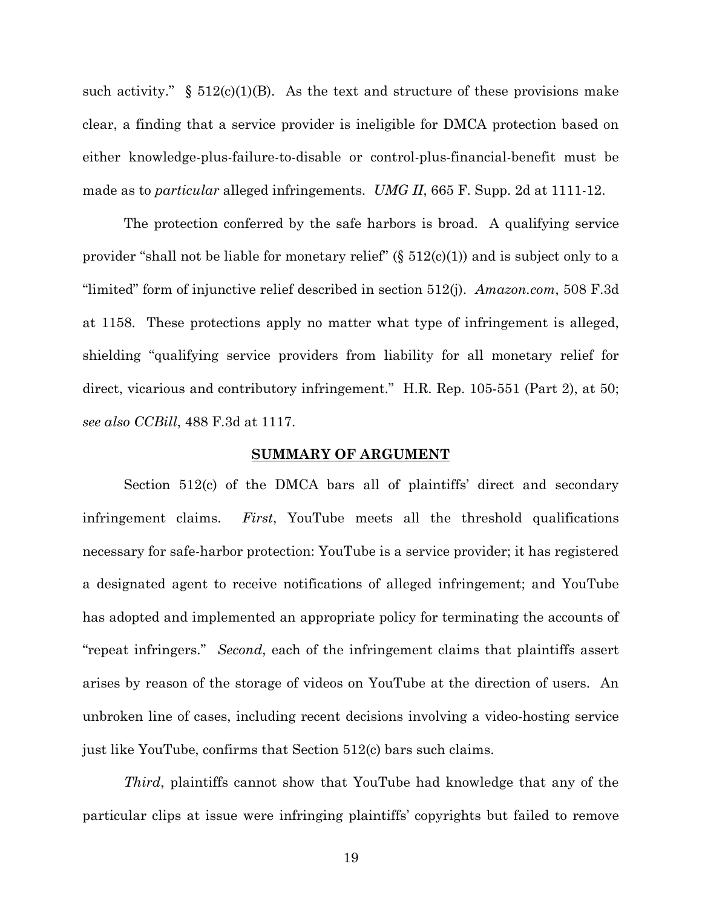such activity."  $\S$  512(c)(1)(B). As the text and structure of these provisions make clear, a finding that a service provider is ineligible for DMCA protection based on either knowledge-plus-failure-to-disable or control-plus-financial-benefit must be made as to *particular* alleged infringements. *UMG II*, 665 F. Supp. 2d at 1111-12.

The protection conferred by the safe harbors is broad. A qualifying service provider "shall not be liable for monetary relief"  $(\S 512(c)(1))$  and is subject only to a "limited" form of injunctive relief described in section 512(j). *Amazon.com*, 508 F.3d at 1158. These protections apply no matter what type of infringement is alleged, shielding "qualifying service providers from liability for all monetary relief for direct, vicarious and contributory infringement." H.R. Rep. 105-551 (Part 2), at 50; *see also CCBill*, 488 F.3d at 1117.

#### **SUMMARY OF ARGUMENT**

Section 512(c) of the DMCA bars all of plaintiffs' direct and secondary infringement claims. *First*, YouTube meets all the threshold qualifications necessary for safe-harbor protection: YouTube is a service provider; it has registered a designated agent to receive notifications of alleged infringement; and YouTube has adopted and implemented an appropriate policy for terminating the accounts of "repeat infringers." *Second*, each of the infringement claims that plaintiffs assert arises by reason of the storage of videos on YouTube at the direction of users. An unbroken line of cases, including recent decisions involving a video-hosting service just like YouTube, confirms that Section 512(c) bars such claims.

*Third*, plaintiffs cannot show that YouTube had knowledge that any of the particular clips at issue were infringing plaintiffs' copyrights but failed to remove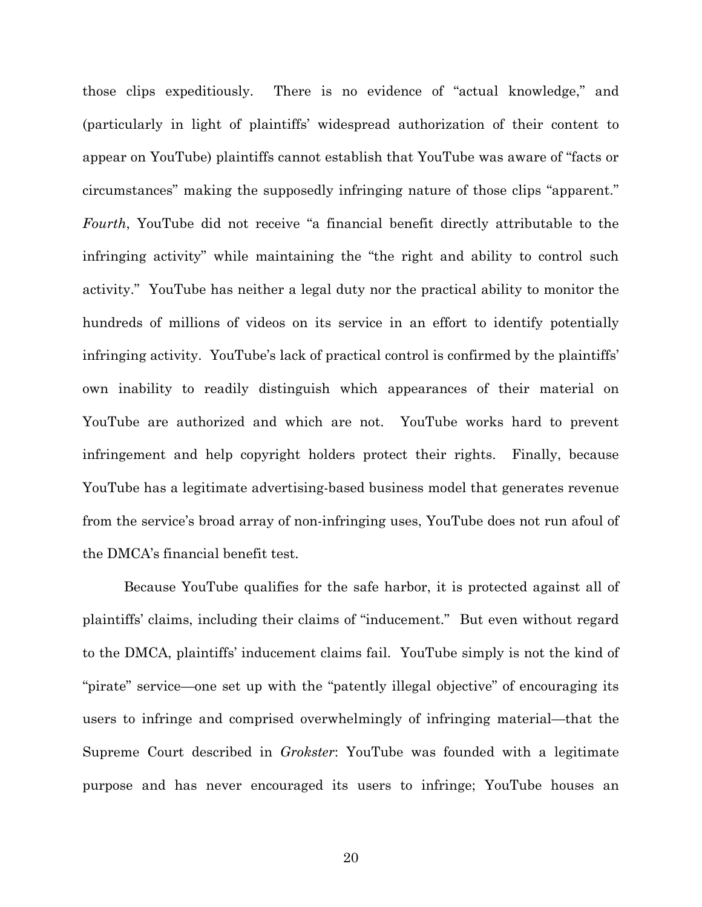those clips expeditiously. There is no evidence of "actual knowledge," and (particularly in light of plaintiffs' widespread authorization of their content to appear on YouTube) plaintiffs cannot establish that YouTube was aware of "facts or circumstances" making the supposedly infringing nature of those clips "apparent." *Fourth*, YouTube did not receive "a financial benefit directly attributable to the infringing activity" while maintaining the "the right and ability to control such activity." YouTube has neither a legal duty nor the practical ability to monitor the hundreds of millions of videos on its service in an effort to identify potentially infringing activity. YouTube's lack of practical control is confirmed by the plaintiffs' own inability to readily distinguish which appearances of their material on YouTube are authorized and which are not. YouTube works hard to prevent infringement and help copyright holders protect their rights. Finally, because YouTube has a legitimate advertising-based business model that generates revenue from the service's broad array of non-infringing uses, YouTube does not run afoul of the DMCA's financial benefit test.

Because YouTube qualifies for the safe harbor, it is protected against all of plaintiffs' claims, including their claims of "inducement." But even without regard to the DMCA, plaintiffs' inducement claims fail. YouTube simply is not the kind of "pirate" service—one set up with the "patently illegal objective" of encouraging its users to infringe and comprised overwhelmingly of infringing material—that the Supreme Court described in *Grokster*: YouTube was founded with a legitimate purpose and has never encouraged its users to infringe; YouTube houses an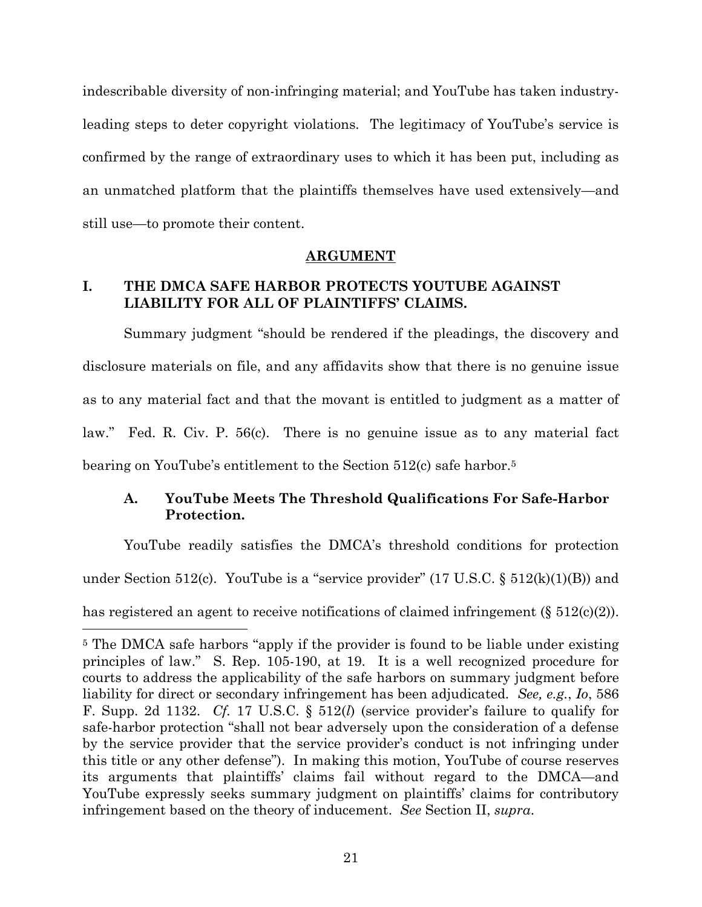indescribable diversity of non-infringing material; and YouTube has taken industryleading steps to deter copyright violations. The legitimacy of YouTube's service is confirmed by the range of extraordinary uses to which it has been put, including as an unmatched platform that the plaintiffs themselves have used extensively—and still use—to promote their content.

### **ARGUMENT**

## **I. THE DMCA SAFE HARBOR PROTECTS YOUTUBE AGAINST LIABILITY FOR ALL OF PLAINTIFFS' CLAIMS.**

Summary judgment "should be rendered if the pleadings, the discovery and disclosure materials on file, and any affidavits show that there is no genuine issue as to any material fact and that the movant is entitled to judgment as a matter of law." Fed. R. Civ. P. 56(c). There is no genuine issue as to any material fact bearing on YouTube's entitlement to the Section 512(c) safe harbor.<sup>5</sup>

## **A. YouTube Meets The Threshold Qualifications For Safe-Harbor Protection.**

YouTube readily satisfies the DMCA's threshold conditions for protection under Section 512(c). YouTube is a "service provider"  $(17 \text{ U.S.C.} \S 512(k)(1)(B))$  and has registered an agent to receive notifications of claimed infringement (§ 512(c)(2)).

<sup>5</sup> The DMCA safe harbors "apply if the provider is found to be liable under existing principles of law." S. Rep. 105-190, at 19. It is a well recognized procedure for courts to address the applicability of the safe harbors on summary judgment before liability for direct or secondary infringement has been adjudicated. *See, e.g.*, *Io*, 586 F. Supp. 2d 1132. *Cf.* 17 U.S.C. § 512(*l*) (service provider's failure to qualify for safe-harbor protection "shall not bear adversely upon the consideration of a defense by the service provider that the service provider's conduct is not infringing under this title or any other defense"). In making this motion, YouTube of course reserves its arguments that plaintiffs' claims fail without regard to the DMCA—and YouTube expressly seeks summary judgment on plaintiffs' claims for contributory infringement based on the theory of inducement. *See* Section II, *supra*.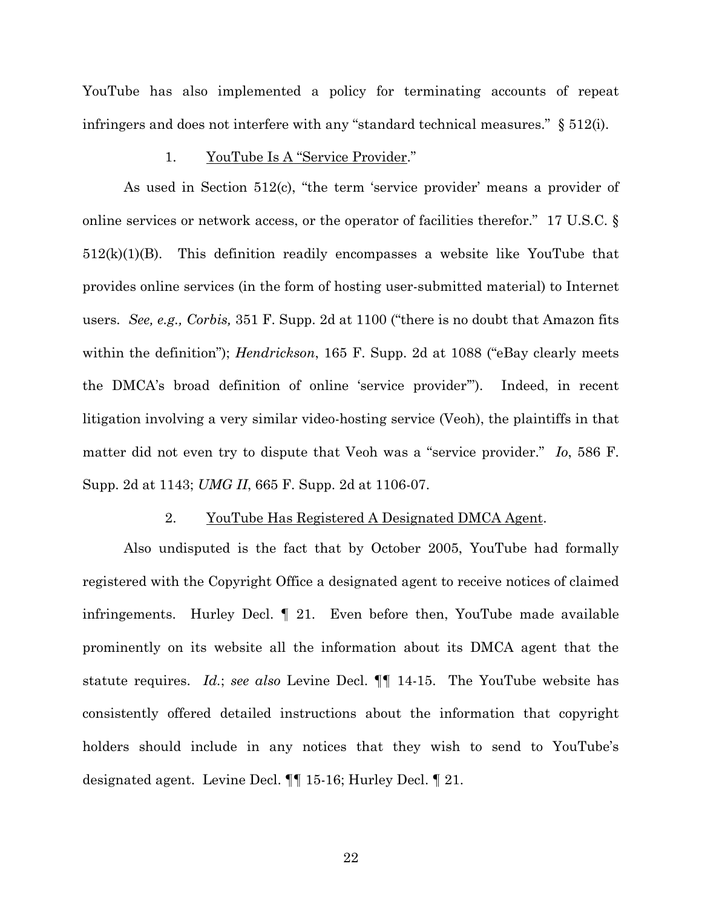YouTube has also implemented a policy for terminating accounts of repeat infringers and does not interfere with any "standard technical measures." § 512(i).

#### 1. YouTube Is A "Service Provider."

As used in Section 512(c), "the term 'service provider' means a provider of online services or network access, or the operator of facilities therefor." 17 U.S.C. § 512(k)(1)(B). This definition readily encompasses a website like YouTube that provides online services (in the form of hosting user-submitted material) to Internet users. *See, e.g., Corbis,* 351 F. Supp. 2d at 1100 ("there is no doubt that Amazon fits within the definition"); *Hendrickson*, 165 F. Supp. 2d at 1088 ("eBay clearly meets the DMCA's broad definition of online 'service provider'"). Indeed, in recent litigation involving a very similar video-hosting service (Veoh), the plaintiffs in that matter did not even try to dispute that Veoh was a "service provider." *Io*, 586 F. Supp. 2d at 1143; *UMG II*, 665 F. Supp. 2d at 1106-07.

#### 2. YouTube Has Registered A Designated DMCA Agent.

Also undisputed is the fact that by October 2005, YouTube had formally registered with the Copyright Office a designated agent to receive notices of claimed infringements. Hurley Decl. ¶ 21. Even before then, YouTube made available prominently on its website all the information about its DMCA agent that the statute requires. *Id.*; *see also* Levine Decl. ¶¶ 14-15. The YouTube website has consistently offered detailed instructions about the information that copyright holders should include in any notices that they wish to send to YouTube's designated agent. Levine Decl. ¶¶ 15-16; Hurley Decl. ¶ 21.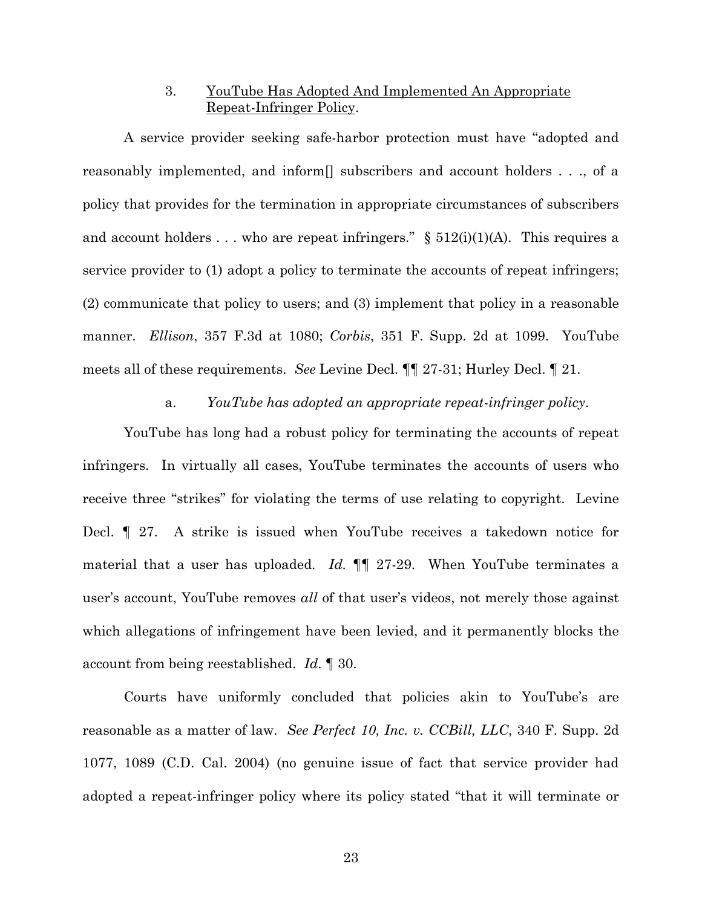## 3. YouTube Has Adopted And Implemented An Appropriate Repeat-Infringer Policy.

A service provider seeking safe-harbor protection must have "adopted and reasonably implemented, and inform[] subscribers and account holders . . ., of a policy that provides for the termination in appropriate circumstances of subscribers and account holders . . . who are repeat infringers."  $\S$  512(i)(1)(A). This requires a service provider to (1) adopt a policy to terminate the accounts of repeat infringers; (2) communicate that policy to users; and (3) implement that policy in a reasonable manner. *Ellison*, 357 F.3d at 1080; *Corbis*, 351 F. Supp. 2d at 1099. YouTube meets all of these requirements. *See* Levine Decl. ¶¶ 27-31; Hurley Decl. ¶ 21.

#### a. *YouTube has adopted an appropriate repeat-infringer policy*.

YouTube has long had a robust policy for terminating the accounts of repeat infringers. In virtually all cases, YouTube terminates the accounts of users who receive three "strikes" for violating the terms of use relating to copyright. Levine Decl. ¶ 27. A strike is issued when YouTube receives a takedown notice for material that a user has uploaded. *Id.* ¶¶ 27-29. When YouTube terminates a user's account, YouTube removes *all* of that user's videos, not merely those against which allegations of infringement have been levied, and it permanently blocks the account from being reestablished. *Id*. ¶ 30.

Courts have uniformly concluded that policies akin to YouTube's are reasonable as a matter of law. *See Perfect 10, Inc. v. CCBill, LLC*, 340 F. Supp. 2d 1077, 1089 (C.D. Cal. 2004) (no genuine issue of fact that service provider had adopted a repeat-infringer policy where its policy stated "that it will terminate or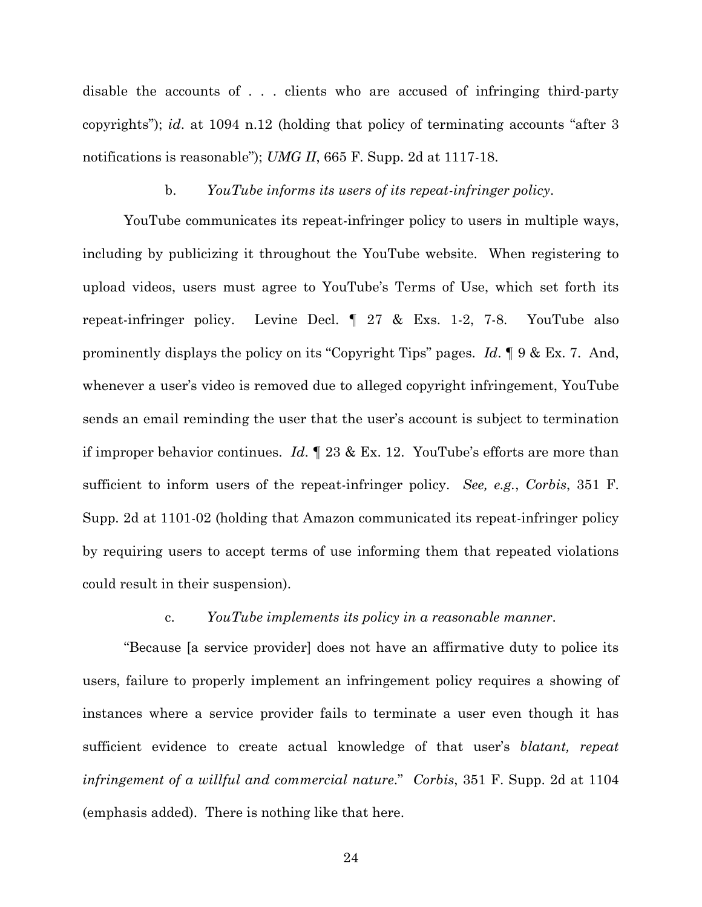disable the accounts of . . . clients who are accused of infringing third-party copyrights"); *id*. at 1094 n.12 (holding that policy of terminating accounts "after 3 notifications is reasonable"); *UMG II*, 665 F. Supp. 2d at 1117-18.

#### b. *YouTube informs its users of its repeat-infringer policy*.

YouTube communicates its repeat-infringer policy to users in multiple ways, including by publicizing it throughout the YouTube website. When registering to upload videos, users must agree to YouTube's Terms of Use, which set forth its repeat-infringer policy. Levine Decl. ¶ 27 & Exs. 1-2, 7-8. YouTube also prominently displays the policy on its "Copyright Tips" pages. *Id*. ¶ 9 & Ex. 7. And, whenever a user's video is removed due to alleged copyright infringement, YouTube sends an email reminding the user that the user's account is subject to termination if improper behavior continues. *Id*. ¶ 23 & Ex. 12. YouTube's efforts are more than sufficient to inform users of the repeat-infringer policy. *See, e.g.*, *Corbis*, 351 F. Supp. 2d at 1101-02 (holding that Amazon communicated its repeat-infringer policy by requiring users to accept terms of use informing them that repeated violations could result in their suspension).

### c. *YouTube implements its policy in a reasonable manner*.

"Because [a service provider] does not have an affirmative duty to police its users, failure to properly implement an infringement policy requires a showing of instances where a service provider fails to terminate a user even though it has sufficient evidence to create actual knowledge of that user's *blatant, repeat infringement of a willful and commercial nature*." *Corbis*, 351 F. Supp. 2d at 1104 (emphasis added). There is nothing like that here.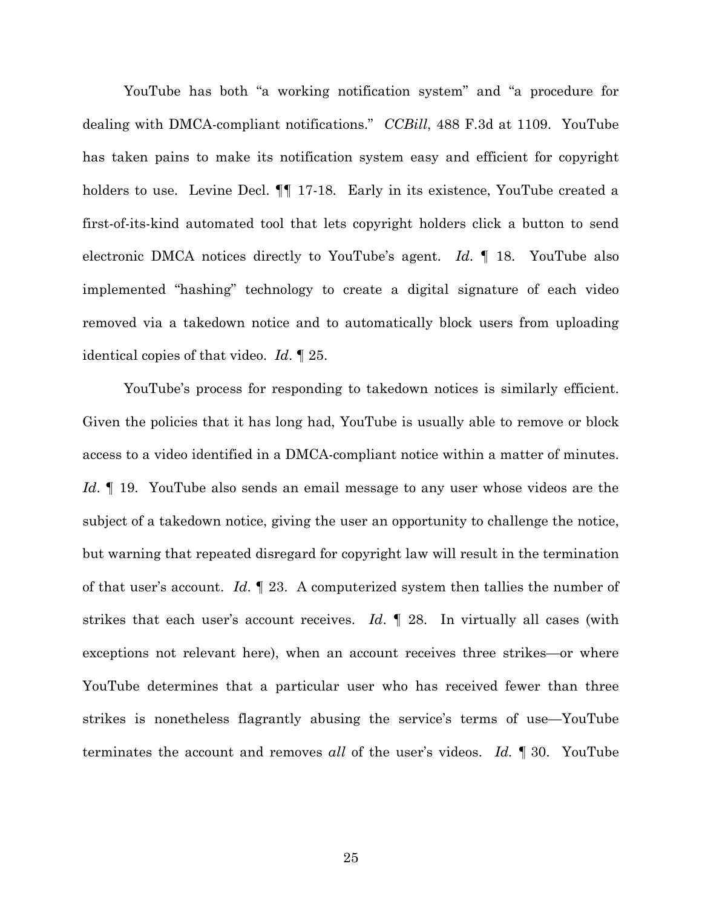YouTube has both "a working notification system" and "a procedure for dealing with DMCA-compliant notifications." *CCBill*, 488 F.3d at 1109. YouTube has taken pains to make its notification system easy and efficient for copyright holders to use. Levine Decl.  $\P\P$  17-18. Early in its existence, YouTube created a first-of-its-kind automated tool that lets copyright holders click a button to send electronic DMCA notices directly to YouTube's agent. *Id*. ¶ 18. YouTube also implemented "hashing" technology to create a digital signature of each video removed via a takedown notice and to automatically block users from uploading identical copies of that video. *Id*. ¶ 25.

YouTube's process for responding to takedown notices is similarly efficient. Given the policies that it has long had, YouTube is usually able to remove or block access to a video identified in a DMCA-compliant notice within a matter of minutes. *Id*. ¶ 19. YouTube also sends an email message to any user whose videos are the subject of a takedown notice, giving the user an opportunity to challenge the notice, but warning that repeated disregard for copyright law will result in the termination of that user's account. *Id*. ¶ 23. A computerized system then tallies the number of strikes that each user's account receives. *Id*. ¶ 28. In virtually all cases (with exceptions not relevant here), when an account receives three strikes—or where YouTube determines that a particular user who has received fewer than three strikes is nonetheless flagrantly abusing the service's terms of use—YouTube terminates the account and removes *all* of the user's videos. *Id.* ¶ 30. YouTube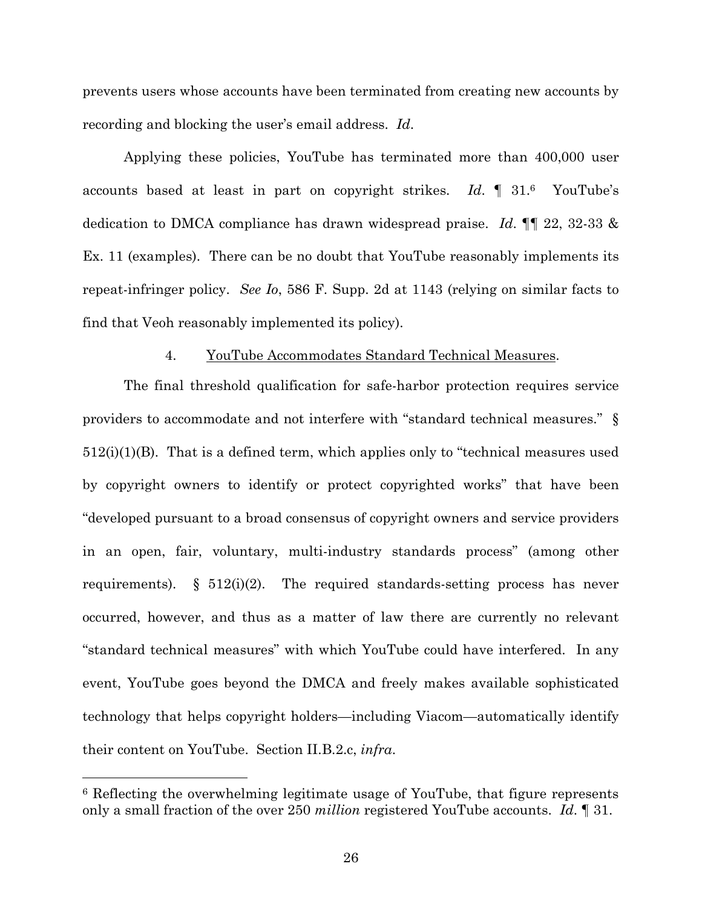prevents users whose accounts have been terminated from creating new accounts by recording and blocking the user's email address. *Id*.

Applying these policies, YouTube has terminated more than 400,000 user accounts based at least in part on copyright strikes. *Id*. ¶ 31.<sup>6</sup> YouTube's dedication to DMCA compliance has drawn widespread praise. *Id*. ¶¶ 22, 32-33 & Ex. 11 (examples). There can be no doubt that YouTube reasonably implements its repeat-infringer policy. *See Io*, 586 F. Supp. 2d at 1143 (relying on similar facts to find that Veoh reasonably implemented its policy).

### 4. YouTube Accommodates Standard Technical Measures.

The final threshold qualification for safe-harbor protection requires service providers to accommodate and not interfere with "standard technical measures." §  $512(i)(1)(B)$ . That is a defined term, which applies only to "technical measures used by copyright owners to identify or protect copyrighted works" that have been "developed pursuant to a broad consensus of copyright owners and service providers in an open, fair, voluntary, multi-industry standards process" (among other requirements). § 512(i)(2). The required standards-setting process has never occurred, however, and thus as a matter of law there are currently no relevant "standard technical measures" with which YouTube could have interfered. In any event, YouTube goes beyond the DMCA and freely makes available sophisticated technology that helps copyright holders—including Viacom—automatically identify their content on YouTube. Section II.B.2.c, *infra*.

<sup>6</sup> Reflecting the overwhelming legitimate usage of YouTube, that figure represents only a small fraction of the over 250 *million* registered YouTube accounts. *Id*. ¶ 31.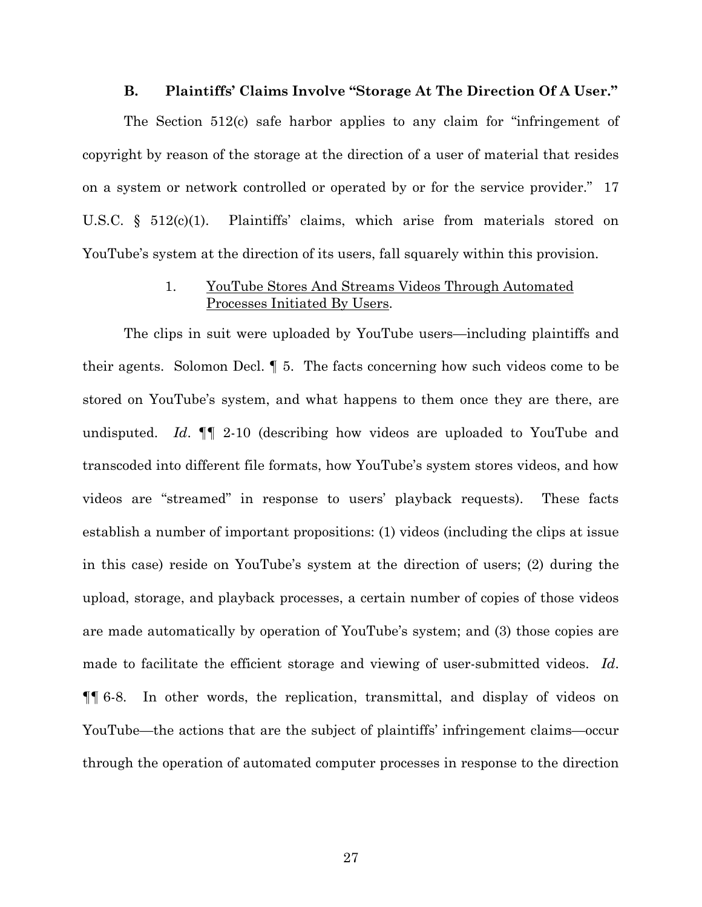#### **B. Plaintiffs' Claims Involve "Storage At The Direction Of A User."**

The Section 512(c) safe harbor applies to any claim for "infringement of copyright by reason of the storage at the direction of a user of material that resides on a system or network controlled or operated by or for the service provider." 17 U.S.C. § 512(c)(1). Plaintiffs' claims, which arise from materials stored on YouTube's system at the direction of its users, fall squarely within this provision.

## 1. YouTube Stores And Streams Videos Through Automated Processes Initiated By Users.

The clips in suit were uploaded by YouTube users—including plaintiffs and their agents. Solomon Decl. ¶ 5. The facts concerning how such videos come to be stored on YouTube's system, and what happens to them once they are there, are undisputed. *Id*. ¶¶ 2-10 (describing how videos are uploaded to YouTube and transcoded into different file formats, how YouTube's system stores videos, and how videos are "streamed" in response to users' playback requests). These facts establish a number of important propositions: (1) videos (including the clips at issue in this case) reside on YouTube's system at the direction of users; (2) during the upload, storage, and playback processes, a certain number of copies of those videos are made automatically by operation of YouTube's system; and (3) those copies are made to facilitate the efficient storage and viewing of user-submitted videos. *Id*. ¶¶ 6-8. In other words, the replication, transmittal, and display of videos on YouTube—the actions that are the subject of plaintiffs' infringement claims—occur through the operation of automated computer processes in response to the direction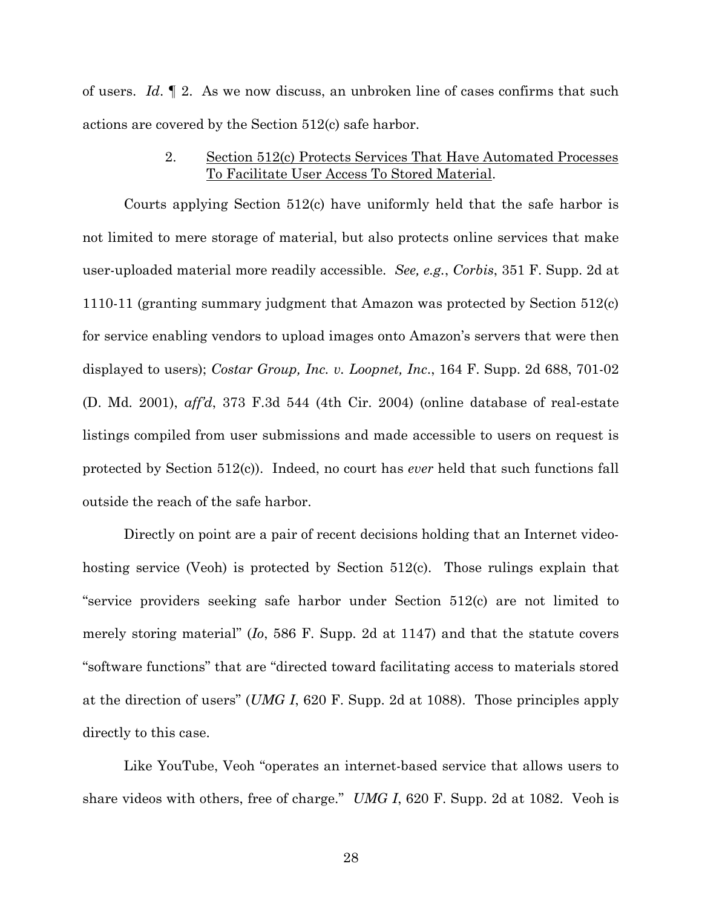of users. *Id*. ¶ 2. As we now discuss, an unbroken line of cases confirms that such actions are covered by the Section 512(c) safe harbor.

## 2. Section 512(c) Protects Services That Have Automated Processes To Facilitate User Access To Stored Material.

Courts applying Section 512(c) have uniformly held that the safe harbor is not limited to mere storage of material, but also protects online services that make user-uploaded material more readily accessible. *See, e.g.*, *Corbis*, 351 F. Supp. 2d at 1110-11 (granting summary judgment that Amazon was protected by Section 512(c) for service enabling vendors to upload images onto Amazon's servers that were then displayed to users); *Costar Group, Inc. v. Loopnet, Inc*., 164 F. Supp. 2d 688, 701-02 (D. Md. 2001), *aff'd*, 373 F.3d 544 (4th Cir. 2004) (online database of real-estate listings compiled from user submissions and made accessible to users on request is protected by Section 512(c)). Indeed, no court has *ever* held that such functions fall outside the reach of the safe harbor.

Directly on point are a pair of recent decisions holding that an Internet videohosting service (Veoh) is protected by Section 512(c). Those rulings explain that "service providers seeking safe harbor under Section 512(c) are not limited to merely storing material" (*Io*, 586 F. Supp. 2d at 1147) and that the statute covers "software functions" that are "directed toward facilitating access to materials stored at the direction of users" (*UMG I*, 620 F. Supp. 2d at 1088). Those principles apply directly to this case.

Like YouTube, Veoh "operates an internet-based service that allows users to share videos with others, free of charge." *UMG I*, 620 F. Supp. 2d at 1082. Veoh is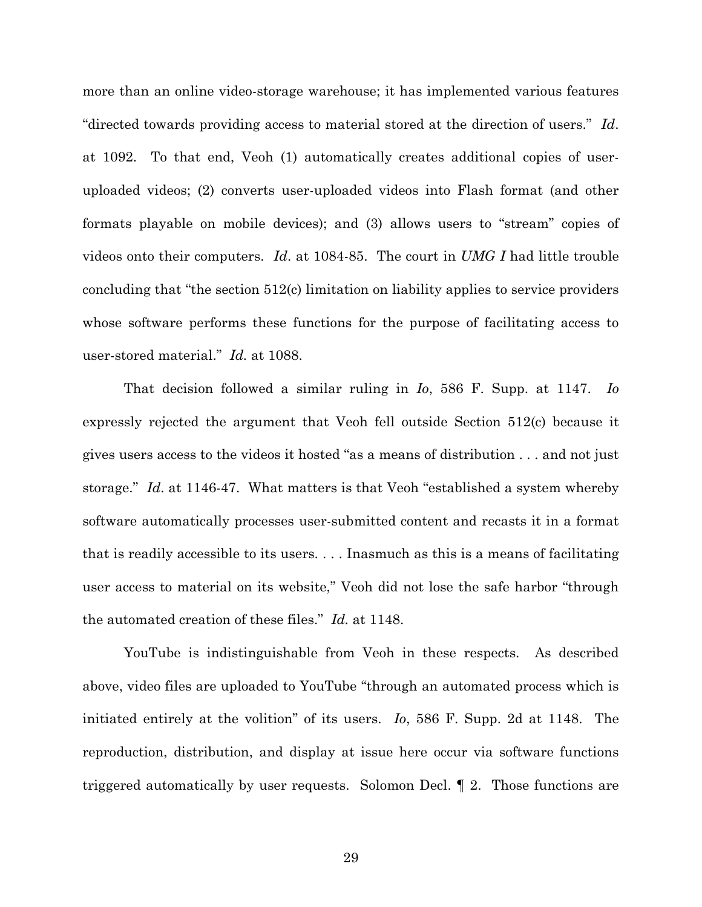more than an online video-storage warehouse; it has implemented various features "directed towards providing access to material stored at the direction of users." *Id*. at 1092. To that end, Veoh (1) automatically creates additional copies of useruploaded videos; (2) converts user-uploaded videos into Flash format (and other formats playable on mobile devices); and (3) allows users to "stream" copies of videos onto their computers. *Id*. at 1084-85. The court in *UMG I* had little trouble concluding that "the section 512(c) limitation on liability applies to service providers whose software performs these functions for the purpose of facilitating access to user-stored material." *Id.* at 1088.

That decision followed a similar ruling in *Io*, 586 F. Supp. at 1147. *Io* expressly rejected the argument that Veoh fell outside Section 512(c) because it gives users access to the videos it hosted "as a means of distribution . . . and not just storage." *Id*. at 1146-47. What matters is that Veoh "established a system whereby software automatically processes user-submitted content and recasts it in a format that is readily accessible to its users. . . . Inasmuch as this is a means of facilitating user access to material on its website," Veoh did not lose the safe harbor "through the automated creation of these files." *Id.* at 1148.

YouTube is indistinguishable from Veoh in these respects. As described above, video files are uploaded to YouTube "through an automated process which is initiated entirely at the volition" of its users. *Io*, 586 F. Supp. 2d at 1148. The reproduction, distribution, and display at issue here occur via software functions triggered automatically by user requests. Solomon Decl. ¶ 2. Those functions are

29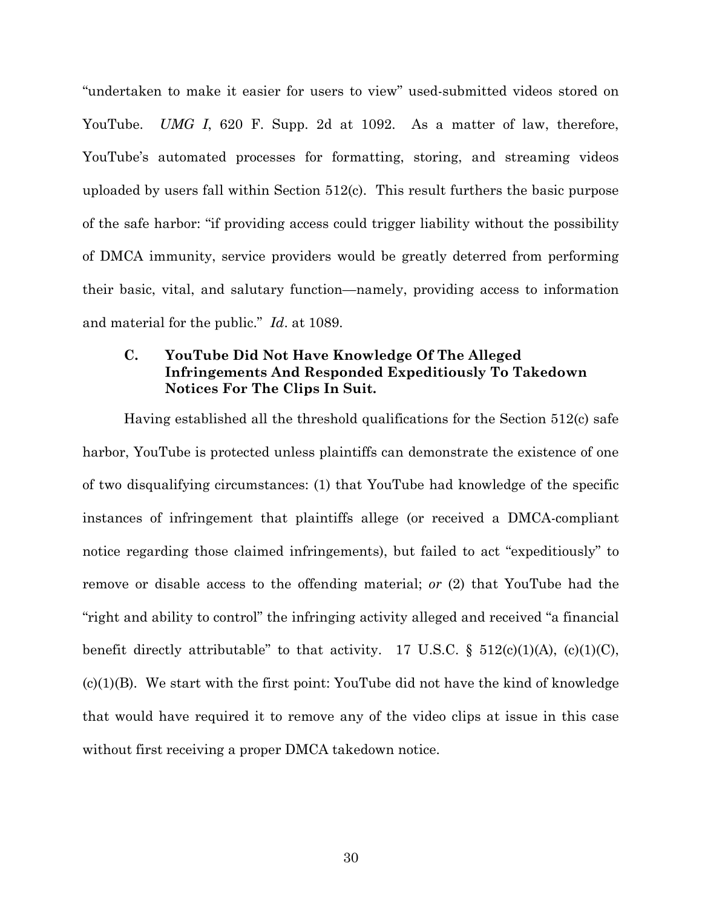"undertaken to make it easier for users to view" used-submitted videos stored on YouTube. *UMG I*, 620 F. Supp. 2d at 1092. As a matter of law, therefore, YouTube's automated processes for formatting, storing, and streaming videos uploaded by users fall within Section  $512(c)$ . This result furthers the basic purpose of the safe harbor: "if providing access could trigger liability without the possibility of DMCA immunity, service providers would be greatly deterred from performing their basic, vital, and salutary function—namely, providing access to information and material for the public." *Id*. at 1089.

# **C. YouTube Did Not Have Knowledge Of The Alleged Infringements And Responded Expeditiously To Takedown Notices For The Clips In Suit.**

Having established all the threshold qualifications for the Section 512(c) safe harbor, YouTube is protected unless plaintiffs can demonstrate the existence of one of two disqualifying circumstances: (1) that YouTube had knowledge of the specific instances of infringement that plaintiffs allege (or received a DMCA-compliant notice regarding those claimed infringements), but failed to act "expeditiously" to remove or disable access to the offending material; *or* (2) that YouTube had the "right and ability to control" the infringing activity alleged and received "a financial benefit directly attributable" to that activity. 17 U.S.C.  $\S$  512(c)(1)(A), (c)(1)(C),  $(c)(1)(B)$ . We start with the first point: YouTube did not have the kind of knowledge that would have required it to remove any of the video clips at issue in this case without first receiving a proper DMCA takedown notice.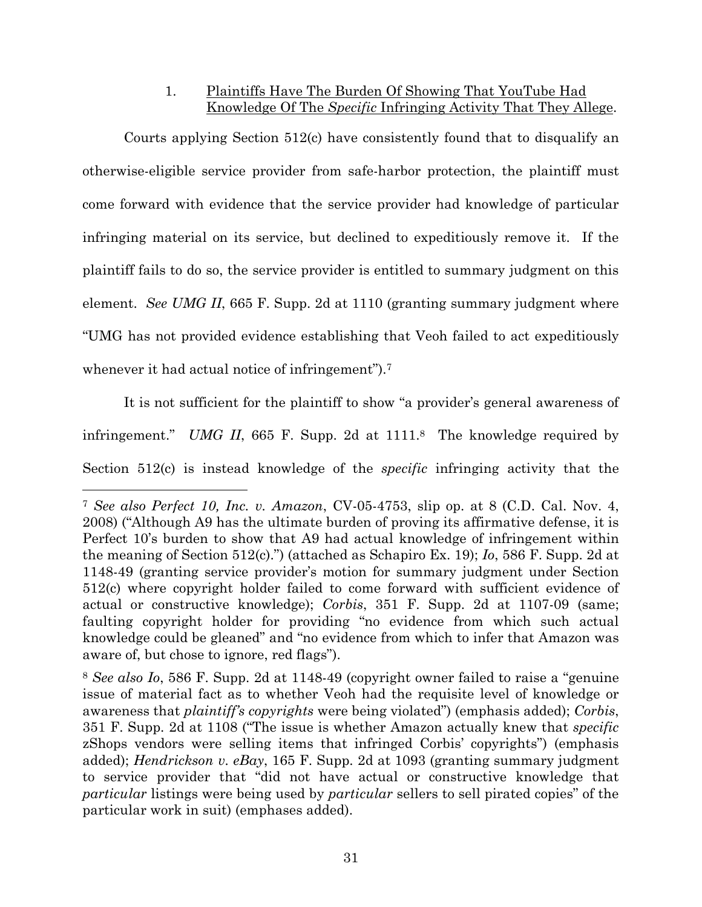1. Plaintiffs Have The Burden Of Showing That YouTube Had Knowledge Of The *Specific* Infringing Activity That They Allege.

Courts applying Section 512(c) have consistently found that to disqualify an otherwise-eligible service provider from safe-harbor protection, the plaintiff must come forward with evidence that the service provider had knowledge of particular infringing material on its service, but declined to expeditiously remove it. If the plaintiff fails to do so, the service provider is entitled to summary judgment on this element. *See UMG II*, 665 F. Supp. 2d at 1110 (granting summary judgment where "UMG has not provided evidence establishing that Veoh failed to act expeditiously whenever it had actual notice of infringement").<sup>7</sup>

It is not sufficient for the plaintiff to show "a provider's general awareness of infringement." *UMG II*, 665 F. Supp. 2d at 1111.<sup>8</sup> The knowledge required by Section 512(c) is instead knowledge of the *specific* infringing activity that the

<sup>7</sup> *See also Perfect 10, Inc. v. Amazon*, CV-05-4753, slip op. at 8 (C.D. Cal. Nov. 4, 2008) ("Although A9 has the ultimate burden of proving its affirmative defense, it is Perfect 10's burden to show that A9 had actual knowledge of infringement within the meaning of Section 512(c).") (attached as Schapiro Ex. 19); *Io*, 586 F. Supp. 2d at 1148-49 (granting service provider's motion for summary judgment under Section 512(c) where copyright holder failed to come forward with sufficient evidence of actual or constructive knowledge); *Corbis*, 351 F. Supp. 2d at 1107-09 (same; faulting copyright holder for providing "no evidence from which such actual knowledge could be gleaned" and "no evidence from which to infer that Amazon was aware of, but chose to ignore, red flags").

<sup>8</sup> *See also Io*, 586 F. Supp. 2d at 1148-49 (copyright owner failed to raise a "genuine issue of material fact as to whether Veoh had the requisite level of knowledge or awareness that *plaintiff's copyrights* were being violated") (emphasis added); *Corbis*, 351 F. Supp. 2d at 1108 ("The issue is whether Amazon actually knew that *specific* zShops vendors were selling items that infringed Corbis' copyrights") (emphasis added); *Hendrickson v. eBay*, 165 F. Supp. 2d at 1093 (granting summary judgment to service provider that "did not have actual or constructive knowledge that *particular* listings were being used by *particular* sellers to sell pirated copies" of the particular work in suit) (emphases added).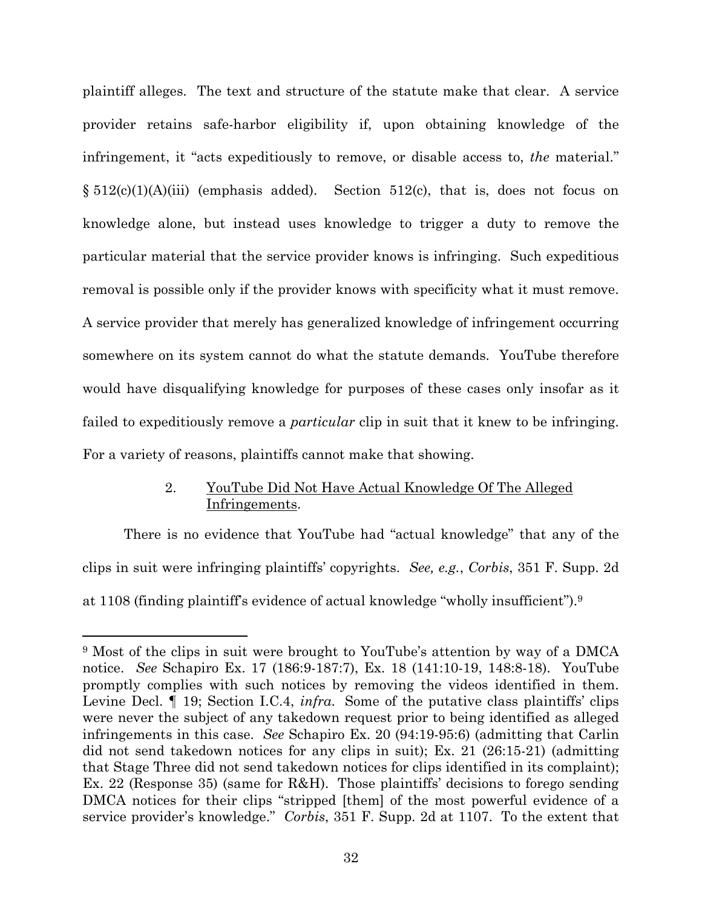plaintiff alleges. The text and structure of the statute make that clear. A service provider retains safe-harbor eligibility if, upon obtaining knowledge of the infringement, it "acts expeditiously to remove, or disable access to, *the* material."  $\S 512(c)(1)(A)(iii)$  (emphasis added). Section 512(c), that is, does not focus on knowledge alone, but instead uses knowledge to trigger a duty to remove the particular material that the service provider knows is infringing. Such expeditious removal is possible only if the provider knows with specificity what it must remove. A service provider that merely has generalized knowledge of infringement occurring somewhere on its system cannot do what the statute demands. YouTube therefore would have disqualifying knowledge for purposes of these cases only insofar as it failed to expeditiously remove a *particular* clip in suit that it knew to be infringing. For a variety of reasons, plaintiffs cannot make that showing.

# 2. YouTube Did Not Have Actual Knowledge Of The Alleged Infringements.

There is no evidence that YouTube had "actual knowledge" that any of the clips in suit were infringing plaintiffs' copyrights. *See, e.g.*, *Corbis*, 351 F. Supp. 2d at 1108 (finding plaintiff's evidence of actual knowledge "wholly insufficient").<sup>9</sup>

<sup>9</sup> Most of the clips in suit were brought to YouTube's attention by way of a DMCA notice. *See* Schapiro Ex. 17 (186:9-187:7), Ex. 18 (141:10-19, 148:8-18). YouTube promptly complies with such notices by removing the videos identified in them. Levine Decl. ¶ 19; Section I.C.4, *infra*. Some of the putative class plaintiffs' clips were never the subject of any takedown request prior to being identified as alleged infringements in this case. *See* Schapiro Ex. 20 (94:19-95:6) (admitting that Carlin did not send takedown notices for any clips in suit); Ex. 21 (26:15-21) (admitting that Stage Three did not send takedown notices for clips identified in its complaint); Ex. 22 (Response 35) (same for R&H). Those plaintiffs' decisions to forego sending DMCA notices for their clips "stripped [them] of the most powerful evidence of a service provider's knowledge." *Corbis*, 351 F. Supp. 2d at 1107. To the extent that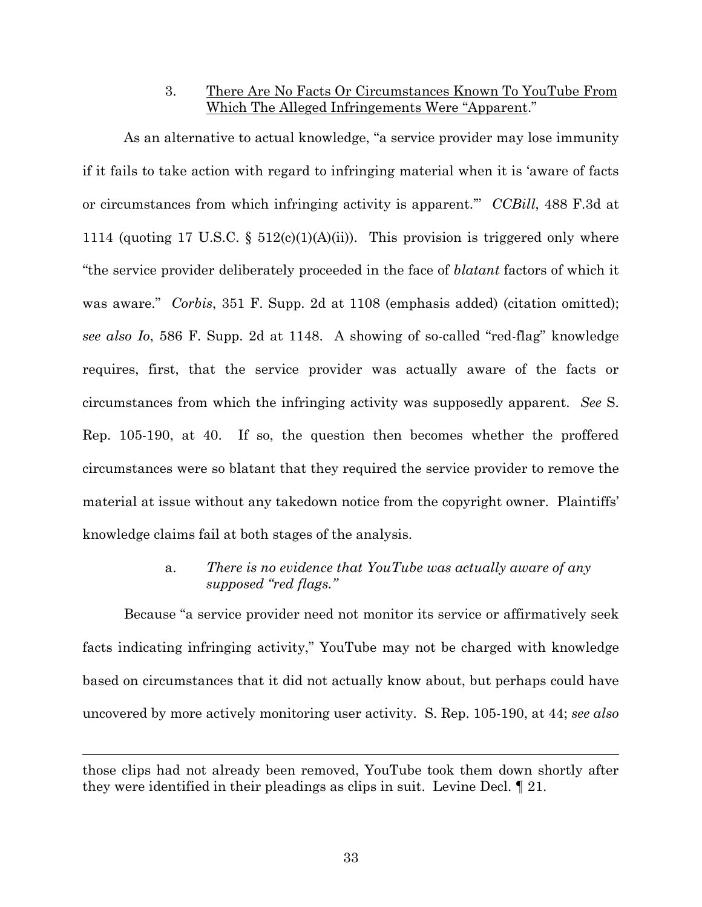3. There Are No Facts Or Circumstances Known To YouTube From Which The Alleged Infringements Were "Apparent."

As an alternative to actual knowledge, "a service provider may lose immunity if it fails to take action with regard to infringing material when it is 'aware of facts or circumstances from which infringing activity is apparent.'" *CCBill*, 488 F.3d at 1114 (quoting 17 U.S.C.  $\S$  512(c)(1)(A)(ii)). This provision is triggered only where "the service provider deliberately proceeded in the face of *blatant* factors of which it was aware." *Corbis*, 351 F. Supp. 2d at 1108 (emphasis added) (citation omitted); *see also Io*, 586 F. Supp. 2d at 1148. A showing of so-called "red-flag" knowledge requires, first, that the service provider was actually aware of the facts or circumstances from which the infringing activity was supposedly apparent. *See* S. Rep. 105-190, at 40. If so, the question then becomes whether the proffered circumstances were so blatant that they required the service provider to remove the material at issue without any takedown notice from the copyright owner. Plaintiffs' knowledge claims fail at both stages of the analysis.

> a. *There is no evidence that YouTube was actually aware of any supposed "red flags."*

Because "a service provider need not monitor its service or affirmatively seek facts indicating infringing activity," YouTube may not be charged with knowledge based on circumstances that it did not actually know about, but perhaps could have uncovered by more actively monitoring user activity. S. Rep. 105-190, at 44; *see also*

those clips had not already been removed, YouTube took them down shortly after they were identified in their pleadings as clips in suit. Levine Decl. ¶ 21.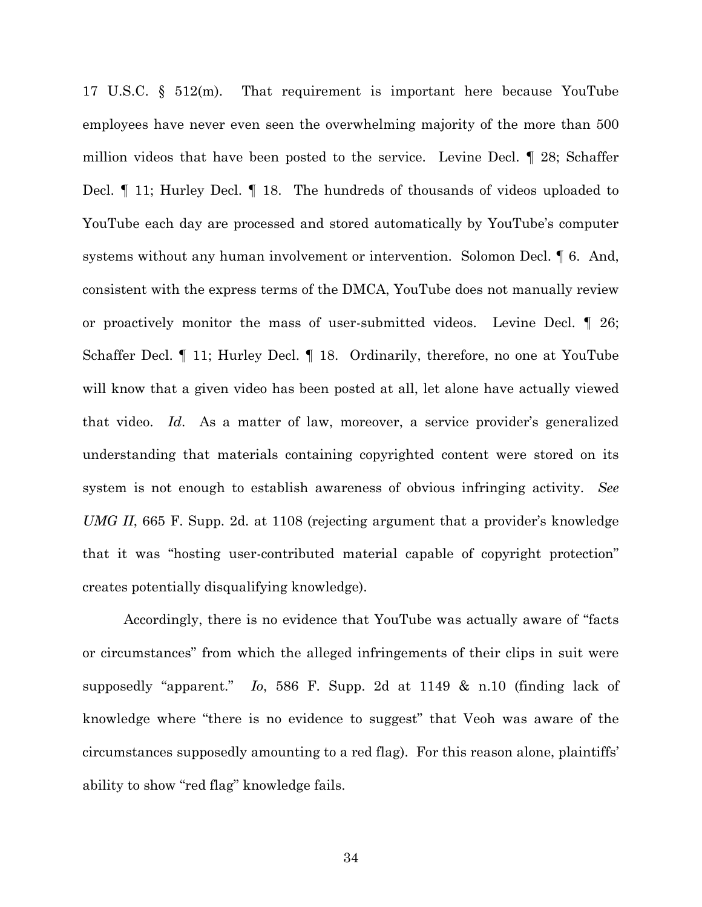17 U.S.C. § 512(m). That requirement is important here because YouTube employees have never even seen the overwhelming majority of the more than 500 million videos that have been posted to the service. Levine Decl. ¶ 28; Schaffer Decl. ¶ 11; Hurley Decl. ¶ 18. The hundreds of thousands of videos uploaded to YouTube each day are processed and stored automatically by YouTube's computer systems without any human involvement or intervention. Solomon Decl. ¶ 6. And, consistent with the express terms of the DMCA, YouTube does not manually review or proactively monitor the mass of user-submitted videos. Levine Decl. ¶ 26; Schaffer Decl. ¶ 11; Hurley Decl. ¶ 18. Ordinarily, therefore, no one at YouTube will know that a given video has been posted at all, let alone have actually viewed that video. *Id*. As a matter of law, moreover, a service provider's generalized understanding that materials containing copyrighted content were stored on its system is not enough to establish awareness of obvious infringing activity. *See UMG II*, 665 F. Supp. 2d. at 1108 (rejecting argument that a provider's knowledge that it was "hosting user-contributed material capable of copyright protection" creates potentially disqualifying knowledge).

Accordingly, there is no evidence that YouTube was actually aware of "facts or circumstances" from which the alleged infringements of their clips in suit were supposedly "apparent." *Io*, 586 F. Supp. 2d at 1149 & n.10 (finding lack of knowledge where "there is no evidence to suggest" that Veoh was aware of the circumstances supposedly amounting to a red flag). For this reason alone, plaintiffs' ability to show "red flag" knowledge fails.

34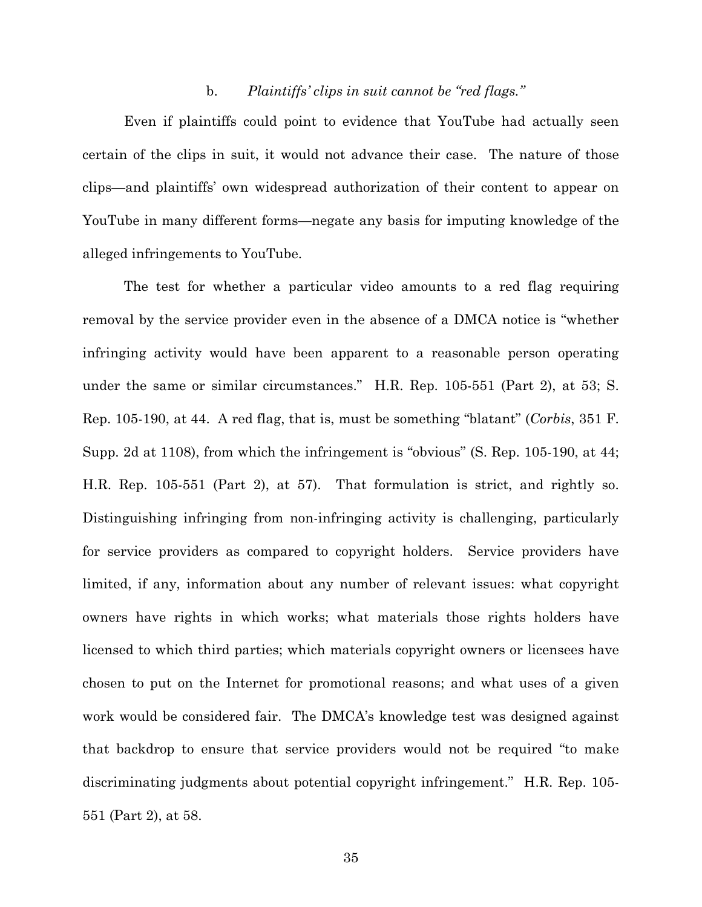#### b. *Plaintiffs' clips in suit cannot be "red flags."*

Even if plaintiffs could point to evidence that YouTube had actually seen certain of the clips in suit, it would not advance their case. The nature of those clips—and plaintiffs' own widespread authorization of their content to appear on YouTube in many different forms—negate any basis for imputing knowledge of the alleged infringements to YouTube.

The test for whether a particular video amounts to a red flag requiring removal by the service provider even in the absence of a DMCA notice is "whether infringing activity would have been apparent to a reasonable person operating under the same or similar circumstances." H.R. Rep. 105-551 (Part 2), at 53; S. Rep. 105-190, at 44. A red flag, that is, must be something "blatant" (*Corbis*, 351 F. Supp. 2d at 1108), from which the infringement is "obvious" (S. Rep. 105-190, at 44; H.R. Rep. 105-551 (Part 2), at 57). That formulation is strict, and rightly so. Distinguishing infringing from non-infringing activity is challenging, particularly for service providers as compared to copyright holders. Service providers have limited, if any, information about any number of relevant issues: what copyright owners have rights in which works; what materials those rights holders have licensed to which third parties; which materials copyright owners or licensees have chosen to put on the Internet for promotional reasons; and what uses of a given work would be considered fair. The DMCA's knowledge test was designed against that backdrop to ensure that service providers would not be required "to make discriminating judgments about potential copyright infringement." H.R. Rep. 105- 551 (Part 2), at 58.

35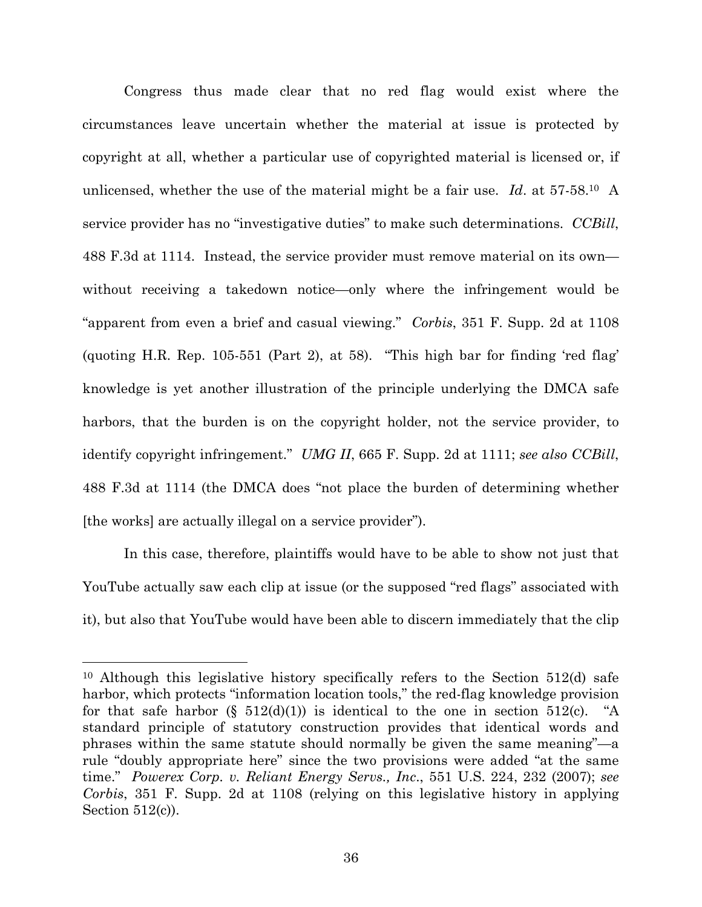Congress thus made clear that no red flag would exist where the circumstances leave uncertain whether the material at issue is protected by copyright at all, whether a particular use of copyrighted material is licensed or, if unlicensed, whether the use of the material might be a fair use. *Id*. at 57-58.<sup>10</sup> A service provider has no "investigative duties" to make such determinations. *CCBill*, 488 F.3d at 1114. Instead, the service provider must remove material on its own without receiving a takedown notice—only where the infringement would be "apparent from even a brief and casual viewing." *Corbis*, 351 F. Supp. 2d at 1108 (quoting H.R. Rep. 105-551 (Part 2), at 58). "This high bar for finding 'red flag' knowledge is yet another illustration of the principle underlying the DMCA safe harbors, that the burden is on the copyright holder, not the service provider, to identify copyright infringement." *UMG II*, 665 F. Supp. 2d at 1111; *see also CCBill*, 488 F.3d at 1114 (the DMCA does "not place the burden of determining whether [the works] are actually illegal on a service provider").

In this case, therefore, plaintiffs would have to be able to show not just that YouTube actually saw each clip at issue (or the supposed "red flags" associated with it), but also that YouTube would have been able to discern immediately that the clip

<sup>10</sup> Although this legislative history specifically refers to the Section 512(d) safe harbor, which protects "information location tools," the red-flag knowledge provision for that safe harbor  $(\S 512(d)(1))$  is identical to the one in section 512(c). "A standard principle of statutory construction provides that identical words and phrases within the same statute should normally be given the same meaning"—a rule "doubly appropriate here" since the two provisions were added "at the same time." *Powerex Corp. v. Reliant Energy Servs., Inc*., 551 U.S. 224, 232 (2007); *see Corbis*, 351 F. Supp. 2d at 1108 (relying on this legislative history in applying Section  $512(c)$ ).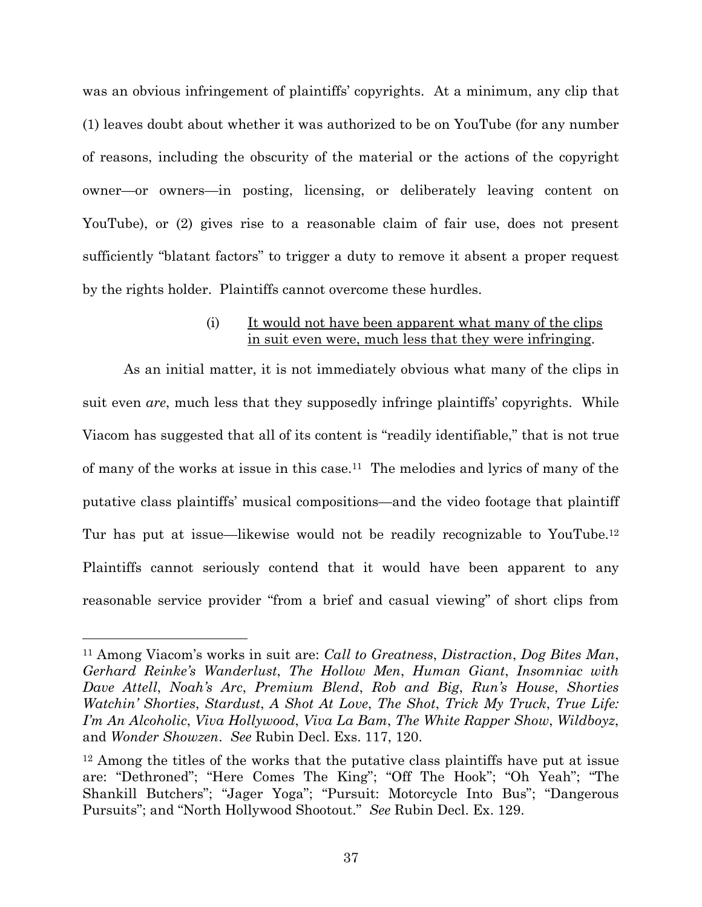was an obvious infringement of plaintiffs' copyrights. At a minimum, any clip that (1) leaves doubt about whether it was authorized to be on YouTube (for any number of reasons, including the obscurity of the material or the actions of the copyright owner—or owners—in posting, licensing, or deliberately leaving content on YouTube), or (2) gives rise to a reasonable claim of fair use, does not present sufficiently "blatant factors" to trigger a duty to remove it absent a proper request by the rights holder. Plaintiffs cannot overcome these hurdles.

### (i) It would not have been apparent what many of the clips in suit even were, much less that they were infringing.

As an initial matter, it is not immediately obvious what many of the clips in suit even *are*, much less that they supposedly infringe plaintiffs' copyrights. While Viacom has suggested that all of its content is "readily identifiable," that is not true of many of the works at issue in this case.<sup>11</sup> The melodies and lyrics of many of the putative class plaintiffs' musical compositions—and the video footage that plaintiff Tur has put at issue—likewise would not be readily recognizable to YouTube.<sup>12</sup> Plaintiffs cannot seriously contend that it would have been apparent to any reasonable service provider "from a brief and casual viewing" of short clips from

<sup>11</sup> Among Viacom's works in suit are: *Call to Greatness*, *Distraction*, *Dog Bites Man*, *Gerhard Reinke's Wanderlust*, *The Hollow Men*, *Human Giant*, *Insomniac with Dave Attell*, *Noah's Arc*, *Premium Blend*, *Rob and Big*, *Run's House*, *Shorties Watchin' Shorties*, *Stardust*, *A Shot At Love*, *The Shot*, *Trick My Truck*, *True Life: I'm An Alcoholic*, *Viva Hollywood*, *Viva La Bam*, *The White Rapper Show*, *Wildboyz*, and *Wonder Showzen*. *See* Rubin Decl. Exs. 117, 120.

<sup>&</sup>lt;sup>12</sup> Among the titles of the works that the putative class plaintiffs have put at issue are: "Dethroned"; "Here Comes The King"; "Off The Hook"; "Oh Yeah"; "The Shankill Butchers"; "Jager Yoga"; "Pursuit: Motorcycle Into Bus"; "Dangerous Pursuits"; and "North Hollywood Shootout." *See* Rubin Decl. Ex. 129.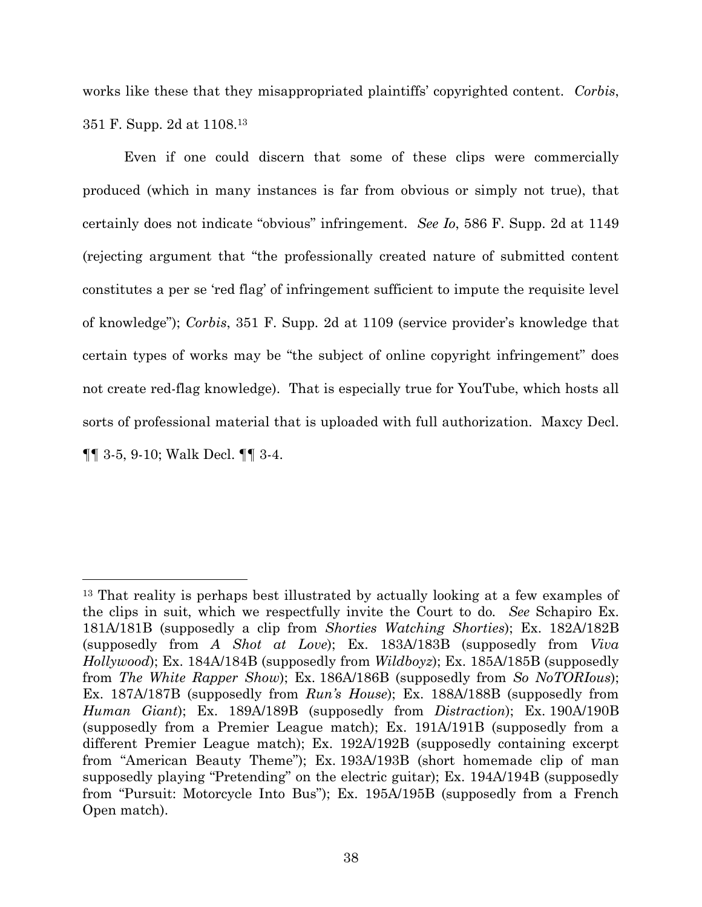works like these that they misappropriated plaintiffs' copyrighted content. *Corbis*, 351 F. Supp. 2d at 1108.<sup>13</sup>

Even if one could discern that some of these clips were commercially produced (which in many instances is far from obvious or simply not true), that certainly does not indicate "obvious" infringement. *See Io*, 586 F. Supp. 2d at 1149 (rejecting argument that "the professionally created nature of submitted content constitutes a per se 'red flag' of infringement sufficient to impute the requisite level of knowledge"); *Corbis*, 351 F. Supp. 2d at 1109 (service provider's knowledge that certain types of works may be "the subject of online copyright infringement" does not create red-flag knowledge). That is especially true for YouTube, which hosts all sorts of professional material that is uploaded with full authorization. Maxcy Decl. ¶¶ 3-5, 9-10; Walk Decl. ¶¶ 3-4.

<sup>13</sup> That reality is perhaps best illustrated by actually looking at a few examples of the clips in suit, which we respectfully invite the Court to do*. See* Schapiro Ex. 181A/181B (supposedly a clip from *Shorties Watching Shorties*); Ex. 182A/182B (supposedly from *A Shot at Love*); Ex. 183A/183B (supposedly from *Viva Hollywood*); Ex. 184A/184B (supposedly from *Wildboyz*); Ex. 185A/185B (supposedly from *The White Rapper Show*); Ex. 186A/186B (supposedly from *So NoTORIous*); Ex. 187A/187B (supposedly from *Run's House*); Ex. 188A/188B (supposedly from *Human Giant*); Ex. 189A/189B (supposedly from *Distraction*); Ex. 190A/190B (supposedly from a Premier League match); Ex. 191A/191B (supposedly from a different Premier League match); Ex. 192A/192B (supposedly containing excerpt from "American Beauty Theme"); Ex. 193A/193B (short homemade clip of man supposedly playing "Pretending" on the electric guitar); Ex. 194A/194B (supposedly from "Pursuit: Motorcycle Into Bus"); Ex. 195A/195B (supposedly from a French Open match).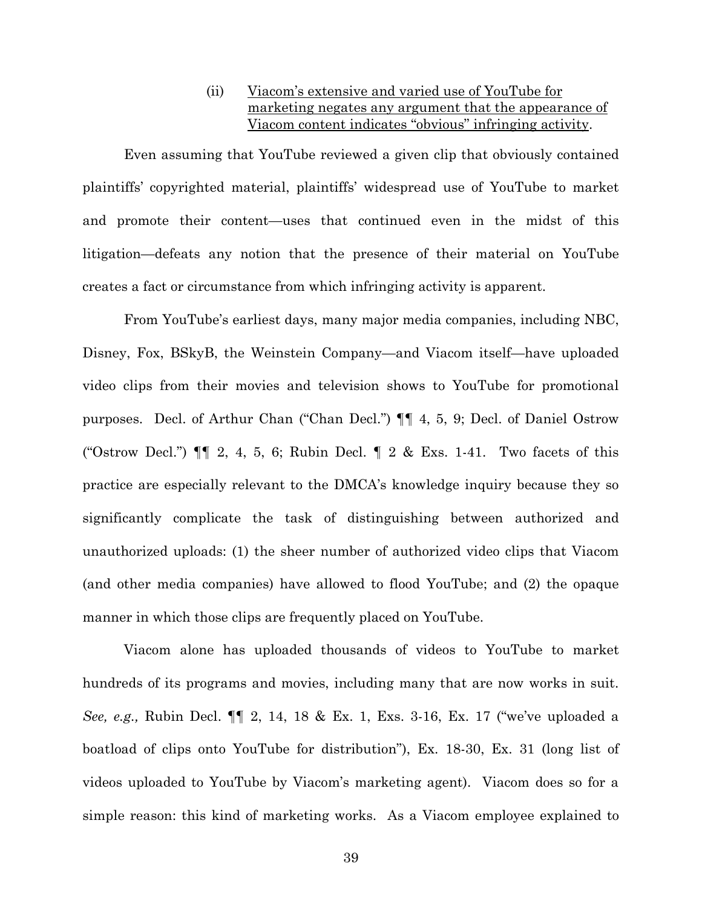### (ii) Viacom's extensive and varied use of YouTube for marketing negates any argument that the appearance of Viacom content indicates "obvious" infringing activity.

Even assuming that YouTube reviewed a given clip that obviously contained plaintiffs' copyrighted material, plaintiffs' widespread use of YouTube to market and promote their content—uses that continued even in the midst of this litigation—defeats any notion that the presence of their material on YouTube creates a fact or circumstance from which infringing activity is apparent.

From YouTube's earliest days, many major media companies, including NBC, Disney, Fox, BSkyB, the Weinstein Company—and Viacom itself—have uploaded video clips from their movies and television shows to YouTube for promotional purposes. Decl. of Arthur Chan ("Chan Decl.") ¶¶ 4, 5, 9; Decl. of Daniel Ostrow ("Ostrow Decl.")  $\P\P$  2, 4, 5, 6; Rubin Decl.  $\P$  2 & Exs. 1-41. Two facets of this practice are especially relevant to the DMCA's knowledge inquiry because they so significantly complicate the task of distinguishing between authorized and unauthorized uploads: (1) the sheer number of authorized video clips that Viacom (and other media companies) have allowed to flood YouTube; and (2) the opaque manner in which those clips are frequently placed on YouTube.

Viacom alone has uploaded thousands of videos to YouTube to market hundreds of its programs and movies, including many that are now works in suit. *See, e.g.,* Rubin Decl. ¶¶ 2, 14, 18 & Ex. 1, Exs. 3-16, Ex. 17 ("we've uploaded a boatload of clips onto YouTube for distribution"), Ex. 18-30, Ex. 31 (long list of videos uploaded to YouTube by Viacom's marketing agent). Viacom does so for a simple reason: this kind of marketing works. As a Viacom employee explained to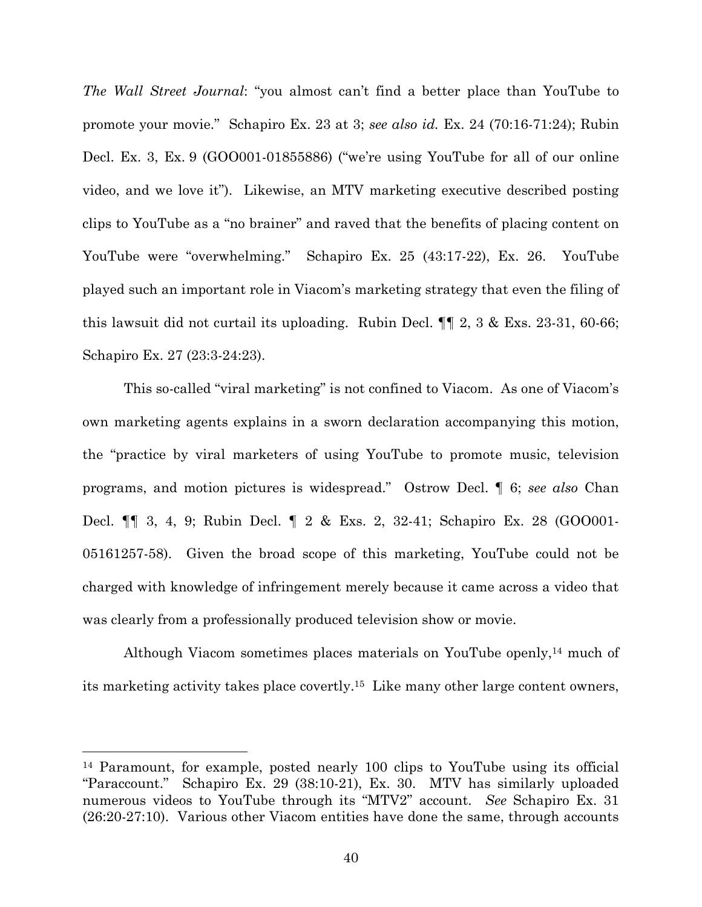*The Wall Street Journal*: "you almost can't find a better place than YouTube to promote your movie." Schapiro Ex. 23 at 3; *see also id.* Ex. 24 (70:16-71:24); Rubin Decl. Ex. 3, Ex. 9 (GOO001-01855886) ("we're using YouTube for all of our online video, and we love it"). Likewise, an MTV marketing executive described posting clips to YouTube as a "no brainer" and raved that the benefits of placing content on YouTube were "overwhelming." Schapiro Ex. 25 (43:17-22), Ex. 26. YouTube played such an important role in Viacom's marketing strategy that even the filing of this lawsuit did not curtail its uploading. Rubin Decl. ¶¶ 2, 3 & Exs. 23-31, 60-66; Schapiro Ex. 27 (23:3-24:23).

This so-called "viral marketing" is not confined to Viacom. As one of Viacom's own marketing agents explains in a sworn declaration accompanying this motion, the "practice by viral marketers of using YouTube to promote music, television programs, and motion pictures is widespread." Ostrow Decl. ¶ 6; *see also* Chan Decl. ¶¶ 3, 4, 9; Rubin Decl. ¶ 2 & Exs. 2, 32-41; Schapiro Ex. 28 (GOO001- 05161257-58). Given the broad scope of this marketing, YouTube could not be charged with knowledge of infringement merely because it came across a video that was clearly from a professionally produced television show or movie.

Although Viacom sometimes places materials on YouTube openly,<sup>14</sup> much of its marketing activity takes place covertly.<sup>15</sup> Like many other large content owners,

<sup>14</sup> Paramount, for example, posted nearly 100 clips to YouTube using its official "Paraccount." Schapiro Ex. 29 (38:10-21), Ex. 30. MTV has similarly uploaded numerous videos to YouTube through its "MTV2" account. *See* Schapiro Ex. 31 (26:20-27:10). Various other Viacom entities have done the same, through accounts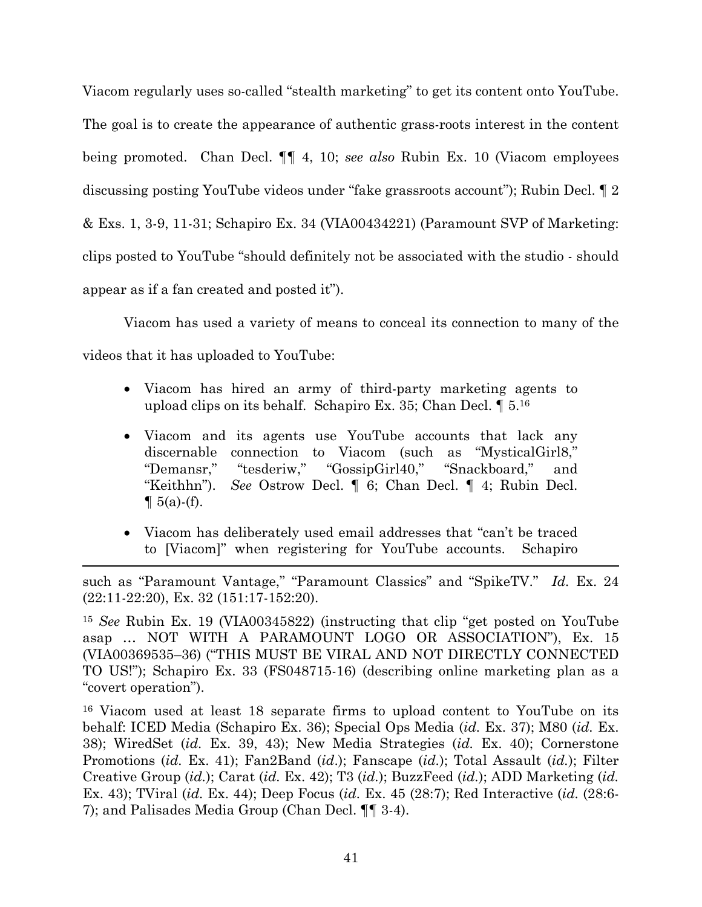Viacom regularly uses so-called "stealth marketing" to get its content onto YouTube. The goal is to create the appearance of authentic grass-roots interest in the content being promoted. Chan Decl. ¶¶ 4, 10; *see also* Rubin Ex. 10 (Viacom employees discussing posting YouTube videos under "fake grassroots account"); Rubin Decl. ¶ 2 & Exs. 1, 3-9, 11-31; Schapiro Ex. 34 (VIA00434221) (Paramount SVP of Marketing: clips posted to YouTube "should definitely not be associated with the studio - should appear as if a fan created and posted it").

Viacom has used a variety of means to conceal its connection to many of the videos that it has uploaded to YouTube:

- Viacom has hired an army of third-party marketing agents to upload clips on its behalf. Schapiro Ex. 35; Chan Decl. ¶ 5.<sup>16</sup>
- Viacom and its agents use YouTube accounts that lack any discernable connection to Viacom (such as "MysticalGirl8," "Demansr," "tesderiw," "GossipGirl40," "Snackboard," and "Keithhn"). *See* Ostrow Decl. ¶ 6; Chan Decl. ¶ 4; Rubin Decl.  $\P 5(a)$ -(f).
- Viacom has deliberately used email addresses that "can't be traced to [Viacom]" when registering for YouTube accounts. Schapiro

such as "Paramount Vantage," "Paramount Classics" and "SpikeTV." *Id.* Ex. 24 (22:11-22:20), Ex. 32 (151:17-152:20).

<sup>15</sup> *See* Rubin Ex. 19 (VIA00345822) (instructing that clip "get posted on YouTube asap … NOT WITH A PARAMOUNT LOGO OR ASSOCIATION"), Ex. 15 (VIA00369535–36) ("THIS MUST BE VIRAL AND NOT DIRECTLY CONNECTED TO US!"); Schapiro Ex. 33 (FS048715-16) (describing online marketing plan as a "covert operation").

<sup>16</sup> Viacom used at least 18 separate firms to upload content to YouTube on its behalf: ICED Media (Schapiro Ex. 36); Special Ops Media (*id.* Ex. 37); M80 (*id.* Ex. 38); WiredSet (*id.* Ex. 39, 43); New Media Strategies (*id.* Ex. 40); Cornerstone Promotions (*id.* Ex. 41); Fan2Band (*id*.); Fanscape (*id.*); Total Assault (*id.*); Filter Creative Group (*id.*); Carat (*id.* Ex. 42); T3 (*id.*); BuzzFeed (*id.*); ADD Marketing (*id.* Ex. 43); TViral (*id.* Ex. 44); Deep Focus (*id.* Ex. 45 (28:7); Red Interactive (*id.* (28:6- 7); and Palisades Media Group (Chan Decl. ¶¶ 3-4).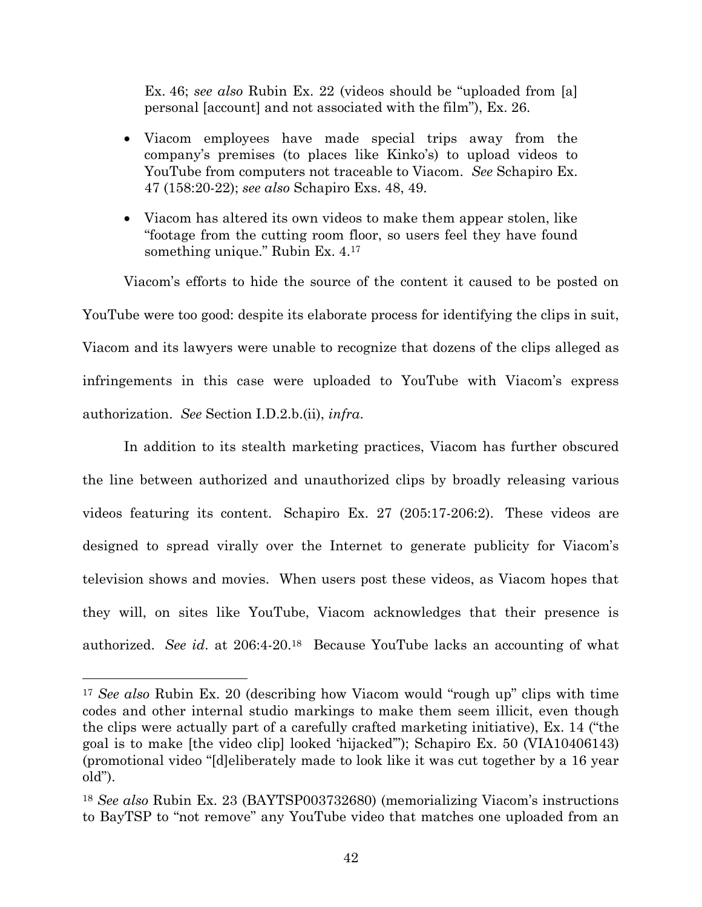Ex. 46; *see also* Rubin Ex. 22 (videos should be "uploaded from [a] personal [account] and not associated with the film"), Ex. 26.

- Viacom employees have made special trips away from the company's premises (to places like Kinko's) to upload videos to YouTube from computers not traceable to Viacom. *See* Schapiro Ex. 47 (158:20-22); *see also* Schapiro Exs. 48, 49.
- Viacom has altered its own videos to make them appear stolen, like "footage from the cutting room floor, so users feel they have found something unique." Rubin Ex. 4.<sup>17</sup>

Viacom's efforts to hide the source of the content it caused to be posted on YouTube were too good: despite its elaborate process for identifying the clips in suit, Viacom and its lawyers were unable to recognize that dozens of the clips alleged as infringements in this case were uploaded to YouTube with Viacom's express authorization. *See* Section I.D.2.b.(ii), *infra*.

In addition to its stealth marketing practices, Viacom has further obscured the line between authorized and unauthorized clips by broadly releasing various videos featuring its content. Schapiro Ex. 27 (205:17-206:2). These videos are designed to spread virally over the Internet to generate publicity for Viacom's television shows and movies. When users post these videos, as Viacom hopes that they will, on sites like YouTube, Viacom acknowledges that their presence is authorized. *See id*. at 206:4-20.<sup>18</sup> Because YouTube lacks an accounting of what

<sup>17</sup> *See also* Rubin Ex. 20 (describing how Viacom would "rough up" clips with time codes and other internal studio markings to make them seem illicit, even though the clips were actually part of a carefully crafted marketing initiative), Ex. 14 ("the goal is to make [the video clip] looked 'hijacked'"); Schapiro Ex. 50 (VIA10406143) (promotional video "[d]eliberately made to look like it was cut together by a 16 year old").

<sup>18</sup> *See also* Rubin Ex. 23 (BAYTSP003732680) (memorializing Viacom's instructions to BayTSP to "not remove" any YouTube video that matches one uploaded from an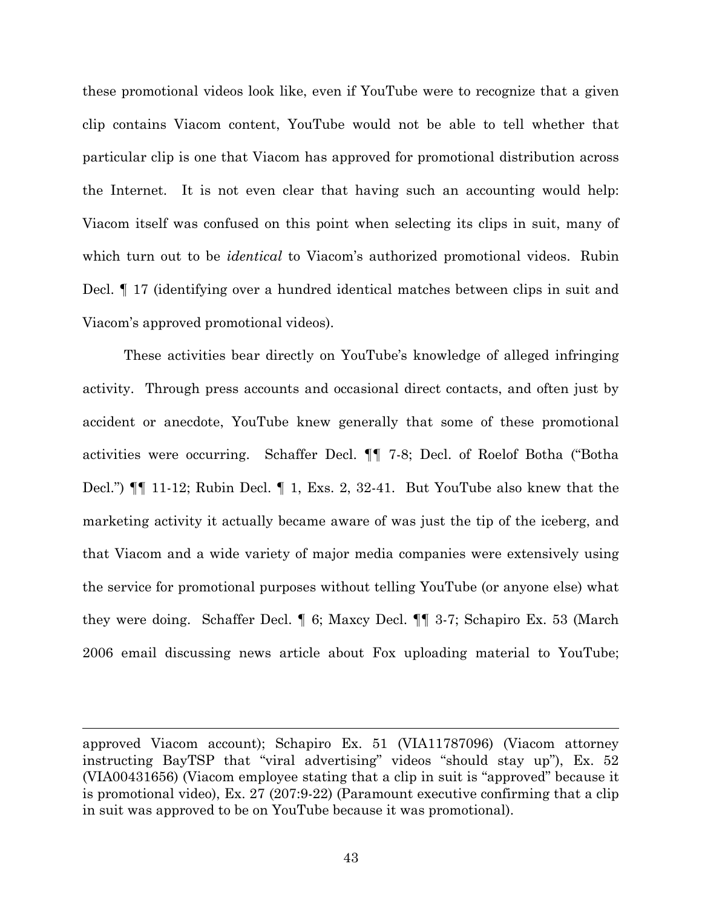these promotional videos look like, even if YouTube were to recognize that a given clip contains Viacom content, YouTube would not be able to tell whether that particular clip is one that Viacom has approved for promotional distribution across the Internet. It is not even clear that having such an accounting would help: Viacom itself was confused on this point when selecting its clips in suit, many of which turn out to be *identical* to Viacom's authorized promotional videos. Rubin Decl. ¶ 17 (identifying over a hundred identical matches between clips in suit and Viacom's approved promotional videos).

These activities bear directly on YouTube's knowledge of alleged infringing activity. Through press accounts and occasional direct contacts, and often just by accident or anecdote, YouTube knew generally that some of these promotional activities were occurring. Schaffer Decl. ¶¶ 7-8; Decl. of Roelof Botha ("Botha Decl.") ¶¶ 11-12; Rubin Decl. ¶ 1, Exs. 2, 32-41. But YouTube also knew that the marketing activity it actually became aware of was just the tip of the iceberg, and that Viacom and a wide variety of major media companies were extensively using the service for promotional purposes without telling YouTube (or anyone else) what they were doing. Schaffer Decl. ¶ 6; Maxcy Decl. ¶¶ 3-7; Schapiro Ex. 53 (March 2006 email discussing news article about Fox uploading material to YouTube;

approved Viacom account); Schapiro Ex. 51 (VIA11787096) (Viacom attorney instructing BayTSP that "viral advertising" videos "should stay up"), Ex. 52 (VIA00431656) (Viacom employee stating that a clip in suit is "approved" because it is promotional video), Ex. 27 (207:9-22) (Paramount executive confirming that a clip in suit was approved to be on YouTube because it was promotional).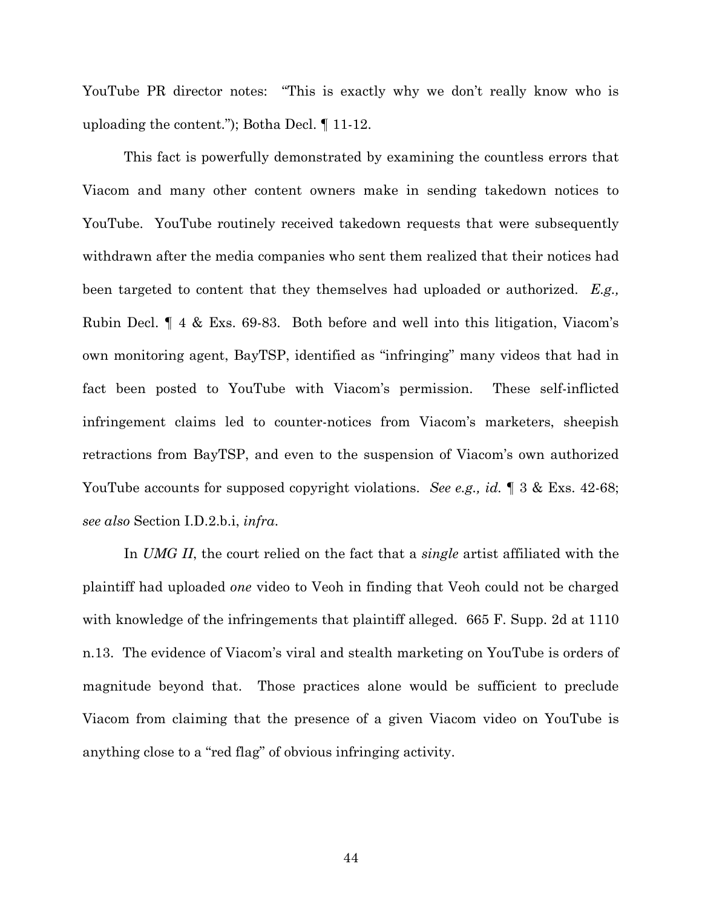YouTube PR director notes: "This is exactly why we don't really know who is uploading the content."); Botha Decl. ¶ 11-12.

This fact is powerfully demonstrated by examining the countless errors that Viacom and many other content owners make in sending takedown notices to YouTube. YouTube routinely received takedown requests that were subsequently withdrawn after the media companies who sent them realized that their notices had been targeted to content that they themselves had uploaded or authorized. *E.g.,* Rubin Decl. ¶ 4 & Exs. 69-83. Both before and well into this litigation, Viacom's own monitoring agent, BayTSP, identified as "infringing" many videos that had in fact been posted to YouTube with Viacom's permission. These self-inflicted infringement claims led to counter-notices from Viacom's marketers, sheepish retractions from BayTSP, and even to the suspension of Viacom's own authorized YouTube accounts for supposed copyright violations. *See e.g., id.* 1 3 & Exs. 42-68; *see also* Section I.D.2.b.i, *infra*.

In *UMG II*, the court relied on the fact that a *single* artist affiliated with the plaintiff had uploaded *one* video to Veoh in finding that Veoh could not be charged with knowledge of the infringements that plaintiff alleged. 665 F. Supp. 2d at 1110 n.13. The evidence of Viacom's viral and stealth marketing on YouTube is orders of magnitude beyond that. Those practices alone would be sufficient to preclude Viacom from claiming that the presence of a given Viacom video on YouTube is anything close to a "red flag" of obvious infringing activity.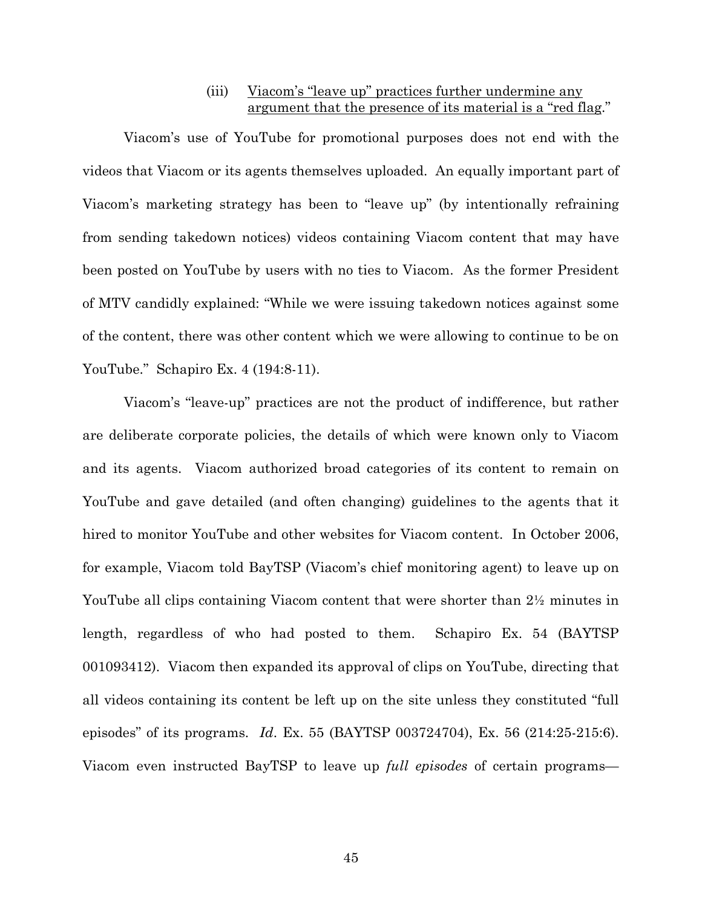### (iii) Viacom's "leave up" practices further undermine any argument that the presence of its material is a "red flag."

Viacom's use of YouTube for promotional purposes does not end with the videos that Viacom or its agents themselves uploaded. An equally important part of Viacom's marketing strategy has been to "leave up" (by intentionally refraining from sending takedown notices) videos containing Viacom content that may have been posted on YouTube by users with no ties to Viacom. As the former President of MTV candidly explained: "While we were issuing takedown notices against some of the content, there was other content which we were allowing to continue to be on YouTube." Schapiro Ex. 4 (194:8-11).

Viacom's "leave-up" practices are not the product of indifference, but rather are deliberate corporate policies, the details of which were known only to Viacom and its agents. Viacom authorized broad categories of its content to remain on YouTube and gave detailed (and often changing) guidelines to the agents that it hired to monitor YouTube and other websites for Viacom content. In October 2006, for example, Viacom told BayTSP (Viacom's chief monitoring agent) to leave up on YouTube all clips containing Viacom content that were shorter than 2<sup>1</sup>/<sub>2</sub> minutes in length, regardless of who had posted to them. Schapiro Ex. 54 (BAYTSP 001093412). Viacom then expanded its approval of clips on YouTube, directing that all videos containing its content be left up on the site unless they constituted "full episodes" of its programs. *Id*. Ex. 55 (BAYTSP 003724704), Ex. 56 (214:25-215:6). Viacom even instructed BayTSP to leave up *full episodes* of certain programs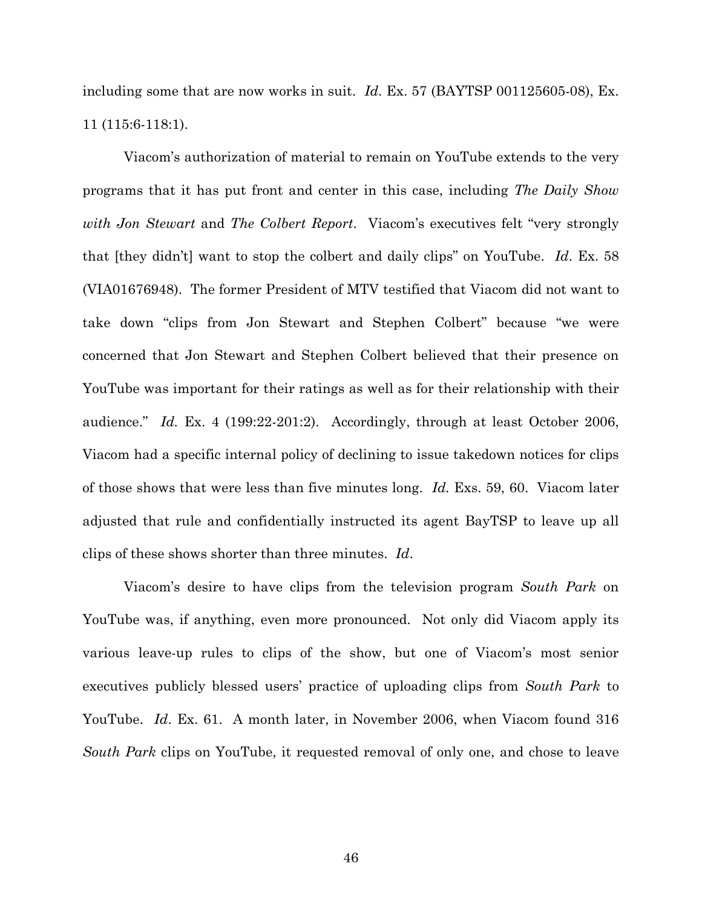including some that are now works in suit. *Id*. Ex. 57 (BAYTSP 001125605-08), Ex. 11 (115:6-118:1).

Viacom's authorization of material to remain on YouTube extends to the very programs that it has put front and center in this case, including *The Daily Show with Jon Stewart* and *The Colbert Report*. Viacom's executives felt "very strongly that [they didn't] want to stop the colbert and daily clips" on YouTube. *Id*. Ex. 58 (VIA01676948). The former President of MTV testified that Viacom did not want to take down "clips from Jon Stewart and Stephen Colbert" because "we were concerned that Jon Stewart and Stephen Colbert believed that their presence on YouTube was important for their ratings as well as for their relationship with their audience." *Id.* Ex. 4 (199:22-201:2). Accordingly, through at least October 2006, Viacom had a specific internal policy of declining to issue takedown notices for clips of those shows that were less than five minutes long. *Id.* Exs. 59, 60. Viacom later adjusted that rule and confidentially instructed its agent BayTSP to leave up all clips of these shows shorter than three minutes. *Id*.

Viacom's desire to have clips from the television program *South Park* on YouTube was, if anything, even more pronounced. Not only did Viacom apply its various leave-up rules to clips of the show, but one of Viacom's most senior executives publicly blessed users' practice of uploading clips from *South Park* to YouTube. *Id*. Ex. 61. A month later, in November 2006, when Viacom found 316 *South Park* clips on YouTube, it requested removal of only one, and chose to leave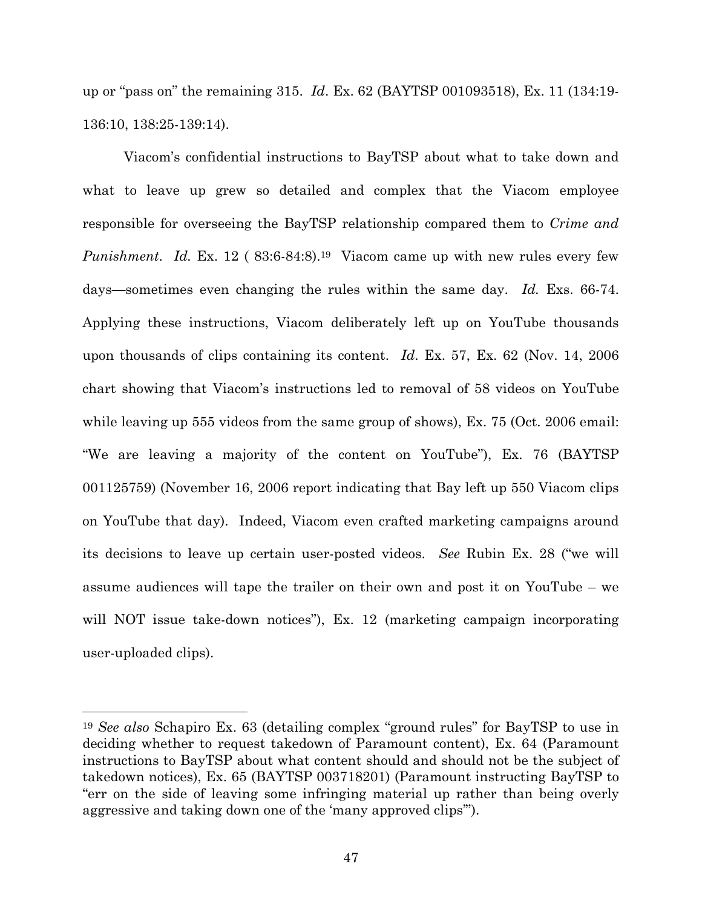up or "pass on" the remaining 315. *Id*. Ex. 62 (BAYTSP 001093518), Ex. 11 (134:19- 136:10, 138:25-139:14).

Viacom's confidential instructions to BayTSP about what to take down and what to leave up grew so detailed and complex that the Viacom employee responsible for overseeing the BayTSP relationship compared them to *Crime and Punishment. Id.* Ex. 12 (83:6-84:8).<sup>19</sup> Viacom came up with new rules every few days—sometimes even changing the rules within the same day. *Id.* Exs. 66-74. Applying these instructions, Viacom deliberately left up on YouTube thousands upon thousands of clips containing its content. *Id*. Ex. 57, Ex. 62 (Nov. 14, 2006 chart showing that Viacom's instructions led to removal of 58 videos on YouTube while leaving up 555 videos from the same group of shows), Ex. 75 (Oct. 2006 email: "We are leaving a majority of the content on YouTube"), Ex. 76 (BAYTSP 001125759) (November 16, 2006 report indicating that Bay left up 550 Viacom clips on YouTube that day). Indeed, Viacom even crafted marketing campaigns around its decisions to leave up certain user-posted videos. *See* Rubin Ex. 28 ("we will assume audiences will tape the trailer on their own and post it on YouTube – we will NOT issue take-down notices"), Ex. 12 (marketing campaign incorporating user-uploaded clips).

<sup>19</sup> *See also* Schapiro Ex. 63 (detailing complex "ground rules" for BayTSP to use in deciding whether to request takedown of Paramount content), Ex. 64 (Paramount instructions to BayTSP about what content should and should not be the subject of takedown notices), Ex. 65 (BAYTSP 003718201) (Paramount instructing BayTSP to "err on the side of leaving some infringing material up rather than being overly aggressive and taking down one of the 'many approved clips'").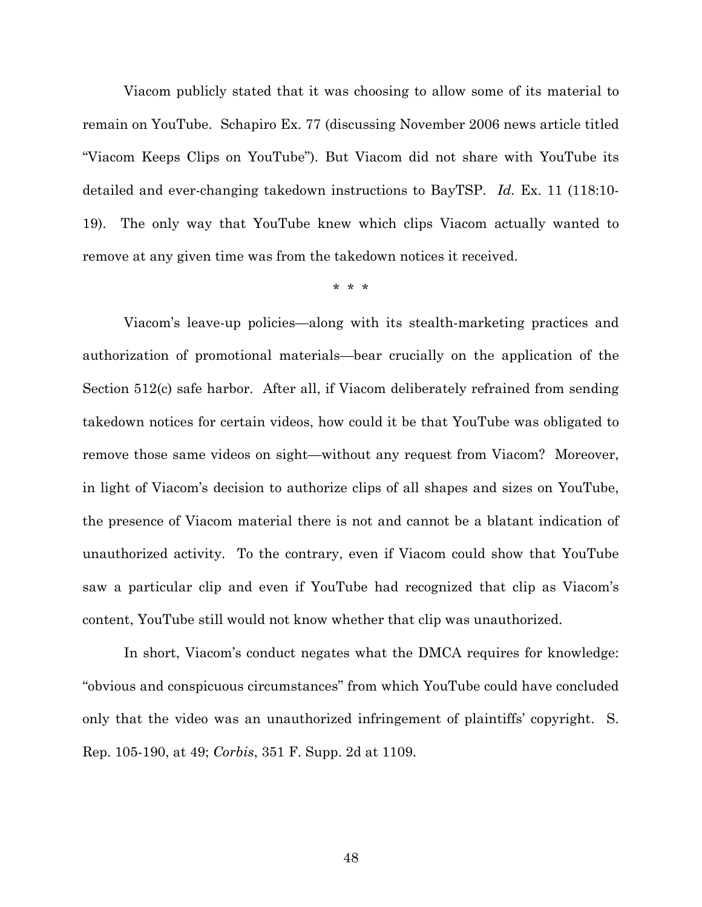Viacom publicly stated that it was choosing to allow some of its material to remain on YouTube. Schapiro Ex. 77 (discussing November 2006 news article titled "Viacom Keeps Clips on YouTube"). But Viacom did not share with YouTube its detailed and ever-changing takedown instructions to BayTSP. *Id.* Ex. 11 (118:10- 19). The only way that YouTube knew which clips Viacom actually wanted to remove at any given time was from the takedown notices it received.

\* \* \*

Viacom's leave-up policies—along with its stealth-marketing practices and authorization of promotional materials—bear crucially on the application of the Section 512(c) safe harbor. After all, if Viacom deliberately refrained from sending takedown notices for certain videos, how could it be that YouTube was obligated to remove those same videos on sight—without any request from Viacom? Moreover, in light of Viacom's decision to authorize clips of all shapes and sizes on YouTube, the presence of Viacom material there is not and cannot be a blatant indication of unauthorized activity. To the contrary, even if Viacom could show that YouTube saw a particular clip and even if YouTube had recognized that clip as Viacom's content, YouTube still would not know whether that clip was unauthorized.

In short, Viacom's conduct negates what the DMCA requires for knowledge: "obvious and conspicuous circumstances" from which YouTube could have concluded only that the video was an unauthorized infringement of plaintiffs' copyright. S. Rep. 105-190, at 49; *Corbis*, 351 F. Supp. 2d at 1109.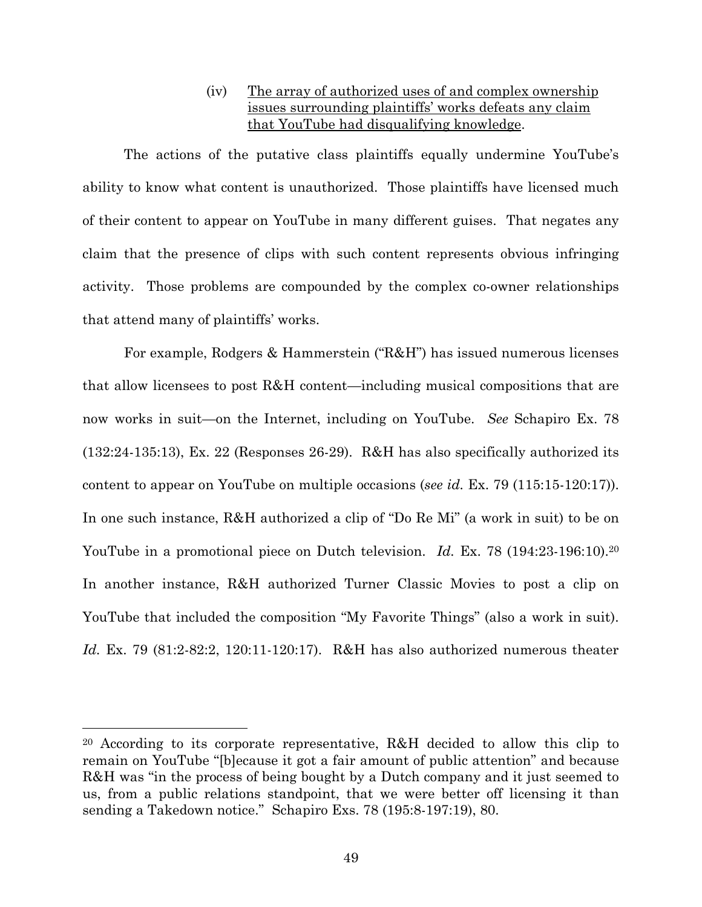### (iv) The array of authorized uses of and complex ownership issues surrounding plaintiffs' works defeats any claim that YouTube had disqualifying knowledge.

The actions of the putative class plaintiffs equally undermine YouTube's ability to know what content is unauthorized. Those plaintiffs have licensed much of their content to appear on YouTube in many different guises. That negates any claim that the presence of clips with such content represents obvious infringing activity. Those problems are compounded by the complex co-owner relationships that attend many of plaintiffs' works.

For example, Rodgers & Hammerstein ("R&H") has issued numerous licenses that allow licensees to post R&H content—including musical compositions that are now works in suit—on the Internet, including on YouTube. *See* Schapiro Ex. 78 (132:24-135:13), Ex. 22 (Responses 26-29). R&H has also specifically authorized its content to appear on YouTube on multiple occasions (*see id.* Ex. 79 (115:15-120:17)). In one such instance, R&H authorized a clip of "Do Re Mi" (a work in suit) to be on YouTube in a promotional piece on Dutch television. *Id.* Ex. 78 (194:23-196:10).<sup>20</sup> In another instance, R&H authorized Turner Classic Movies to post a clip on YouTube that included the composition "My Favorite Things" (also a work in suit). *Id.* Ex. 79 (81:2-82:2, 120:11-120:17). R&H has also authorized numerous theater

<sup>20</sup> According to its corporate representative, R&H decided to allow this clip to remain on YouTube "[b]ecause it got a fair amount of public attention" and because R&H was "in the process of being bought by a Dutch company and it just seemed to us, from a public relations standpoint, that we were better off licensing it than sending a Takedown notice." Schapiro Exs. 78 (195:8-197:19), 80.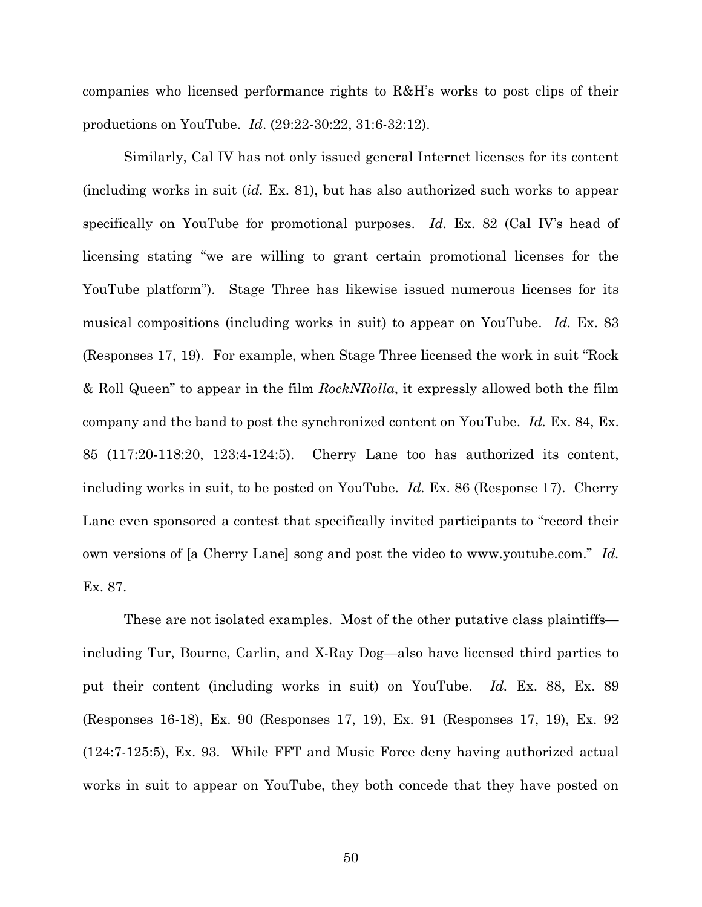companies who licensed performance rights to R&H's works to post clips of their productions on YouTube. *Id*. (29:22-30:22, 31:6-32:12).

Similarly, Cal IV has not only issued general Internet licenses for its content (including works in suit (*id.* Ex. 81), but has also authorized such works to appear specifically on YouTube for promotional purposes. *Id.* Ex. 82 (Cal IV's head of licensing stating "we are willing to grant certain promotional licenses for the YouTube platform"). Stage Three has likewise issued numerous licenses for its musical compositions (including works in suit) to appear on YouTube. *Id.* Ex. 83 (Responses 17, 19). For example, when Stage Three licensed the work in suit "Rock & Roll Queen" to appear in the film *RockNRolla*, it expressly allowed both the film company and the band to post the synchronized content on YouTube. *Id.* Ex. 84, Ex. 85 (117:20-118:20, 123:4-124:5). Cherry Lane too has authorized its content, including works in suit, to be posted on YouTube. *Id.* Ex. 86 (Response 17). Cherry Lane even sponsored a contest that specifically invited participants to "record their own versions of [a Cherry Lane] song and post the video to www.youtube.com." *Id.* Ex. 87.

These are not isolated examples. Most of the other putative class plaintiffs including Tur, Bourne, Carlin, and X-Ray Dog—also have licensed third parties to put their content (including works in suit) on YouTube. *Id.* Ex. 88, Ex. 89 (Responses 16-18), Ex. 90 (Responses 17, 19), Ex. 91 (Responses 17, 19), Ex. 92 (124:7-125:5), Ex. 93. While FFT and Music Force deny having authorized actual works in suit to appear on YouTube, they both concede that they have posted on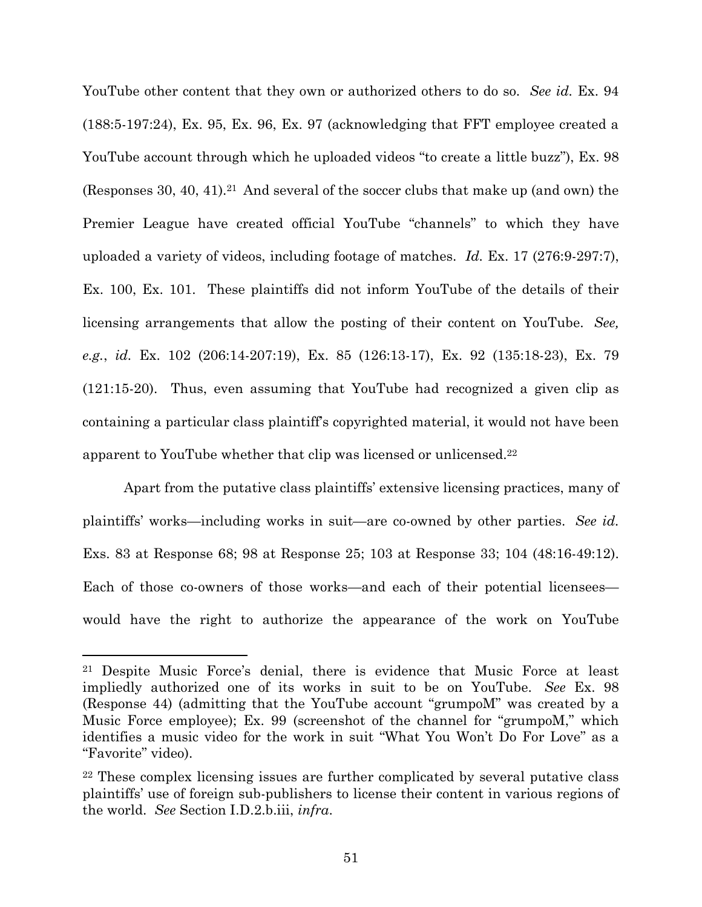YouTube other content that they own or authorized others to do so. *See id.* Ex. 94 (188:5-197:24), Ex. 95, Ex. 96, Ex. 97 (acknowledging that FFT employee created a YouTube account through which he uploaded videos "to create a little buzz"), Ex. 98 (Responses 30, 40, 41).<sup>21</sup> And several of the soccer clubs that make up (and own) the Premier League have created official YouTube "channels" to which they have uploaded a variety of videos, including footage of matches. *Id.* Ex. 17 (276:9-297:7), Ex. 100, Ex. 101. These plaintiffs did not inform YouTube of the details of their licensing arrangements that allow the posting of their content on YouTube. *See, e.g.*, *id.* Ex. 102 (206:14-207:19), Ex. 85 (126:13-17), Ex. 92 (135:18-23), Ex. 79 (121:15-20). Thus, even assuming that YouTube had recognized a given clip as containing a particular class plaintiff's copyrighted material, it would not have been apparent to YouTube whether that clip was licensed or unlicensed.<sup>22</sup>

Apart from the putative class plaintiffs' extensive licensing practices, many of plaintiffs' works—including works in suit—are co-owned by other parties. *See id.* Exs. 83 at Response 68; 98 at Response 25; 103 at Response 33; 104 (48:16-49:12). Each of those co-owners of those works—and each of their potential licensees would have the right to authorize the appearance of the work on YouTube

<sup>21</sup> Despite Music Force's denial, there is evidence that Music Force at least impliedly authorized one of its works in suit to be on YouTube. *See* Ex. 98 (Response 44) (admitting that the YouTube account "grumpoM" was created by a Music Force employee); Ex. 99 (screenshot of the channel for "grumpoM," which identifies a music video for the work in suit "What You Won't Do For Love" as a "Favorite" video).

<sup>22</sup> These complex licensing issues are further complicated by several putative class plaintiffs' use of foreign sub-publishers to license their content in various regions of the world. *See* Section I.D.2.b.iii, *infra*.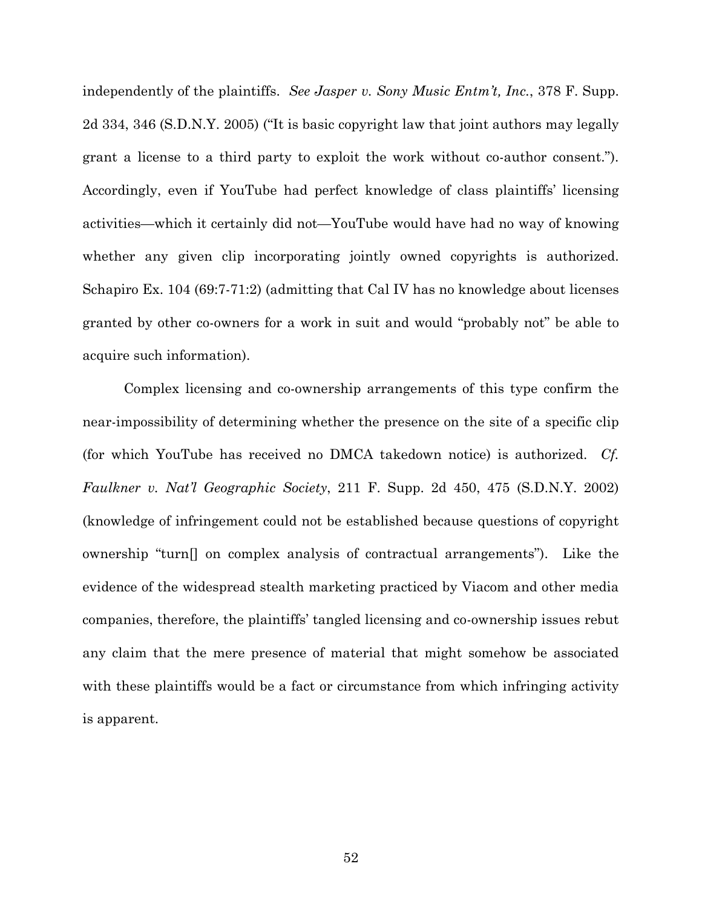independently of the plaintiffs. *See Jasper v. Sony Music Entm't, Inc.*, 378 F. Supp. 2d 334, 346 (S.D.N.Y. 2005) ("It is basic copyright law that joint authors may legally grant a license to a third party to exploit the work without co-author consent."). Accordingly, even if YouTube had perfect knowledge of class plaintiffs' licensing activities—which it certainly did not—YouTube would have had no way of knowing whether any given clip incorporating jointly owned copyrights is authorized. Schapiro Ex. 104 (69:7-71:2) (admitting that Cal IV has no knowledge about licenses granted by other co-owners for a work in suit and would "probably not" be able to acquire such information).

Complex licensing and co-ownership arrangements of this type confirm the near-impossibility of determining whether the presence on the site of a specific clip (for which YouTube has received no DMCA takedown notice) is authorized. *Cf. Faulkner v. Nat'l Geographic Society*, 211 F. Supp. 2d 450, 475 (S.D.N.Y. 2002) (knowledge of infringement could not be established because questions of copyright ownership "turn[] on complex analysis of contractual arrangements"). Like the evidence of the widespread stealth marketing practiced by Viacom and other media companies, therefore, the plaintiffs' tangled licensing and co-ownership issues rebut any claim that the mere presence of material that might somehow be associated with these plaintiffs would be a fact or circumstance from which infringing activity is apparent.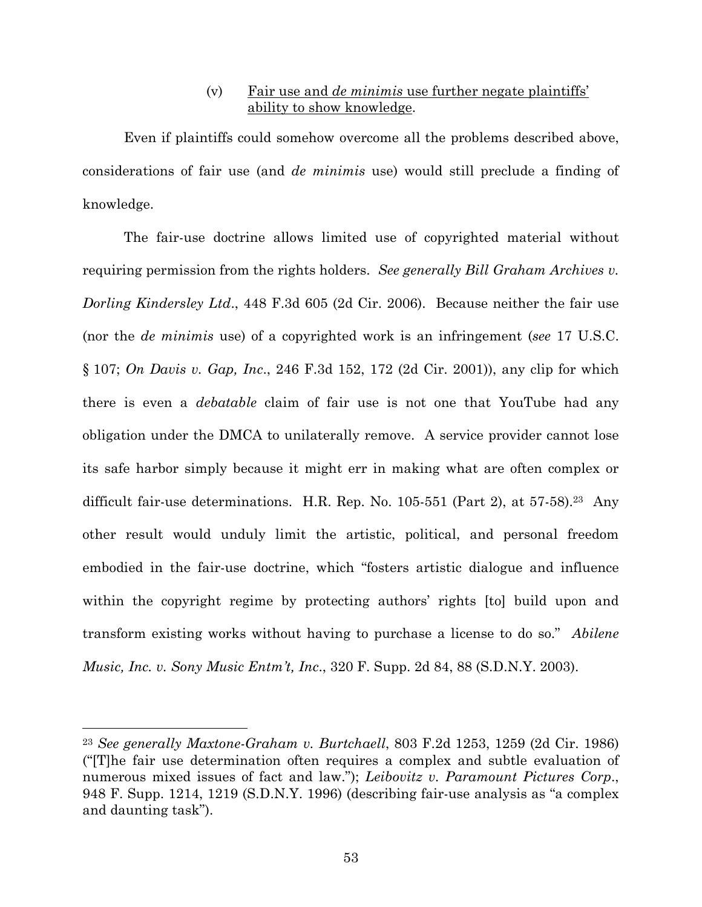### (v) Fair use and *de minimis* use further negate plaintiffs' ability to show knowledge.

Even if plaintiffs could somehow overcome all the problems described above, considerations of fair use (and *de minimis* use) would still preclude a finding of knowledge.

The fair-use doctrine allows limited use of copyrighted material without requiring permission from the rights holders. *See generally Bill Graham Archives v. Dorling Kindersley Ltd*., 448 F.3d 605 (2d Cir. 2006). Because neither the fair use (nor the *de minimis* use) of a copyrighted work is an infringement (*see* 17 U.S.C. § 107; *On Davis v. Gap, Inc*., 246 F.3d 152, 172 (2d Cir. 2001)), any clip for which there is even a *debatable* claim of fair use is not one that YouTube had any obligation under the DMCA to unilaterally remove. A service provider cannot lose its safe harbor simply because it might err in making what are often complex or difficult fair-use determinations. H.R. Rep. No.  $105-551$  (Part 2), at  $57-58$ ).<sup>23</sup> Any other result would unduly limit the artistic, political, and personal freedom embodied in the fair-use doctrine, which "fosters artistic dialogue and influence within the copyright regime by protecting authors' rights [to] build upon and transform existing works without having to purchase a license to do so." *Abilene Music, Inc. v. Sony Music Entm't, Inc*., 320 F. Supp. 2d 84, 88 (S.D.N.Y. 2003).

<sup>23</sup> *See generally Maxtone-Graham v. Burtchaell*, 803 F.2d 1253, 1259 (2d Cir. 1986) ("[T]he fair use determination often requires a complex and subtle evaluation of numerous mixed issues of fact and law."); *Leibovitz v. Paramount Pictures Corp*., 948 F. Supp. 1214, 1219 (S.D.N.Y. 1996) (describing fair-use analysis as "a complex and daunting task").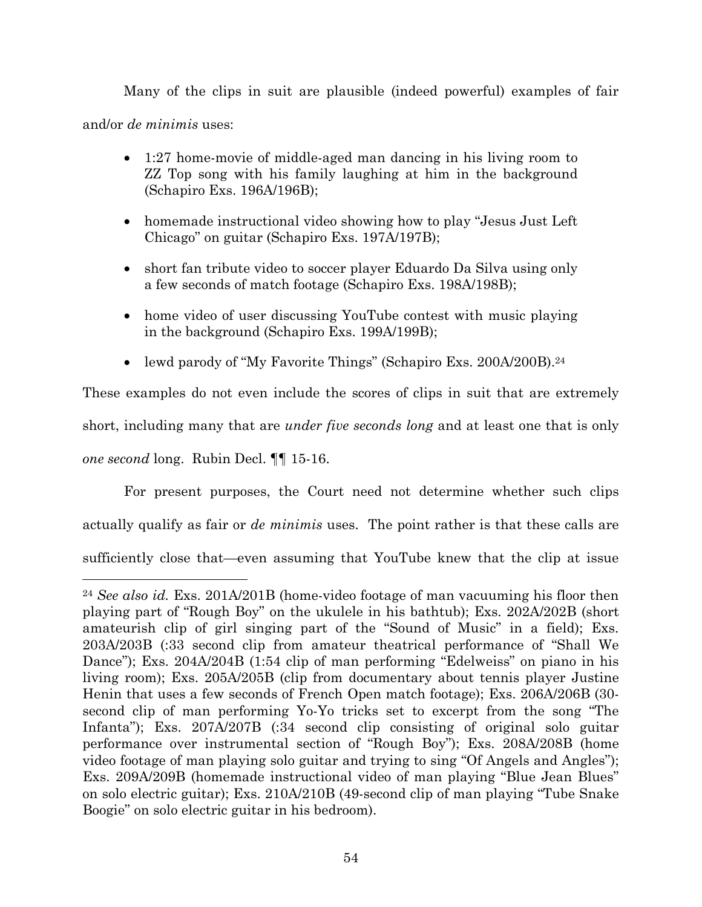Many of the clips in suit are plausible (indeed powerful) examples of fair and/or *de minimis* uses:

- 1:27 home-movie of middle-aged man dancing in his living room to ZZ Top song with his family laughing at him in the background (Schapiro Exs. 196A/196B);
- homemade instructional video showing how to play "Jesus Just Left Chicago" on guitar (Schapiro Exs. 197A/197B);
- short fan tribute video to soccer player Eduardo Da Silva using only a few seconds of match footage (Schapiro Exs. 198A/198B);
- home video of user discussing YouTube contest with music playing in the background (Schapiro Exs. 199A/199B);
- lewd parody of "My Favorite Things" (Schapiro Exs. 200A/200B).<sup>24</sup>

These examples do not even include the scores of clips in suit that are extremely short, including many that are *under five seconds long* and at least one that is only *one second* long. Rubin Decl. ¶¶ 15-16.

For present purposes, the Court need not determine whether such clips actually qualify as fair or *de minimis* uses. The point rather is that these calls are sufficiently close that—even assuming that YouTube knew that the clip at issue

<sup>24</sup> *See also id.* Exs. 201A/201B (home-video footage of man vacuuming his floor then playing part of "Rough Boy" on the ukulele in his bathtub); Exs. 202A/202B (short amateurish clip of girl singing part of the "Sound of Music" in a field); Exs. 203A/203B (:33 second clip from amateur theatrical performance of "Shall We Dance"); Exs. 204A/204B (1:54 clip of man performing "Edelweiss" on piano in his living room); Exs. 205A/205B (clip from documentary about tennis player Justine Henin that uses a few seconds of French Open match footage); Exs. 206A/206B (30 second clip of man performing Yo-Yo tricks set to excerpt from the song "The Infanta"); Exs. 207A/207B (:34 second clip consisting of original solo guitar performance over instrumental section of "Rough Boy"); Exs. 208A/208B (home video footage of man playing solo guitar and trying to sing "Of Angels and Angles"); Exs. 209A/209B (homemade instructional video of man playing "Blue Jean Blues" on solo electric guitar); Exs. 210A/210B (49-second clip of man playing "Tube Snake Boogie" on solo electric guitar in his bedroom).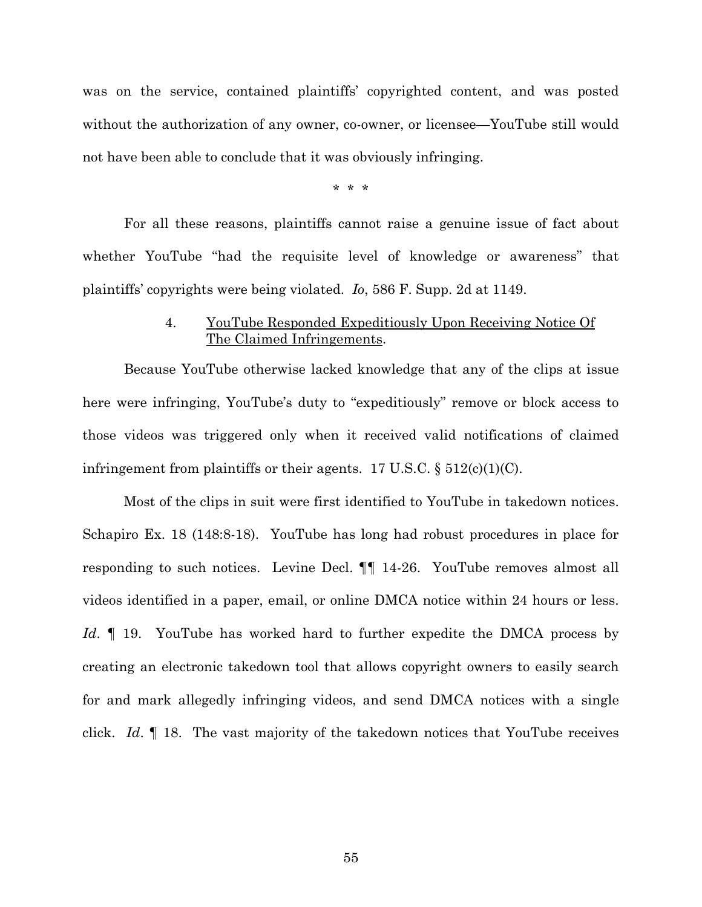was on the service, contained plaintiffs' copyrighted content, and was posted without the authorization of any owner, co-owner, or licensee—YouTube still would not have been able to conclude that it was obviously infringing.

\* \* \*

For all these reasons, plaintiffs cannot raise a genuine issue of fact about whether YouTube "had the requisite level of knowledge or awareness" that plaintiffs' copyrights were being violated. *Io*, 586 F. Supp. 2d at 1149.

### 4. YouTube Responded Expeditiously Upon Receiving Notice Of The Claimed Infringements.

Because YouTube otherwise lacked knowledge that any of the clips at issue here were infringing, YouTube's duty to "expeditiously" remove or block access to those videos was triggered only when it received valid notifications of claimed infringement from plaintiffs or their agents. 17 U.S.C.  $\S 512(c)(1)(C)$ .

Most of the clips in suit were first identified to YouTube in takedown notices. Schapiro Ex. 18 (148:8-18). YouTube has long had robust procedures in place for responding to such notices. Levine Decl. ¶¶ 14-26. YouTube removes almost all videos identified in a paper, email, or online DMCA notice within 24 hours or less. *Id*. ¶ 19. YouTube has worked hard to further expedite the DMCA process by creating an electronic takedown tool that allows copyright owners to easily search for and mark allegedly infringing videos, and send DMCA notices with a single click. *Id*. ¶ 18. The vast majority of the takedown notices that YouTube receives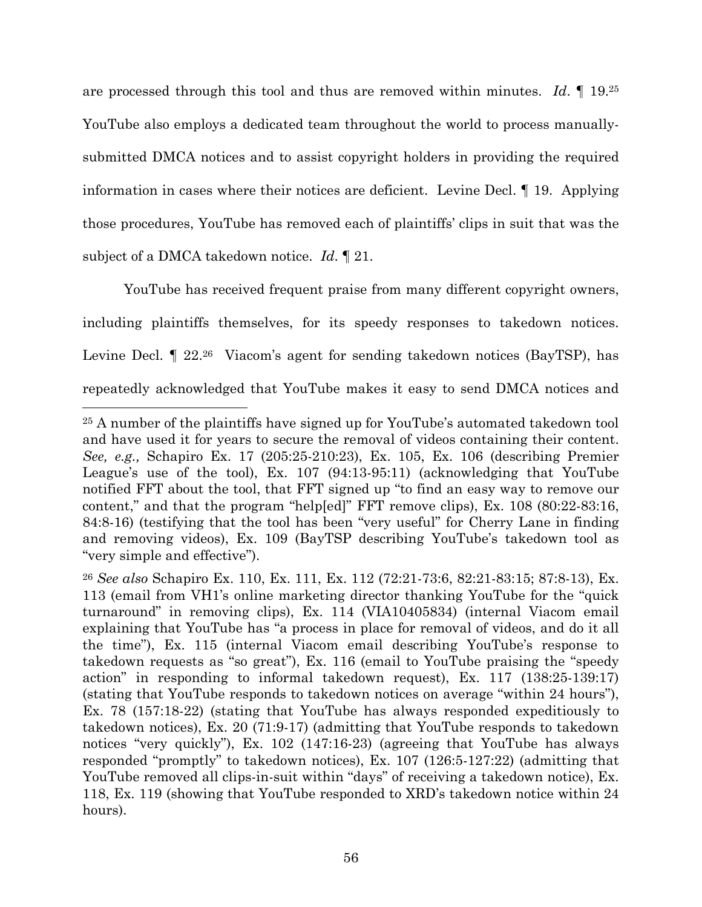are processed through this tool and thus are removed within minutes. *Id*. ¶ 19.<sup>25</sup> YouTube also employs a dedicated team throughout the world to process manuallysubmitted DMCA notices and to assist copyright holders in providing the required information in cases where their notices are deficient. Levine Decl. ¶ 19. Applying those procedures, YouTube has removed each of plaintiffs' clips in suit that was the subject of a DMCA takedown notice. *Id*. ¶ 21.

YouTube has received frequent praise from many different copyright owners, including plaintiffs themselves, for its speedy responses to takedown notices. Levine Decl.  $\llbracket$  22.<sup>26</sup> Viacom's agent for sending takedown notices (BayTSP), has repeatedly acknowledged that YouTube makes it easy to send DMCA notices and

<sup>25</sup> A number of the plaintiffs have signed up for YouTube's automated takedown tool and have used it for years to secure the removal of videos containing their content. *See, e.g.,* Schapiro Ex. 17 (205:25-210:23), Ex. 105, Ex. 106 (describing Premier League's use of the tool), Ex. 107 (94:13-95:11) (acknowledging that YouTube notified FFT about the tool, that FFT signed up "to find an easy way to remove our content," and that the program "help[ed]" FFT remove clips), Ex. 108 (80:22-83:16, 84:8-16) (testifying that the tool has been "very useful" for Cherry Lane in finding and removing videos), Ex. 109 (BayTSP describing YouTube's takedown tool as "very simple and effective").

<sup>26</sup> *See also* Schapiro Ex. 110, Ex. 111, Ex. 112 (72:21-73:6, 82:21-83:15; 87:8-13), Ex. 113 (email from VH1's online marketing director thanking YouTube for the "quick turnaround" in removing clips), Ex. 114 (VIA10405834) (internal Viacom email explaining that YouTube has "a process in place for removal of videos, and do it all the time"), Ex. 115 (internal Viacom email describing YouTube's response to takedown requests as "so great"), Ex. 116 (email to YouTube praising the "speedy action" in responding to informal takedown request), Ex. 117 (138:25-139:17) (stating that YouTube responds to takedown notices on average "within 24 hours"), Ex. 78 (157:18-22) (stating that YouTube has always responded expeditiously to takedown notices), Ex. 20 (71:9-17) (admitting that YouTube responds to takedown notices "very quickly"), Ex. 102 (147:16-23) (agreeing that YouTube has always responded "promptly" to takedown notices), Ex. 107 (126:5-127:22) (admitting that YouTube removed all clips-in-suit within "days" of receiving a takedown notice), Ex. 118, Ex. 119 (showing that YouTube responded to XRD's takedown notice within 24 hours).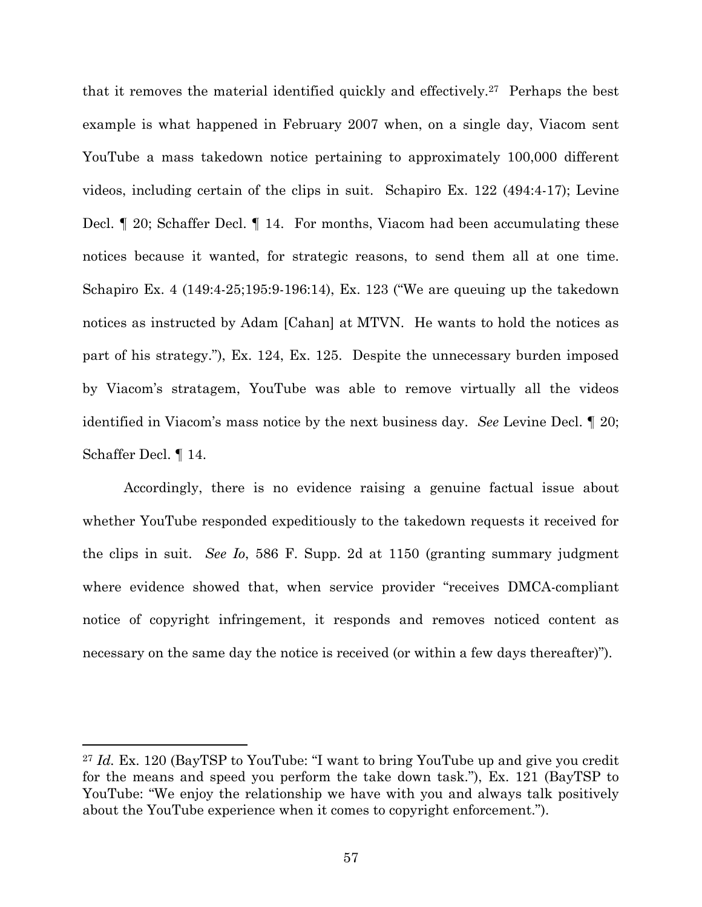that it removes the material identified quickly and effectively.<sup>27</sup> Perhaps the best example is what happened in February 2007 when, on a single day, Viacom sent YouTube a mass takedown notice pertaining to approximately 100,000 different videos, including certain of the clips in suit. Schapiro Ex. 122 (494:4-17); Levine Decl. ¶ 20; Schaffer Decl. ¶ 14. For months, Viacom had been accumulating these notices because it wanted, for strategic reasons, to send them all at one time. Schapiro Ex. 4 (149:4-25;195:9-196:14), Ex. 123 ("We are queuing up the takedown notices as instructed by Adam [Cahan] at MTVN. He wants to hold the notices as part of his strategy."), Ex. 124, Ex. 125. Despite the unnecessary burden imposed by Viacom's stratagem, YouTube was able to remove virtually all the videos identified in Viacom's mass notice by the next business day. *See* Levine Decl. ¶ 20; Schaffer Decl. ¶ 14.

Accordingly, there is no evidence raising a genuine factual issue about whether YouTube responded expeditiously to the takedown requests it received for the clips in suit. *See Io*, 586 F. Supp. 2d at 1150 (granting summary judgment where evidence showed that, when service provider "receives DMCA-compliant" notice of copyright infringement, it responds and removes noticed content as necessary on the same day the notice is received (or within a few days thereafter)").

<sup>27</sup> *Id.* Ex. 120 (BayTSP to YouTube: "I want to bring YouTube up and give you credit for the means and speed you perform the take down task."), Ex. 121 (BayTSP to YouTube: "We enjoy the relationship we have with you and always talk positively about the YouTube experience when it comes to copyright enforcement.").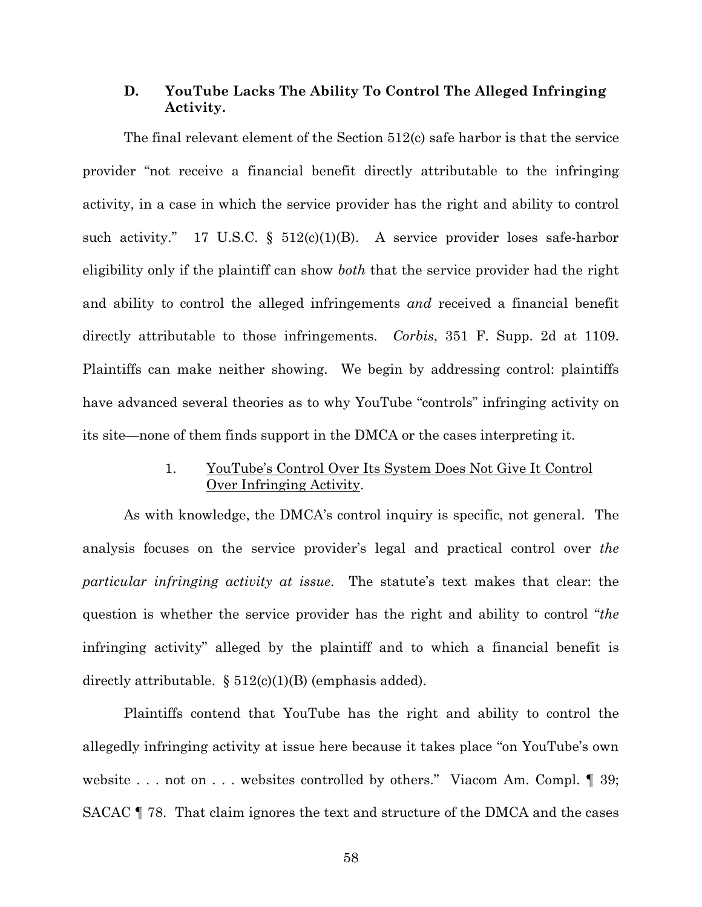### **D. YouTube Lacks The Ability To Control The Alleged Infringing Activity.**

The final relevant element of the Section 512(c) safe harbor is that the service provider "not receive a financial benefit directly attributable to the infringing activity, in a case in which the service provider has the right and ability to control such activity." 17 U.S.C.  $\S$  512(c)(1)(B). A service provider loses safe-harbor eligibility only if the plaintiff can show *both* that the service provider had the right and ability to control the alleged infringements *and* received a financial benefit directly attributable to those infringements. *Corbis*, 351 F. Supp. 2d at 1109. Plaintiffs can make neither showing. We begin by addressing control: plaintiffs have advanced several theories as to why YouTube "controls" infringing activity on its site—none of them finds support in the DMCA or the cases interpreting it.

# 1. YouTube's Control Over Its System Does Not Give It Control Over Infringing Activity.

As with knowledge, the DMCA's control inquiry is specific, not general. The analysis focuses on the service provider's legal and practical control over *the particular infringing activity at issue*. The statute's text makes that clear: the question is whether the service provider has the right and ability to control "*the* infringing activity" alleged by the plaintiff and to which a financial benefit is directly attributable.  $\S 512(c)(1)(B)$  (emphasis added).

Plaintiffs contend that YouTube has the right and ability to control the allegedly infringing activity at issue here because it takes place "on YouTube's own website . . . not on . . . websites controlled by others." Viacom Am. Compl.  $\llbracket$  39; SACAC ¶ 78. That claim ignores the text and structure of the DMCA and the cases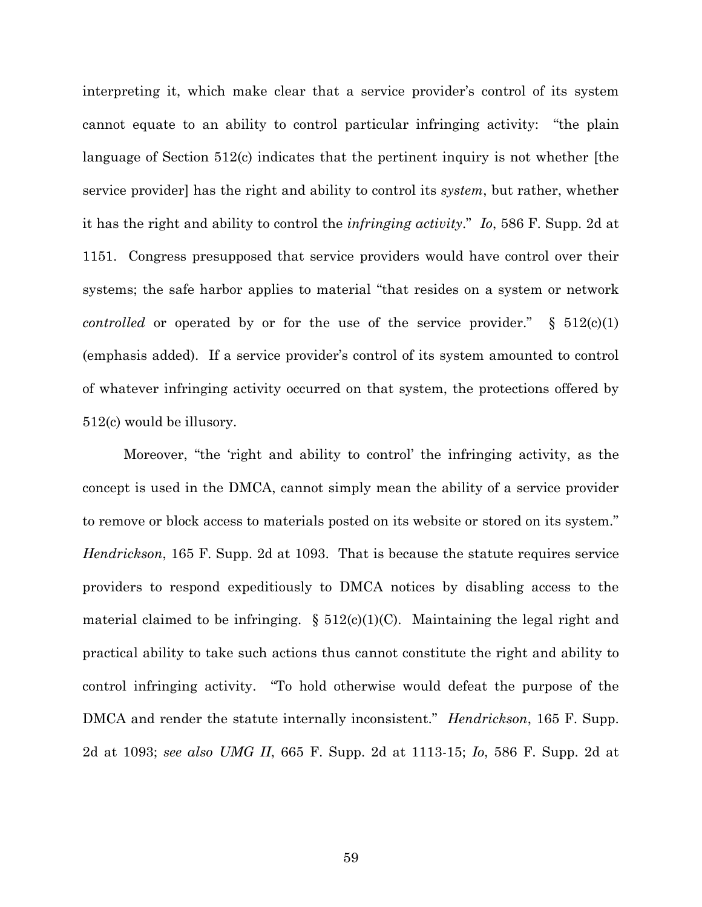interpreting it, which make clear that a service provider's control of its system cannot equate to an ability to control particular infringing activity: "the plain language of Section 512(c) indicates that the pertinent inquiry is not whether [the service provider] has the right and ability to control its *system*, but rather, whether it has the right and ability to control the *infringing activity*." *Io*, 586 F. Supp. 2d at 1151. Congress presupposed that service providers would have control over their systems; the safe harbor applies to material "that resides on a system or network *controlled* or operated by or for the use of the service provider."  $\S$  512(c)(1) (emphasis added). If a service provider's control of its system amounted to control of whatever infringing activity occurred on that system, the protections offered by 512(c) would be illusory.

Moreover, "the 'right and ability to control' the infringing activity, as the concept is used in the DMCA, cannot simply mean the ability of a service provider to remove or block access to materials posted on its website or stored on its system." *Hendrickson*, 165 F. Supp. 2d at 1093. That is because the statute requires service providers to respond expeditiously to DMCA notices by disabling access to the material claimed to be infringing.  $\S 512(c)(1)(C)$ . Maintaining the legal right and practical ability to take such actions thus cannot constitute the right and ability to control infringing activity. "To hold otherwise would defeat the purpose of the DMCA and render the statute internally inconsistent." *Hendrickson*, 165 F. Supp. 2d at 1093; *see also UMG II*, 665 F. Supp. 2d at 1113-15; *Io*, 586 F. Supp. 2d at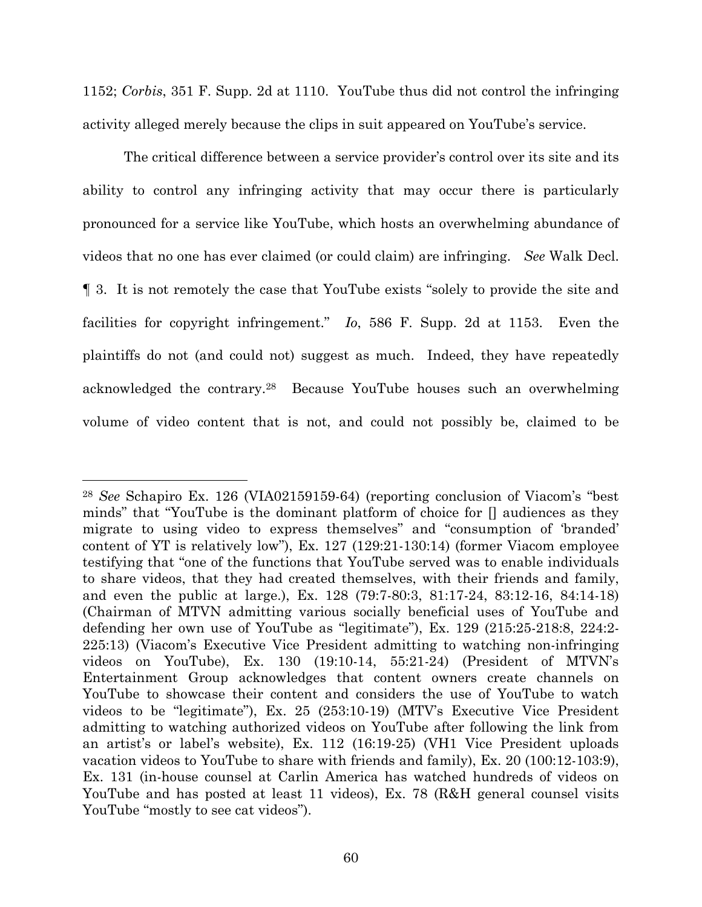1152; *Corbis*, 351 F. Supp. 2d at 1110. YouTube thus did not control the infringing activity alleged merely because the clips in suit appeared on YouTube's service.

The critical difference between a service provider's control over its site and its ability to control any infringing activity that may occur there is particularly pronounced for a service like YouTube, which hosts an overwhelming abundance of videos that no one has ever claimed (or could claim) are infringing. *See* Walk Decl. ¶ 3. It is not remotely the case that YouTube exists "solely to provide the site and facilities for copyright infringement." *Io*, 586 F. Supp. 2d at 1153. Even the plaintiffs do not (and could not) suggest as much. Indeed, they have repeatedly acknowledged the contrary.<sup>28</sup> Because YouTube houses such an overwhelming volume of video content that is not, and could not possibly be, claimed to be

<sup>28</sup> *See* Schapiro Ex. 126 (VIA02159159-64) (reporting conclusion of Viacom's "best minds" that "YouTube is the dominant platform of choice for [] audiences as they migrate to using video to express themselves" and "consumption of 'branded' content of YT is relatively low"), Ex. 127 (129:21-130:14) (former Viacom employee testifying that "one of the functions that YouTube served was to enable individuals to share videos, that they had created themselves, with their friends and family, and even the public at large.), Ex. 128 (79:7-80:3, 81:17-24, 83:12-16, 84:14-18) (Chairman of MTVN admitting various socially beneficial uses of YouTube and defending her own use of YouTube as "legitimate"), Ex. 129 (215:25-218:8, 224:2- 225:13) (Viacom's Executive Vice President admitting to watching non-infringing videos on YouTube), Ex. 130 (19:10-14, 55:21-24) (President of MTVN's Entertainment Group acknowledges that content owners create channels on YouTube to showcase their content and considers the use of YouTube to watch videos to be "legitimate"), Ex. 25 (253:10-19) (MTV's Executive Vice President admitting to watching authorized videos on YouTube after following the link from an artist's or label's website), Ex. 112 (16:19-25) (VH1 Vice President uploads vacation videos to YouTube to share with friends and family), Ex. 20 (100:12-103:9), Ex. 131 (in-house counsel at Carlin America has watched hundreds of videos on YouTube and has posted at least 11 videos), Ex. 78 (R&H general counsel visits YouTube "mostly to see cat videos").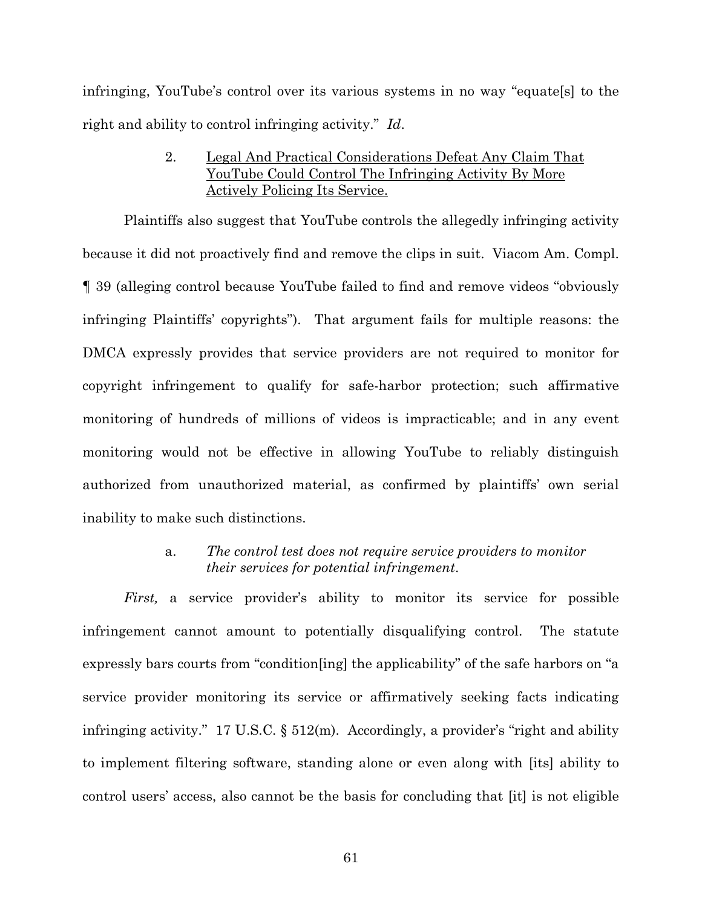infringing, YouTube's control over its various systems in no way "equate[s] to the right and ability to control infringing activity." *Id*.

# 2. Legal And Practical Considerations Defeat Any Claim That YouTube Could Control The Infringing Activity By More Actively Policing Its Service.

Plaintiffs also suggest that YouTube controls the allegedly infringing activity because it did not proactively find and remove the clips in suit. Viacom Am. Compl. ¶ 39 (alleging control because YouTube failed to find and remove videos "obviously infringing Plaintiffs' copyrights"). That argument fails for multiple reasons: the DMCA expressly provides that service providers are not required to monitor for copyright infringement to qualify for safe-harbor protection; such affirmative monitoring of hundreds of millions of videos is impracticable; and in any event monitoring would not be effective in allowing YouTube to reliably distinguish authorized from unauthorized material, as confirmed by plaintiffs' own serial inability to make such distinctions.

### a. *The control test does not require service providers to monitor their services for potential infringement*.

*First,* a service provider's ability to monitor its service for possible infringement cannot amount to potentially disqualifying control. The statute expressly bars courts from "condition[ing] the applicability" of the safe harbors on "a service provider monitoring its service or affirmatively seeking facts indicating infringing activity." 17 U.S.C. § 512(m). Accordingly, a provider's "right and ability to implement filtering software, standing alone or even along with [its] ability to control users' access, also cannot be the basis for concluding that [it] is not eligible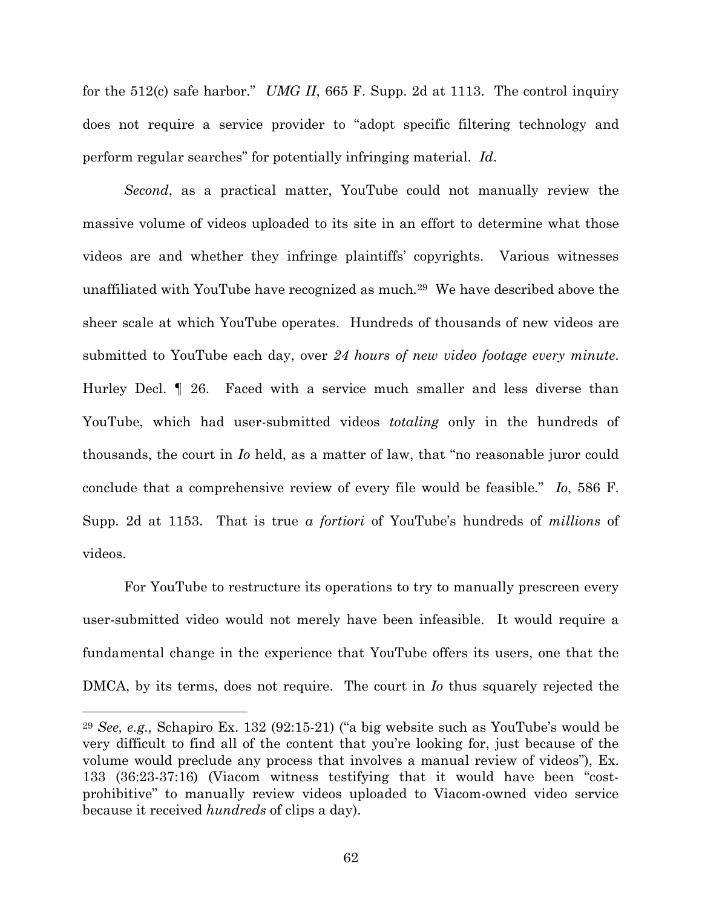for the 512(c) safe harbor." *UMG II*, 665 F. Supp. 2d at 1113. The control inquiry does not require a service provider to "adopt specific filtering technology and perform regular searches" for potentially infringing material. *Id*.

*Second*, as a practical matter, YouTube could not manually review the massive volume of videos uploaded to its site in an effort to determine what those videos are and whether they infringe plaintiffs' copyrights. Various witnesses unaffiliated with YouTube have recognized as much*.* <sup>29</sup> We have described above the sheer scale at which YouTube operates. Hundreds of thousands of new videos are submitted to YouTube each day, over *24 hours of new video footage every minute*. Hurley Decl. ¶ 26. Faced with a service much smaller and less diverse than YouTube, which had user-submitted videos *totaling* only in the hundreds of thousands, the court in *Io* held, as a matter of law, that "no reasonable juror could conclude that a comprehensive review of every file would be feasible." *Io*, 586 F. Supp. 2d at 1153. That is true *a fortiori* of YouTube's hundreds of *millions* of videos.

For YouTube to restructure its operations to try to manually prescreen every user-submitted video would not merely have been infeasible. It would require a fundamental change in the experience that YouTube offers its users, one that the DMCA, by its terms, does not require. The court in *Io* thus squarely rejected the

<sup>29</sup> *See, e.g.,* Schapiro Ex. 132 (92:15-21) ("a big website such as YouTube's would be very difficult to find all of the content that you're looking for, just because of the volume would preclude any process that involves a manual review of videos"), Ex. 133 (36:23-37:16) (Viacom witness testifying that it would have been "costprohibitive" to manually review videos uploaded to Viacom-owned video service because it received *hundreds* of clips a day).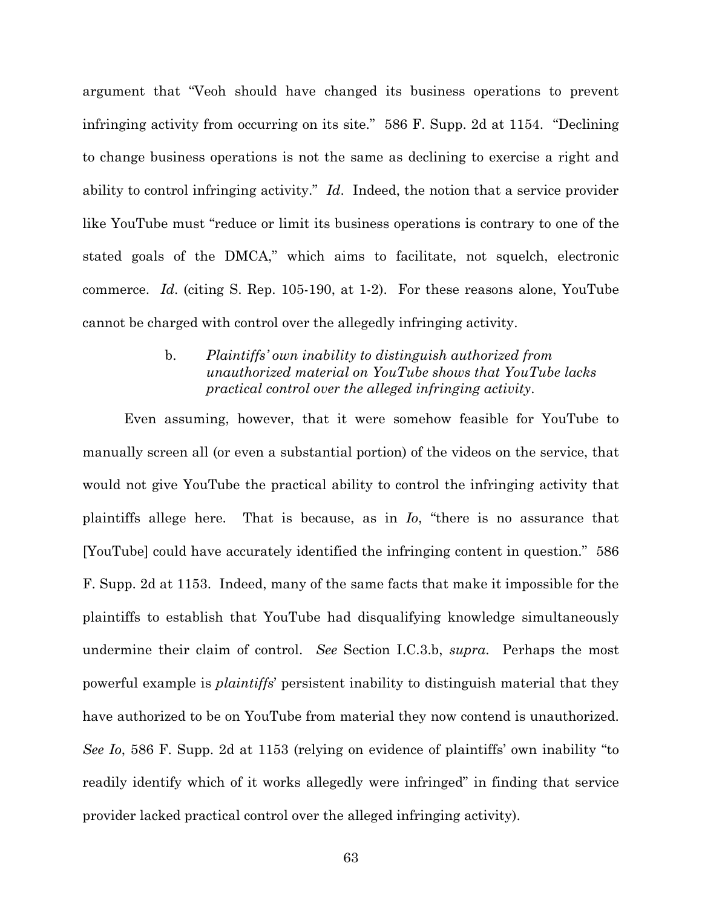argument that "Veoh should have changed its business operations to prevent infringing activity from occurring on its site." 586 F. Supp. 2d at 1154. "Declining to change business operations is not the same as declining to exercise a right and ability to control infringing activity." *Id*. Indeed, the notion that a service provider like YouTube must "reduce or limit its business operations is contrary to one of the stated goals of the DMCA," which aims to facilitate, not squelch, electronic commerce. *Id*. (citing S. Rep. 105-190, at 1-2). For these reasons alone, YouTube cannot be charged with control over the allegedly infringing activity.

# b. *Plaintiffs' own inability to distinguish authorized from unauthorized material on YouTube shows that YouTube lacks practical control over the alleged infringing activity*.

Even assuming, however, that it were somehow feasible for YouTube to manually screen all (or even a substantial portion) of the videos on the service, that would not give YouTube the practical ability to control the infringing activity that plaintiffs allege here. That is because, as in *Io*, "there is no assurance that [YouTube] could have accurately identified the infringing content in question." 586 F. Supp. 2d at 1153. Indeed, many of the same facts that make it impossible for the plaintiffs to establish that YouTube had disqualifying knowledge simultaneously undermine their claim of control. *See* Section I.C.3.b, *supra*. Perhaps the most powerful example is *plaintiffs*' persistent inability to distinguish material that they have authorized to be on YouTube from material they now contend is unauthorized. *See Io*, 586 F. Supp. 2d at 1153 (relying on evidence of plaintiffs' own inability "to readily identify which of it works allegedly were infringed" in finding that service provider lacked practical control over the alleged infringing activity).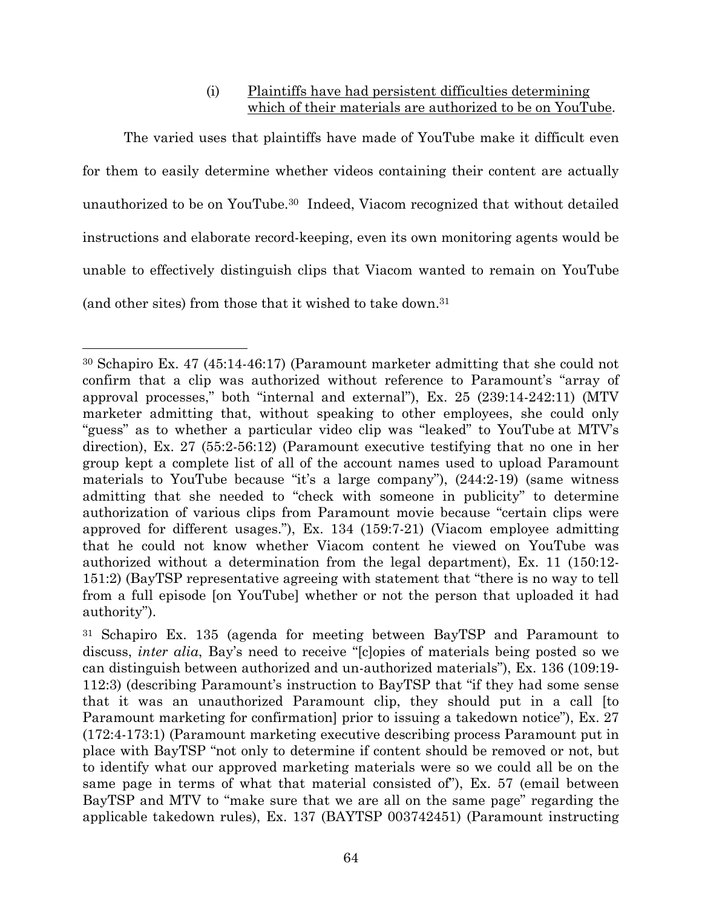# (i) Plaintiffs have had persistent difficulties determining which of their materials are authorized to be on YouTube.

The varied uses that plaintiffs have made of YouTube make it difficult even for them to easily determine whether videos containing their content are actually unauthorized to be on YouTube.<sup>30</sup> Indeed, Viacom recognized that without detailed instructions and elaborate record-keeping, even its own monitoring agents would be unable to effectively distinguish clips that Viacom wanted to remain on YouTube (and other sites) from those that it wished to take down.<sup>31</sup>

<sup>30</sup> Schapiro Ex. 47 (45:14-46:17) (Paramount marketer admitting that she could not confirm that a clip was authorized without reference to Paramount's "array of approval processes," both "internal and external"), Ex. 25 (239:14-242:11) (MTV marketer admitting that, without speaking to other employees, she could only "guess" as to whether a particular video clip was "leaked" to YouTube at MTV's direction), Ex. 27 (55:2-56:12) (Paramount executive testifying that no one in her group kept a complete list of all of the account names used to upload Paramount materials to YouTube because "it's a large company"), (244:2-19) (same witness admitting that she needed to "check with someone in publicity" to determine authorization of various clips from Paramount movie because "certain clips were approved for different usages."), Ex. 134 (159:7-21) (Viacom employee admitting that he could not know whether Viacom content he viewed on YouTube was authorized without a determination from the legal department), Ex. 11 (150:12- 151:2) (BayTSP representative agreeing with statement that "there is no way to tell from a full episode [on YouTube] whether or not the person that uploaded it had authority").

<sup>31</sup> Schapiro Ex. 135 (agenda for meeting between BayTSP and Paramount to discuss, *inter alia*, Bay's need to receive "[c]opies of materials being posted so we can distinguish between authorized and un-authorized materials"), Ex. 136 (109:19- 112:3) (describing Paramount's instruction to BayTSP that "if they had some sense that it was an unauthorized Paramount clip, they should put in a call [to Paramount marketing for confirmation] prior to issuing a takedown notice"), Ex. 27 (172:4-173:1) (Paramount marketing executive describing process Paramount put in place with BayTSP "not only to determine if content should be removed or not, but to identify what our approved marketing materials were so we could all be on the same page in terms of what that material consisted of"), Ex. 57 (email between BayTSP and MTV to "make sure that we are all on the same page" regarding the applicable takedown rules), Ex. 137 (BAYTSP 003742451) (Paramount instructing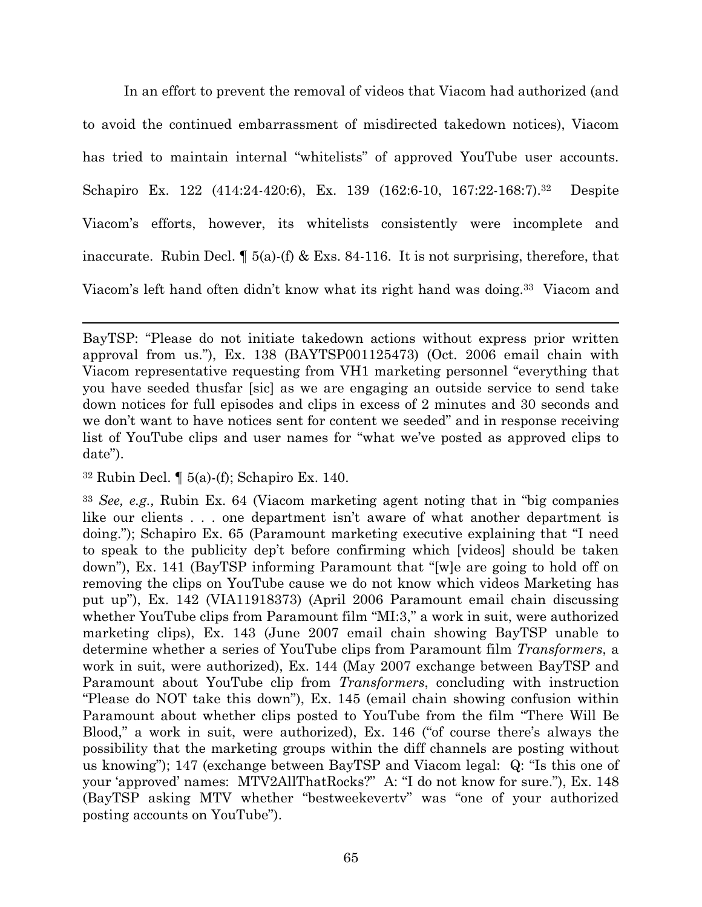In an effort to prevent the removal of videos that Viacom had authorized (and to avoid the continued embarrassment of misdirected takedown notices), Viacom has tried to maintain internal "whitelists" of approved YouTube user accounts. Schapiro Ex. 122 (414:24-420:6), Ex. 139 (162:6-10, 167:22-168:7).<sup>32</sup> Despite Viacom's efforts, however, its whitelists consistently were incomplete and inaccurate. Rubin Decl.  $\P$  5(a)-(f) & Exs. 84-116. It is not surprising, therefore, that Viacom's left hand often didn't know what its right hand was doing.<sup>33</sup> Viacom and

 $32$  Rubin Decl.  $\P$  5(a)-(f); Schapiro Ex. 140.

<sup>33</sup> *See, e.g.,* Rubin Ex. 64 (Viacom marketing agent noting that in "big companies like our clients . . . one department isn't aware of what another department is doing."); Schapiro Ex. 65 (Paramount marketing executive explaining that "I need to speak to the publicity dep't before confirming which [videos] should be taken down"), Ex. 141 (BayTSP informing Paramount that "[w]e are going to hold off on removing the clips on YouTube cause we do not know which videos Marketing has put up"), Ex. 142 (VIA11918373) (April 2006 Paramount email chain discussing whether YouTube clips from Paramount film "MI:3," a work in suit, were authorized marketing clips), Ex. 143 (June 2007 email chain showing BayTSP unable to determine whether a series of YouTube clips from Paramount film *Transformers*, a work in suit, were authorized), Ex. 144 (May 2007 exchange between BayTSP and Paramount about YouTube clip from *Transformers*, concluding with instruction "Please do NOT take this down"), Ex. 145 (email chain showing confusion within Paramount about whether clips posted to YouTube from the film "There Will Be Blood," a work in suit, were authorized), Ex. 146 ("of course there's always the possibility that the marketing groups within the diff channels are posting without us knowing"); 147 (exchange between BayTSP and Viacom legal: Q: "Is this one of your 'approved' names: MTV2AllThatRocks?" A: "I do not know for sure."), Ex. 148 (BayTSP asking MTV whether "bestweekevertv" was "one of your authorized posting accounts on YouTube").

BayTSP: "Please do not initiate takedown actions without express prior written approval from us."), Ex. 138 (BAYTSP001125473) (Oct. 2006 email chain with Viacom representative requesting from VH1 marketing personnel "everything that you have seeded thusfar [sic] as we are engaging an outside service to send take down notices for full episodes and clips in excess of 2 minutes and 30 seconds and we don't want to have notices sent for content we seeded" and in response receiving list of YouTube clips and user names for "what we've posted as approved clips to date").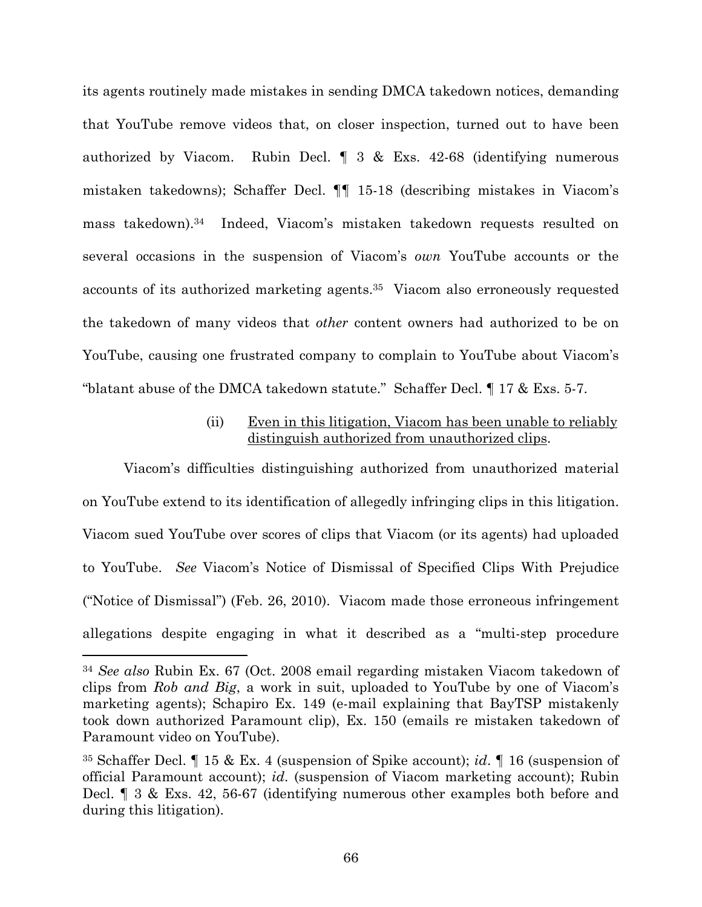its agents routinely made mistakes in sending DMCA takedown notices, demanding that YouTube remove videos that, on closer inspection, turned out to have been authorized by Viacom. Rubin Decl. ¶ 3 & Exs. 42-68 (identifying numerous mistaken takedowns); Schaffer Decl. ¶¶ 15-18 (describing mistakes in Viacom's mass takedown).<sup>34</sup> Indeed, Viacom's mistaken takedown requests resulted on several occasions in the suspension of Viacom's *own* YouTube accounts or the accounts of its authorized marketing agents.<sup>35</sup> Viacom also erroneously requested the takedown of many videos that *other* content owners had authorized to be on YouTube, causing one frustrated company to complain to YouTube about Viacom's "blatant abuse of the DMCA takedown statute." Schaffer Decl. ¶ 17 & Exs. 5-7.

# (ii) Even in this litigation, Viacom has been unable to reliably distinguish authorized from unauthorized clips.

Viacom's difficulties distinguishing authorized from unauthorized material on YouTube extend to its identification of allegedly infringing clips in this litigation. Viacom sued YouTube over scores of clips that Viacom (or its agents) had uploaded to YouTube. *See* Viacom's Notice of Dismissal of Specified Clips With Prejudice ("Notice of Dismissal") (Feb. 26, 2010). Viacom made those erroneous infringement allegations despite engaging in what it described as a "multi-step procedure

<sup>34</sup> *See also* Rubin Ex. 67 (Oct. 2008 email regarding mistaken Viacom takedown of clips from *Rob and Big*, a work in suit, uploaded to YouTube by one of Viacom's marketing agents); Schapiro Ex. 149 (e-mail explaining that BayTSP mistakenly took down authorized Paramount clip), Ex. 150 (emails re mistaken takedown of Paramount video on YouTube).

<sup>35</sup> Schaffer Decl. ¶ 15 & Ex. 4 (suspension of Spike account); *id*. ¶ 16 (suspension of official Paramount account); *id*. (suspension of Viacom marketing account); Rubin Decl. ¶ 3 & Exs. 42, 56-67 (identifying numerous other examples both before and during this litigation).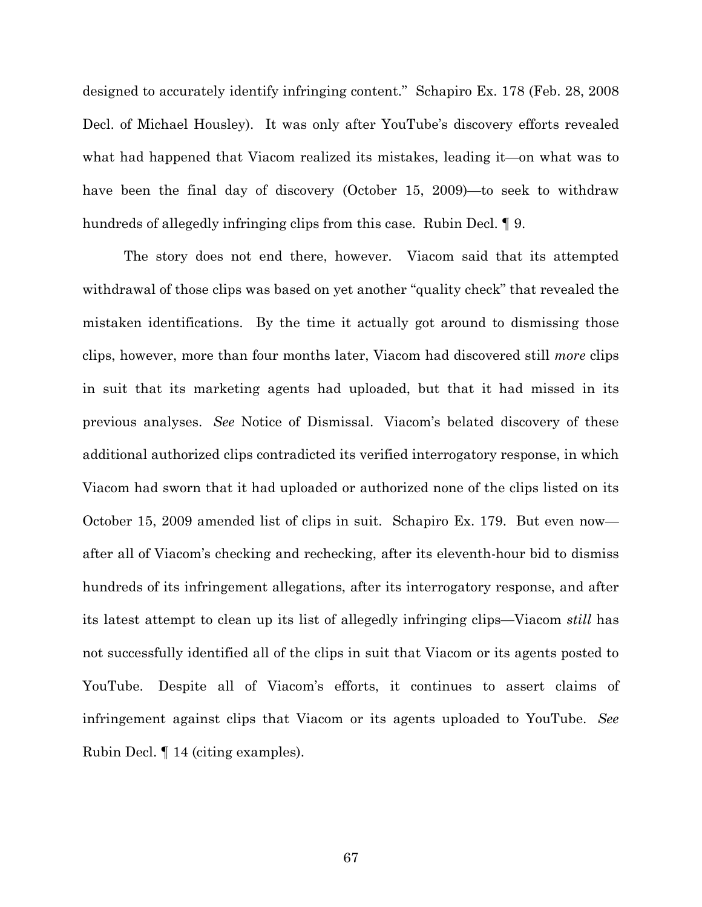designed to accurately identify infringing content." Schapiro Ex. 178 (Feb. 28, 2008 Decl. of Michael Housley). It was only after YouTube's discovery efforts revealed what had happened that Viacom realized its mistakes, leading it—on what was to have been the final day of discovery (October 15, 2009)—to seek to withdraw hundreds of allegedly infringing clips from this case. Rubin Decl. ¶ 9.

The story does not end there, however. Viacom said that its attempted withdrawal of those clips was based on yet another "quality check" that revealed the mistaken identifications. By the time it actually got around to dismissing those clips, however, more than four months later, Viacom had discovered still *more* clips in suit that its marketing agents had uploaded, but that it had missed in its previous analyses. *See* Notice of Dismissal. Viacom's belated discovery of these additional authorized clips contradicted its verified interrogatory response, in which Viacom had sworn that it had uploaded or authorized none of the clips listed on its October 15, 2009 amended list of clips in suit. Schapiro Ex. 179. But even now after all of Viacom's checking and rechecking, after its eleventh-hour bid to dismiss hundreds of its infringement allegations, after its interrogatory response, and after its latest attempt to clean up its list of allegedly infringing clips—Viacom *still* has not successfully identified all of the clips in suit that Viacom or its agents posted to YouTube. Despite all of Viacom's efforts, it continues to assert claims of infringement against clips that Viacom or its agents uploaded to YouTube. *See* Rubin Decl. ¶ 14 (citing examples).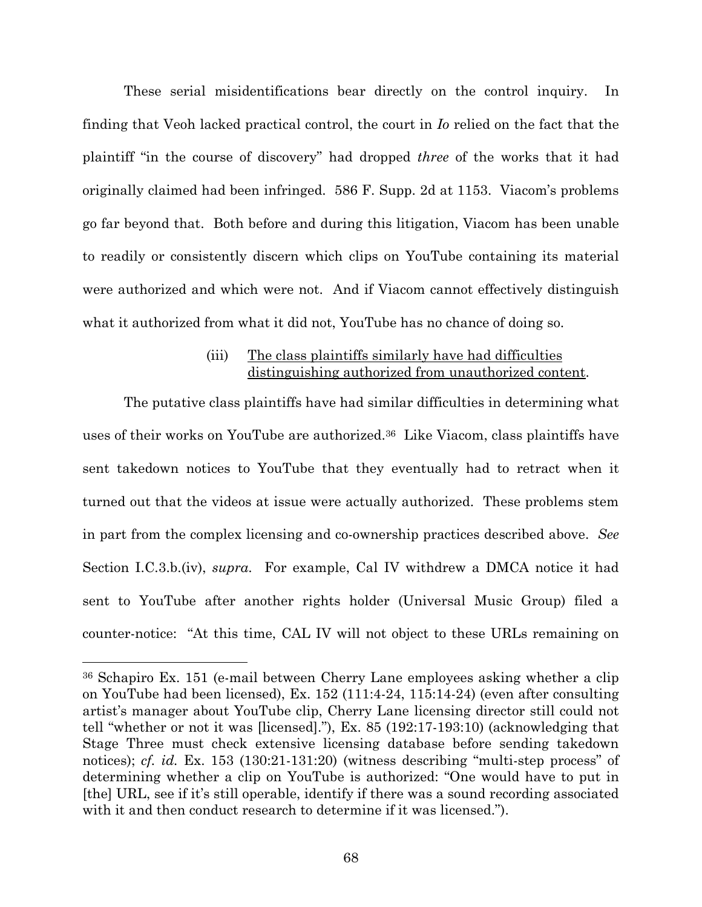These serial misidentifications bear directly on the control inquiry. In finding that Veoh lacked practical control, the court in *Io* relied on the fact that the plaintiff "in the course of discovery" had dropped *three* of the works that it had originally claimed had been infringed. 586 F. Supp. 2d at 1153. Viacom's problems go far beyond that. Both before and during this litigation, Viacom has been unable to readily or consistently discern which clips on YouTube containing its material were authorized and which were not. And if Viacom cannot effectively distinguish what it authorized from what it did not, YouTube has no chance of doing so.

## (iii) The class plaintiffs similarly have had difficulties distinguishing authorized from unauthorized content.

The putative class plaintiffs have had similar difficulties in determining what uses of their works on YouTube are authorized.<sup>36</sup> Like Viacom, class plaintiffs have sent takedown notices to YouTube that they eventually had to retract when it turned out that the videos at issue were actually authorized. These problems stem in part from the complex licensing and co-ownership practices described above. *See* Section I.C.3.b.(iv), *supra*. For example, Cal IV withdrew a DMCA notice it had sent to YouTube after another rights holder (Universal Music Group) filed a counter-notice: "At this time, CAL IV will not object to these URLs remaining on

<sup>36</sup> Schapiro Ex. 151 (e-mail between Cherry Lane employees asking whether a clip on YouTube had been licensed), Ex. 152 (111:4-24, 115:14-24) (even after consulting artist's manager about YouTube clip, Cherry Lane licensing director still could not tell "whether or not it was [licensed]."), Ex. 85 (192:17-193:10) (acknowledging that Stage Three must check extensive licensing database before sending takedown notices); *cf. id.* Ex. 153 (130:21-131:20) (witness describing "multi-step process" of determining whether a clip on YouTube is authorized: "One would have to put in [the] URL, see if it's still operable, identify if there was a sound recording associated with it and then conduct research to determine if it was licensed.").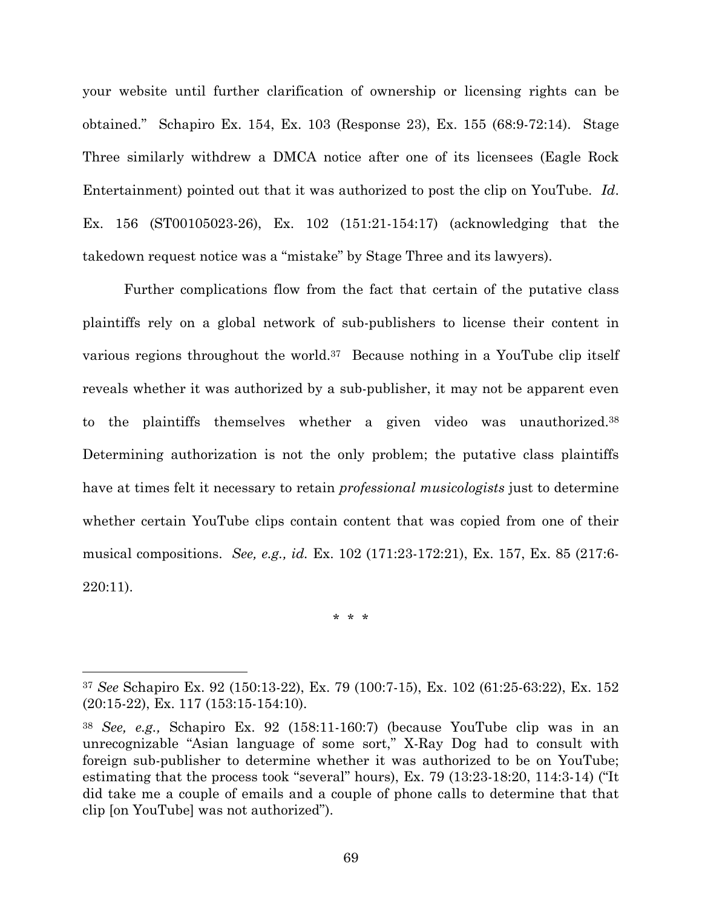your website until further clarification of ownership or licensing rights can be obtained." Schapiro Ex. 154, Ex. 103 (Response 23), Ex. 155 (68:9-72:14). Stage Three similarly withdrew a DMCA notice after one of its licensees (Eagle Rock Entertainment) pointed out that it was authorized to post the clip on YouTube. *Id*. Ex. 156 (ST00105023-26), Ex. 102 (151:21-154:17) (acknowledging that the takedown request notice was a "mistake" by Stage Three and its lawyers).

Further complications flow from the fact that certain of the putative class plaintiffs rely on a global network of sub-publishers to license their content in various regions throughout the world.<sup>37</sup> Because nothing in a YouTube clip itself reveals whether it was authorized by a sub-publisher, it may not be apparent even to the plaintiffs themselves whether a given video was unauthorized.<sup>38</sup> Determining authorization is not the only problem; the putative class plaintiffs have at times felt it necessary to retain *professional musicologists* just to determine whether certain YouTube clips contain content that was copied from one of their musical compositions. *See, e.g., id.* Ex. 102 (171:23-172:21), Ex. 157, Ex. 85 (217:6- 220:11).

\* \* \*

<sup>37</sup> *See* Schapiro Ex. 92 (150:13-22), Ex. 79 (100:7-15), Ex. 102 (61:25-63:22), Ex. 152 (20:15-22), Ex. 117 (153:15-154:10).

<sup>38</sup> *See, e.g.,* Schapiro Ex. 92 (158:11-160:7) (because YouTube clip was in an unrecognizable "Asian language of some sort," X-Ray Dog had to consult with foreign sub-publisher to determine whether it was authorized to be on YouTube; estimating that the process took "several" hours), Ex. 79 (13:23-18:20, 114:3-14) ("It did take me a couple of emails and a couple of phone calls to determine that that clip [on YouTube] was not authorized").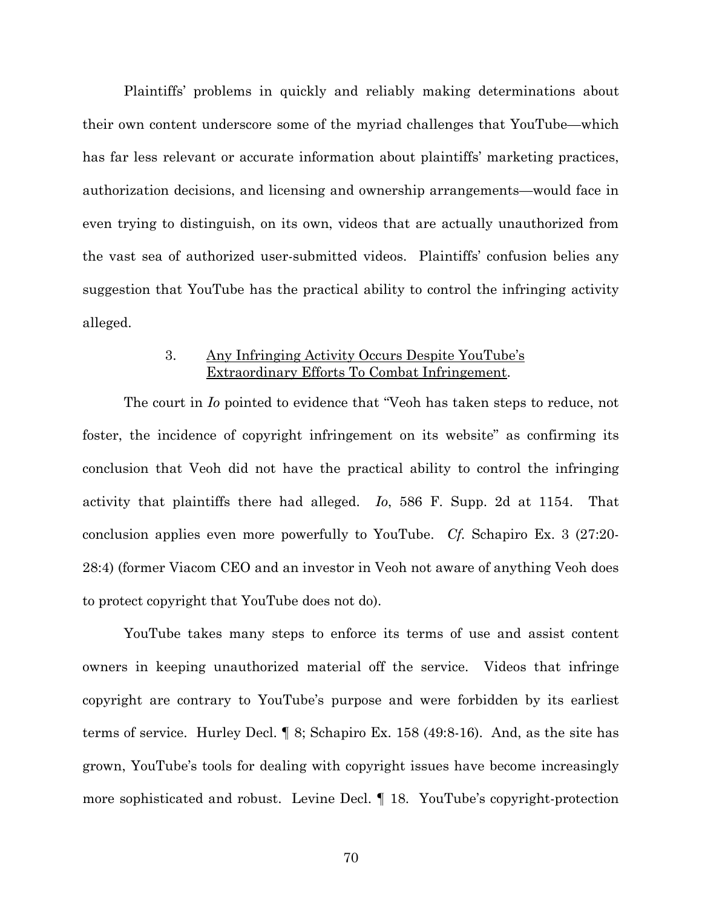Plaintiffs' problems in quickly and reliably making determinations about their own content underscore some of the myriad challenges that YouTube—which has far less relevant or accurate information about plaintiffs' marketing practices, authorization decisions, and licensing and ownership arrangements—would face in even trying to distinguish, on its own, videos that are actually unauthorized from the vast sea of authorized user-submitted videos. Plaintiffs' confusion belies any suggestion that YouTube has the practical ability to control the infringing activity alleged.

## 3. Any Infringing Activity Occurs Despite YouTube's Extraordinary Efforts To Combat Infringement.

The court in *Io* pointed to evidence that "Veoh has taken steps to reduce, not foster, the incidence of copyright infringement on its website" as confirming its conclusion that Veoh did not have the practical ability to control the infringing activity that plaintiffs there had alleged. *Io*, 586 F. Supp. 2d at 1154. That conclusion applies even more powerfully to YouTube. *Cf.* Schapiro Ex. 3 (27:20- 28:4) (former Viacom CEO and an investor in Veoh not aware of anything Veoh does to protect copyright that YouTube does not do).

YouTube takes many steps to enforce its terms of use and assist content owners in keeping unauthorized material off the service. Videos that infringe copyright are contrary to YouTube's purpose and were forbidden by its earliest terms of service. Hurley Decl. ¶ 8; Schapiro Ex. 158 (49:8-16). And, as the site has grown, YouTube's tools for dealing with copyright issues have become increasingly more sophisticated and robust. Levine Decl. ¶ 18. YouTube's copyright-protection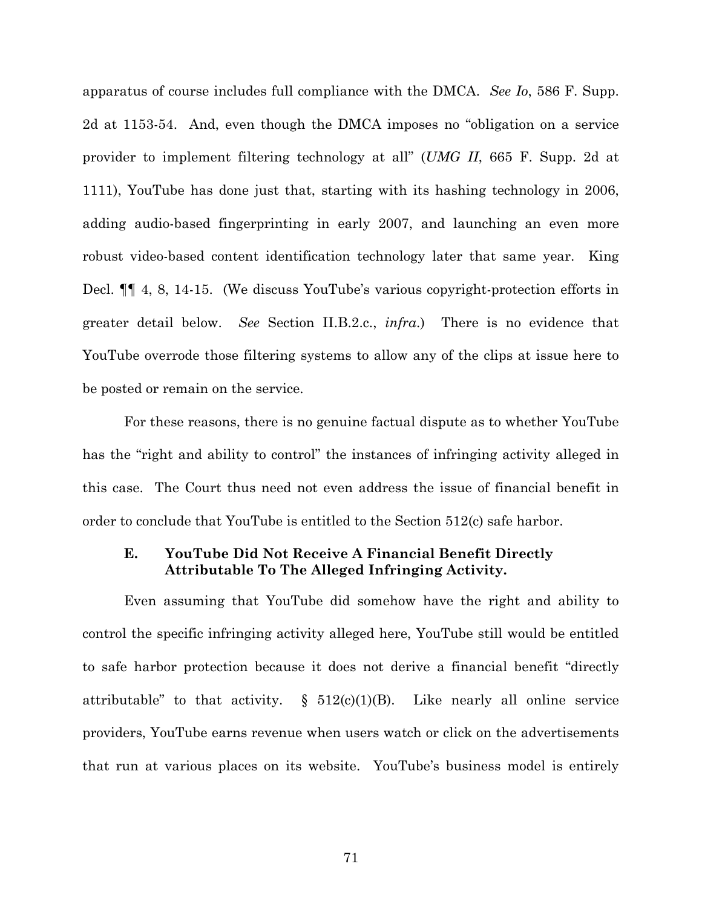apparatus of course includes full compliance with the DMCA. *See Io*, 586 F. Supp. 2d at 1153-54. And, even though the DMCA imposes no "obligation on a service provider to implement filtering technology at all" (*UMG II*, 665 F. Supp. 2d at 1111), YouTube has done just that, starting with its hashing technology in 2006, adding audio-based fingerprinting in early 2007, and launching an even more robust video-based content identification technology later that same year. King Decl. ¶¶ 4, 8, 14-15. (We discuss YouTube's various copyright-protection efforts in greater detail below. *See* Section II.B.2.c., *infra*.) There is no evidence that YouTube overrode those filtering systems to allow any of the clips at issue here to be posted or remain on the service.

For these reasons, there is no genuine factual dispute as to whether YouTube has the "right and ability to control" the instances of infringing activity alleged in this case. The Court thus need not even address the issue of financial benefit in order to conclude that YouTube is entitled to the Section 512(c) safe harbor.

## **E. YouTube Did Not Receive A Financial Benefit Directly Attributable To The Alleged Infringing Activity.**

Even assuming that YouTube did somehow have the right and ability to control the specific infringing activity alleged here, YouTube still would be entitled to safe harbor protection because it does not derive a financial benefit "directly attributable" to that activity.  $\S$  512(c)(1)(B). Like nearly all online service providers, YouTube earns revenue when users watch or click on the advertisements that run at various places on its website. YouTube's business model is entirely

71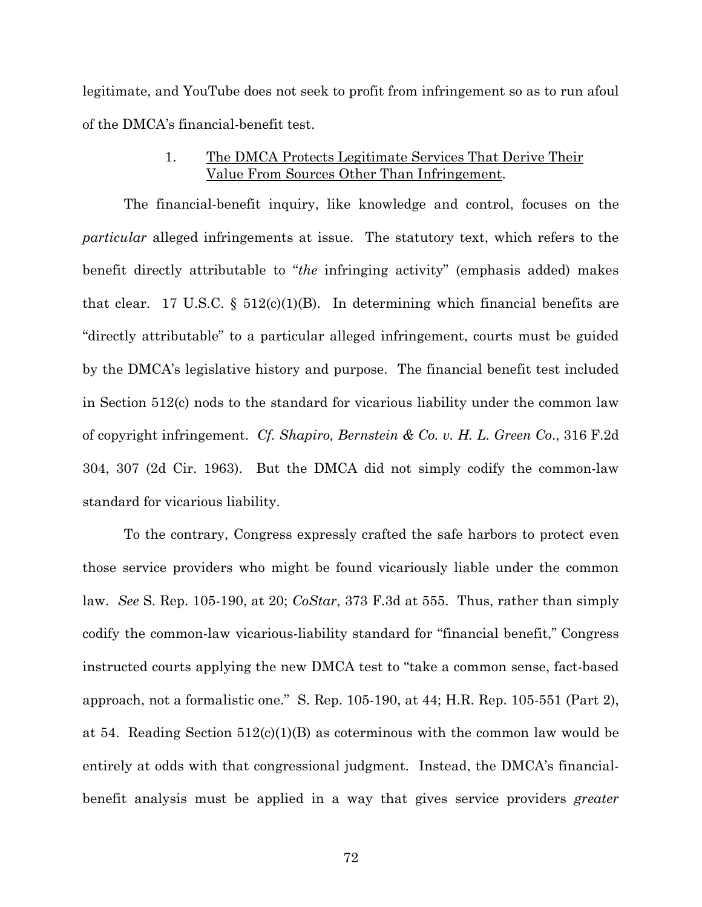legitimate, and YouTube does not seek to profit from infringement so as to run afoul of the DMCA's financial-benefit test.

## 1. The DMCA Protects Legitimate Services That Derive Their Value From Sources Other Than Infringement.

The financial-benefit inquiry, like knowledge and control, focuses on the *particular* alleged infringements at issue. The statutory text, which refers to the benefit directly attributable to "*the* infringing activity" (emphasis added) makes that clear. 17 U.S.C. §  $512(c)(1)(B)$ . In determining which financial benefits are "directly attributable" to a particular alleged infringement, courts must be guided by the DMCA's legislative history and purpose. The financial benefit test included in Section 512(c) nods to the standard for vicarious liability under the common law of copyright infringement. *Cf. Shapiro, Bernstein & Co. v. H. L. Green Co*., 316 F.2d 304, 307 (2d Cir. 1963). But the DMCA did not simply codify the common-law standard for vicarious liability.

To the contrary, Congress expressly crafted the safe harbors to protect even those service providers who might be found vicariously liable under the common law. *See* S. Rep. 105-190, at 20; *CoStar*, 373 F.3d at 555. Thus, rather than simply codify the common-law vicarious-liability standard for "financial benefit," Congress instructed courts applying the new DMCA test to "take a common sense, fact-based approach, not a formalistic one." S. Rep. 105-190, at 44; H.R. Rep. 105-551 (Part 2), at 54. Reading Section  $512(c)(1)(B)$  as coterminous with the common law would be entirely at odds with that congressional judgment. Instead, the DMCA's financialbenefit analysis must be applied in a way that gives service providers *greater*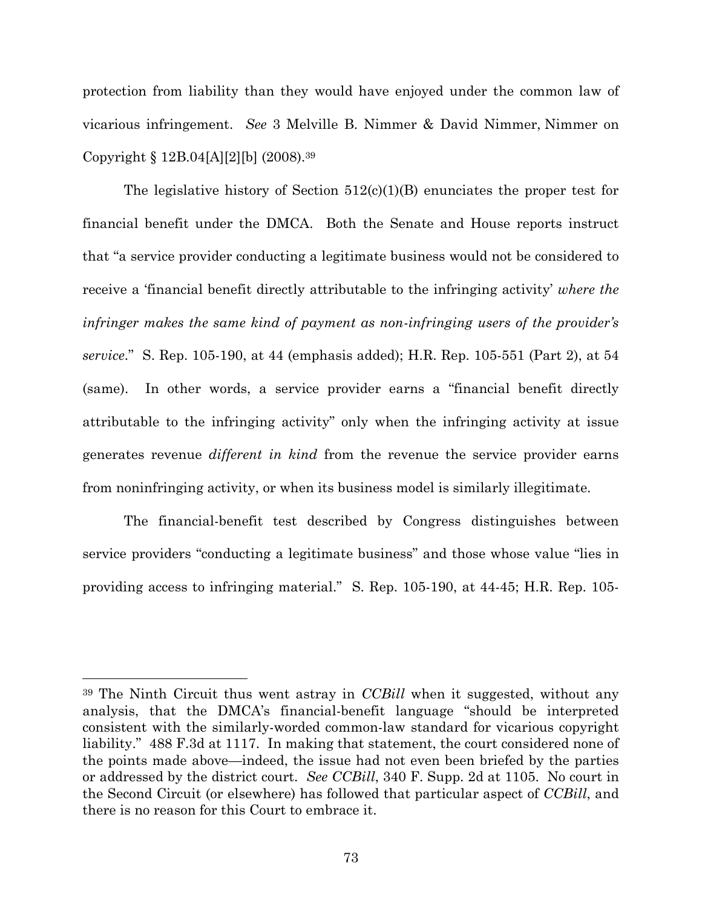protection from liability than they would have enjoyed under the common law of vicarious infringement. *See* 3 Melville B. Nimmer & David Nimmer, Nimmer on Copyright § 12B.04[A][2][b] (2008).<sup>39</sup>

The legislative history of Section  $512(c)(1)(B)$  enunciates the proper test for financial benefit under the DMCA. Both the Senate and House reports instruct that "a service provider conducting a legitimate business would not be considered to receive a 'financial benefit directly attributable to the infringing activity' *where the infringer makes the same kind of payment as non-infringing users of the provider's service*." S. Rep. 105-190, at 44 (emphasis added); H.R. Rep. 105-551 (Part 2), at 54 (same). In other words, a service provider earns a "financial benefit directly attributable to the infringing activity" only when the infringing activity at issue generates revenue *different in kind* from the revenue the service provider earns from noninfringing activity, or when its business model is similarly illegitimate.

The financial-benefit test described by Congress distinguishes between service providers "conducting a legitimate business" and those whose value "lies in providing access to infringing material." S. Rep. 105-190, at 44-45; H.R. Rep. 105-

<sup>39</sup> The Ninth Circuit thus went astray in *CCBill* when it suggested, without any analysis, that the DMCA's financial-benefit language "should be interpreted consistent with the similarly-worded common-law standard for vicarious copyright liability." 488 F.3d at 1117. In making that statement, the court considered none of the points made above—indeed, the issue had not even been briefed by the parties or addressed by the district court. *See CCBill*, 340 F. Supp. 2d at 1105. No court in the Second Circuit (or elsewhere) has followed that particular aspect of *CCBill*, and there is no reason for this Court to embrace it.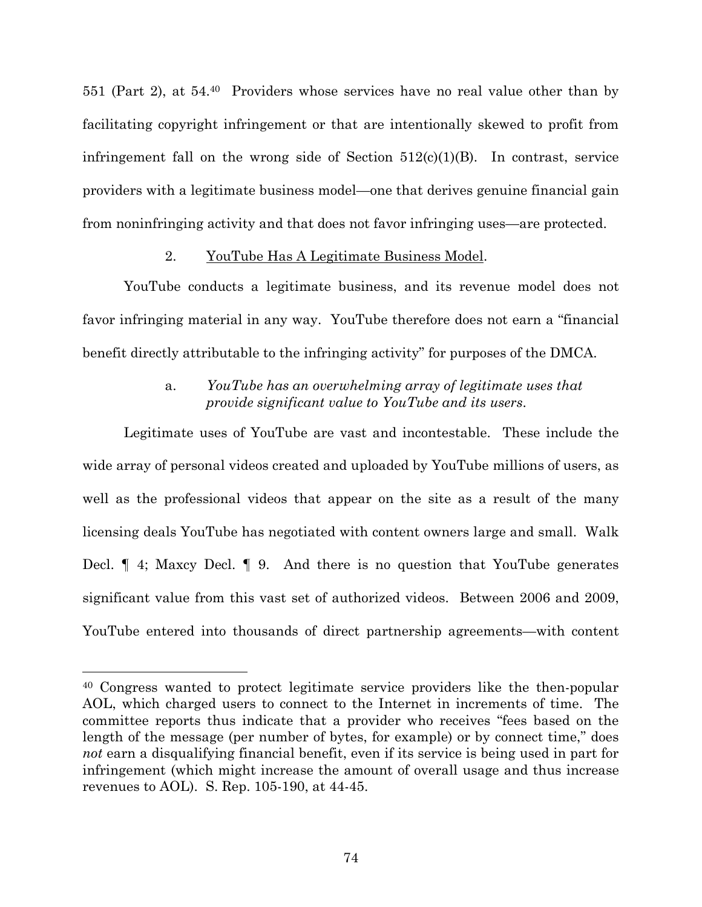551 (Part 2), at 54.<sup>40</sup> Providers whose services have no real value other than by facilitating copyright infringement or that are intentionally skewed to profit from infringement fall on the wrong side of Section  $512(c)(1)(B)$ . In contrast, service providers with a legitimate business model—one that derives genuine financial gain from noninfringing activity and that does not favor infringing uses—are protected.

### 2. YouTube Has A Legitimate Business Model.

YouTube conducts a legitimate business, and its revenue model does not favor infringing material in any way. YouTube therefore does not earn a "financial benefit directly attributable to the infringing activity" for purposes of the DMCA.

# a. *YouTube has an overwhelming array of legitimate uses that provide significant value to YouTube and its users*.

Legitimate uses of YouTube are vast and incontestable. These include the wide array of personal videos created and uploaded by YouTube millions of users, as well as the professional videos that appear on the site as a result of the many licensing deals YouTube has negotiated with content owners large and small. Walk Decl. ¶ 4; Maxcy Decl. ¶ 9. And there is no question that YouTube generates significant value from this vast set of authorized videos. Between 2006 and 2009, YouTube entered into thousands of direct partnership agreements—with content

<sup>40</sup> Congress wanted to protect legitimate service providers like the then-popular AOL, which charged users to connect to the Internet in increments of time. The committee reports thus indicate that a provider who receives "fees based on the length of the message (per number of bytes, for example) or by connect time," does *not* earn a disqualifying financial benefit, even if its service is being used in part for infringement (which might increase the amount of overall usage and thus increase revenues to AOL). S. Rep. 105-190, at 44-45.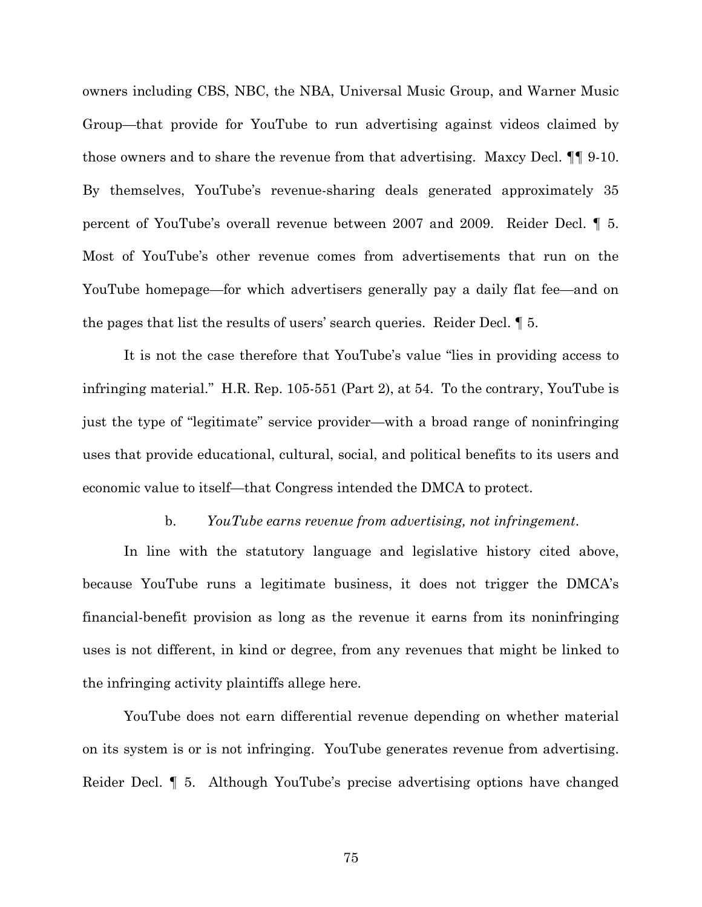owners including CBS, NBC, the NBA, Universal Music Group, and Warner Music Group—that provide for YouTube to run advertising against videos claimed by those owners and to share the revenue from that advertising. Maxcy Decl. ¶¶ 9-10. By themselves, YouTube's revenue-sharing deals generated approximately 35 percent of YouTube's overall revenue between 2007 and 2009. Reider Decl. ¶ 5. Most of YouTube's other revenue comes from advertisements that run on the YouTube homepage—for which advertisers generally pay a daily flat fee—and on the pages that list the results of users' search queries. Reider Decl. ¶ 5.

It is not the case therefore that YouTube's value "lies in providing access to infringing material." H.R. Rep. 105-551 (Part 2), at 54. To the contrary, YouTube is just the type of "legitimate" service provider—with a broad range of noninfringing uses that provide educational, cultural, social, and political benefits to its users and economic value to itself—that Congress intended the DMCA to protect.

#### b. *YouTube earns revenue from advertising, not infringement*.

In line with the statutory language and legislative history cited above, because YouTube runs a legitimate business, it does not trigger the DMCA's financial-benefit provision as long as the revenue it earns from its noninfringing uses is not different, in kind or degree, from any revenues that might be linked to the infringing activity plaintiffs allege here.

YouTube does not earn differential revenue depending on whether material on its system is or is not infringing. YouTube generates revenue from advertising. Reider Decl. ¶ 5. Although YouTube's precise advertising options have changed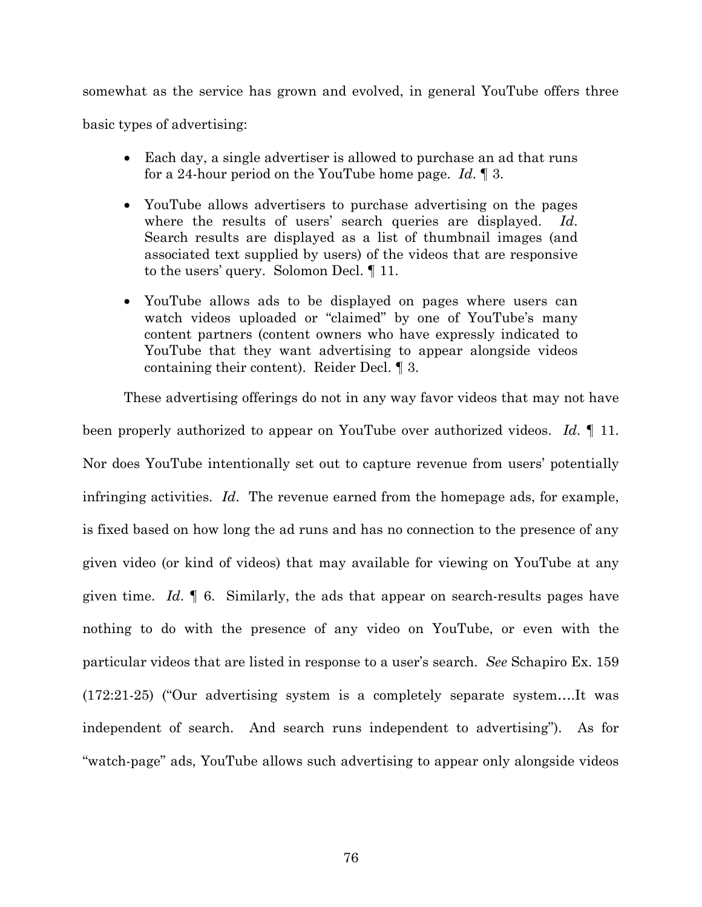somewhat as the service has grown and evolved, in general YouTube offers three basic types of advertising:

- Each day, a single advertiser is allowed to purchase an ad that runs for a 24-hour period on the YouTube home page. *Id*. ¶ 3.
- YouTube allows advertisers to purchase advertising on the pages where the results of users' search queries are displayed. *Id*. Search results are displayed as a list of thumbnail images (and associated text supplied by users) of the videos that are responsive to the users' query. Solomon Decl. ¶ 11.
- YouTube allows ads to be displayed on pages where users can watch videos uploaded or "claimed" by one of YouTube's many content partners (content owners who have expressly indicated to YouTube that they want advertising to appear alongside videos containing their content). Reider Decl. ¶ 3.

These advertising offerings do not in any way favor videos that may not have been properly authorized to appear on YouTube over authorized videos. *Id*. ¶ 11. Nor does YouTube intentionally set out to capture revenue from users' potentially infringing activities. *Id*. The revenue earned from the homepage ads, for example, is fixed based on how long the ad runs and has no connection to the presence of any given video (or kind of videos) that may available for viewing on YouTube at any given time. *Id*. ¶ 6. Similarly, the ads that appear on search-results pages have nothing to do with the presence of any video on YouTube, or even with the particular videos that are listed in response to a user's search. *See* Schapiro Ex. 159 (172:21-25) ("Our advertising system is a completely separate system….It was independent of search. And search runs independent to advertising"). As for "watch-page" ads, YouTube allows such advertising to appear only alongside videos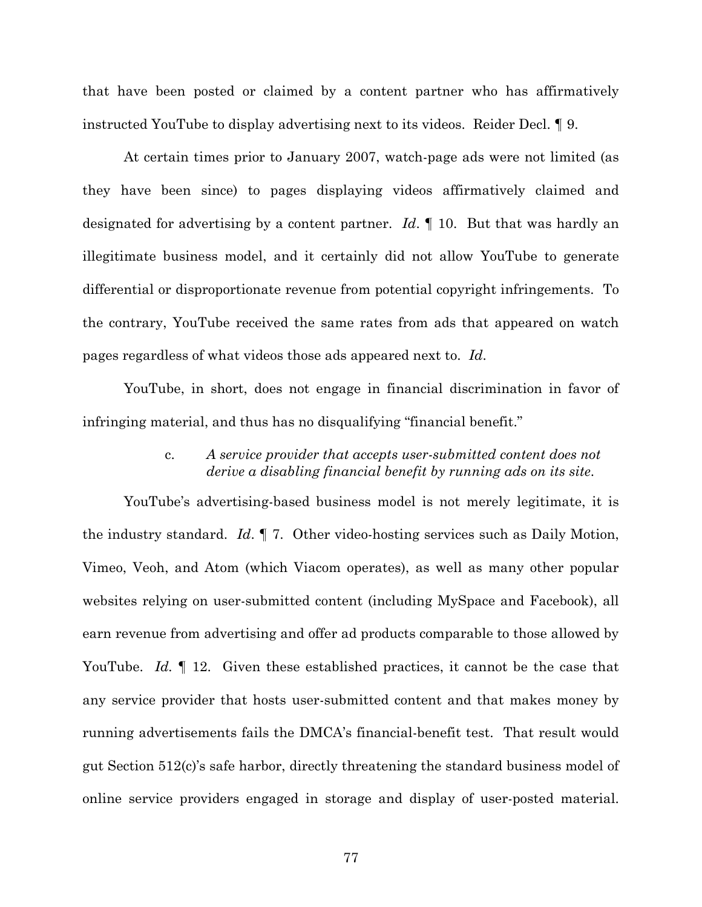that have been posted or claimed by a content partner who has affirmatively instructed YouTube to display advertising next to its videos. Reider Decl. ¶ 9.

At certain times prior to January 2007, watch-page ads were not limited (as they have been since) to pages displaying videos affirmatively claimed and designated for advertising by a content partner. *Id*. ¶ 10. But that was hardly an illegitimate business model, and it certainly did not allow YouTube to generate differential or disproportionate revenue from potential copyright infringements. To the contrary, YouTube received the same rates from ads that appeared on watch pages regardless of what videos those ads appeared next to. *Id*.

YouTube, in short, does not engage in financial discrimination in favor of infringing material, and thus has no disqualifying "financial benefit."

## c. *A service provider that accepts user-submitted content does not derive a disabling financial benefit by running ads on its site*.

YouTube's advertising-based business model is not merely legitimate, it is the industry standard. *Id*. ¶ 7. Other video-hosting services such as Daily Motion, Vimeo, Veoh, and Atom (which Viacom operates), as well as many other popular websites relying on user-submitted content (including MySpace and Facebook), all earn revenue from advertising and offer ad products comparable to those allowed by YouTube. *Id.* 12. Given these established practices, it cannot be the case that any service provider that hosts user-submitted content and that makes money by running advertisements fails the DMCA's financial-benefit test. That result would gut Section 512(c)'s safe harbor, directly threatening the standard business model of online service providers engaged in storage and display of user-posted material.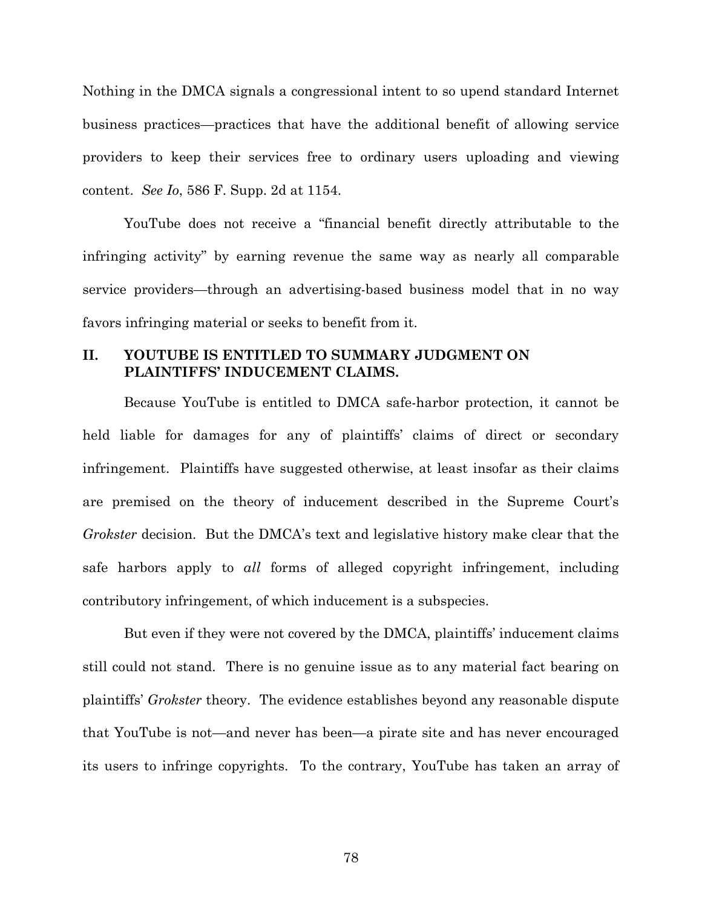Nothing in the DMCA signals a congressional intent to so upend standard Internet business practices—practices that have the additional benefit of allowing service providers to keep their services free to ordinary users uploading and viewing content. *See Io*, 586 F. Supp. 2d at 1154.

YouTube does not receive a "financial benefit directly attributable to the infringing activity" by earning revenue the same way as nearly all comparable service providers—through an advertising-based business model that in no way favors infringing material or seeks to benefit from it.

# **II. YOUTUBE IS ENTITLED TO SUMMARY JUDGMENT ON PLAINTIFFS' INDUCEMENT CLAIMS.**

Because YouTube is entitled to DMCA safe-harbor protection, it cannot be held liable for damages for any of plaintiffs' claims of direct or secondary infringement. Plaintiffs have suggested otherwise, at least insofar as their claims are premised on the theory of inducement described in the Supreme Court's *Grokster* decision. But the DMCA's text and legislative history make clear that the safe harbors apply to *all* forms of alleged copyright infringement, including contributory infringement, of which inducement is a subspecies.

But even if they were not covered by the DMCA, plaintiffs' inducement claims still could not stand. There is no genuine issue as to any material fact bearing on plaintiffs' *Grokster* theory. The evidence establishes beyond any reasonable dispute that YouTube is not—and never has been—a pirate site and has never encouraged its users to infringe copyrights. To the contrary, YouTube has taken an array of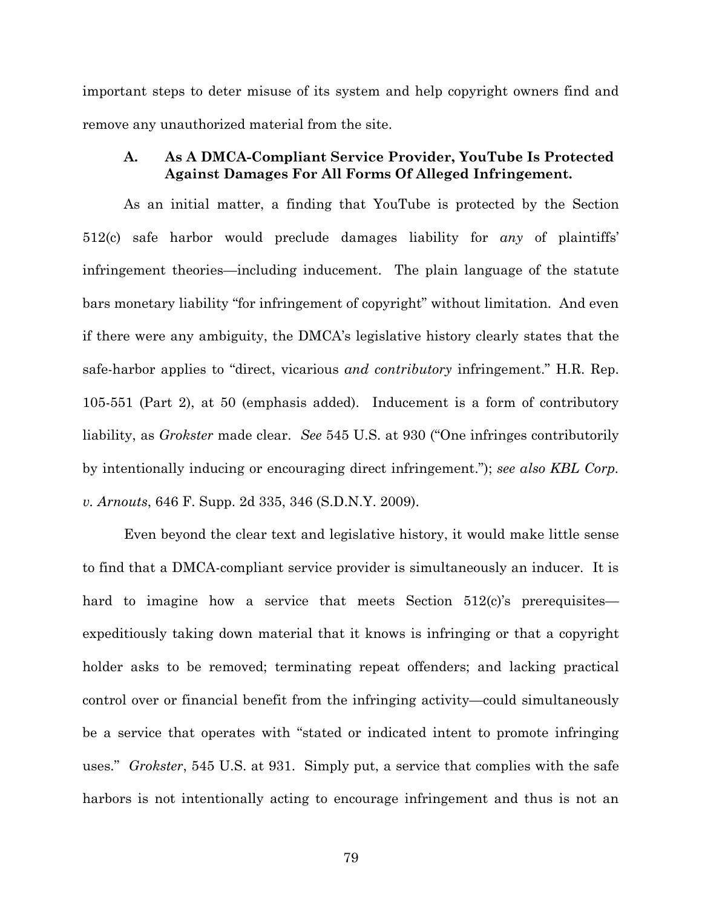important steps to deter misuse of its system and help copyright owners find and remove any unauthorized material from the site.

## **A. As A DMCA-Compliant Service Provider, YouTube Is Protected Against Damages For All Forms Of Alleged Infringement.**

As an initial matter, a finding that YouTube is protected by the Section 512(c) safe harbor would preclude damages liability for *any* of plaintiffs' infringement theories—including inducement. The plain language of the statute bars monetary liability "for infringement of copyright" without limitation. And even if there were any ambiguity, the DMCA's legislative history clearly states that the safe-harbor applies to "direct, vicarious *and contributory* infringement." H.R. Rep. 105-551 (Part 2), at 50 (emphasis added). Inducement is a form of contributory liability, as *Grokster* made clear. *See* 545 U.S. at 930 ("One infringes contributorily by intentionally inducing or encouraging direct infringement."); *see also KBL Corp. v. Arnouts*, 646 F. Supp. 2d 335, 346 (S.D.N.Y. 2009).

Even beyond the clear text and legislative history, it would make little sense to find that a DMCA-compliant service provider is simultaneously an inducer. It is hard to imagine how a service that meets Section  $512(c)$ 's prerequisites expeditiously taking down material that it knows is infringing or that a copyright holder asks to be removed; terminating repeat offenders; and lacking practical control over or financial benefit from the infringing activity—could simultaneously be a service that operates with "stated or indicated intent to promote infringing uses." *Grokster*, 545 U.S. at 931. Simply put, a service that complies with the safe harbors is not intentionally acting to encourage infringement and thus is not an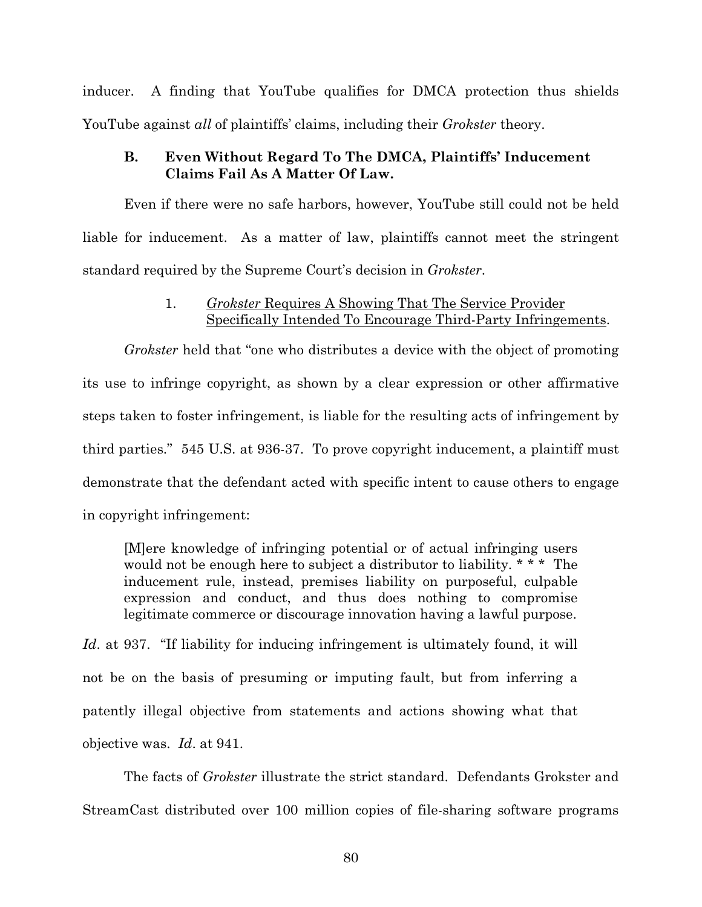inducer. A finding that YouTube qualifies for DMCA protection thus shields YouTube against *all* of plaintiffs' claims, including their *Grokster* theory.

# **B. Even Without Regard To The DMCA, Plaintiffs' Inducement Claims Fail As A Matter Of Law.**

Even if there were no safe harbors, however, YouTube still could not be held liable for inducement. As a matter of law, plaintiffs cannot meet the stringent standard required by the Supreme Court's decision in *Grokster*.

# 1. *Grokster* Requires A Showing That The Service Provider Specifically Intended To Encourage Third-Party Infringements.

*Grokster* held that "one who distributes a device with the object of promoting its use to infringe copyright, as shown by a clear expression or other affirmative steps taken to foster infringement, is liable for the resulting acts of infringement by third parties." 545 U.S. at 936-37. To prove copyright inducement, a plaintiff must demonstrate that the defendant acted with specific intent to cause others to engage in copyright infringement:

[M]ere knowledge of infringing potential or of actual infringing users would not be enough here to subject a distributor to liability. \* \* \* The inducement rule, instead, premises liability on purposeful, culpable expression and conduct, and thus does nothing to compromise legitimate commerce or discourage innovation having a lawful purpose.

*Id.* at 937. "If liability for inducing infringement is ultimately found, it will not be on the basis of presuming or imputing fault, but from inferring a patently illegal objective from statements and actions showing what that objective was. *Id*. at 941.

The facts of *Grokster* illustrate the strict standard. Defendants Grokster and StreamCast distributed over 100 million copies of file-sharing software programs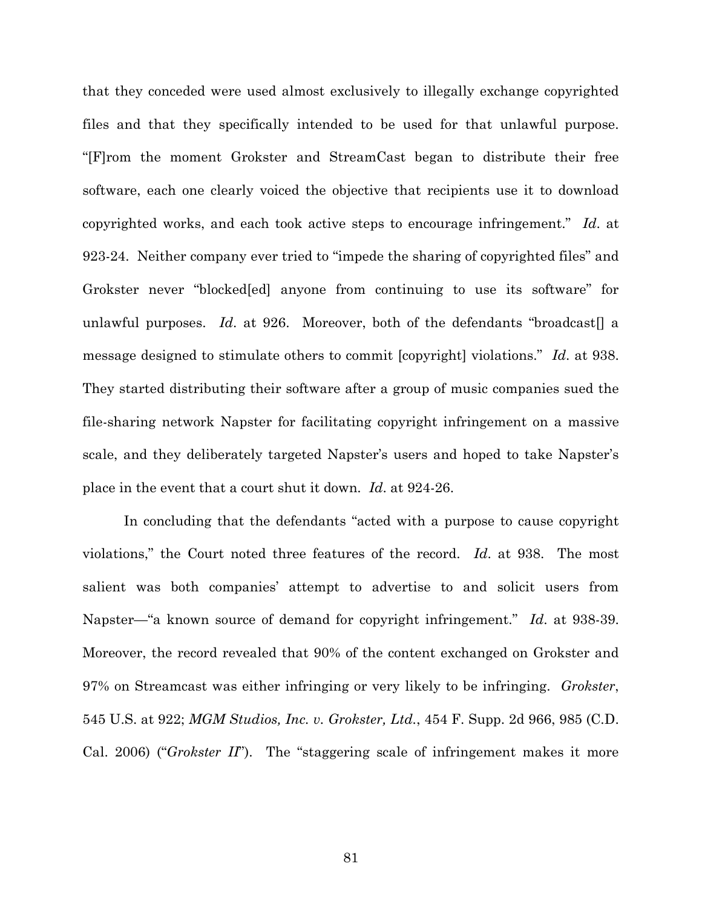that they conceded were used almost exclusively to illegally exchange copyrighted files and that they specifically intended to be used for that unlawful purpose. "[F]rom the moment Grokster and StreamCast began to distribute their free software, each one clearly voiced the objective that recipients use it to download copyrighted works, and each took active steps to encourage infringement." *Id*. at 923-24. Neither company ever tried to "impede the sharing of copyrighted files" and Grokster never "blocked[ed] anyone from continuing to use its software" for unlawful purposes. *Id*. at 926. Moreover, both of the defendants "broadcast[] a message designed to stimulate others to commit [copyright] violations." *Id*. at 938. They started distributing their software after a group of music companies sued the file-sharing network Napster for facilitating copyright infringement on a massive scale, and they deliberately targeted Napster's users and hoped to take Napster's place in the event that a court shut it down. *Id*. at 924-26.

In concluding that the defendants "acted with a purpose to cause copyright violations," the Court noted three features of the record. *Id*. at 938. The most salient was both companies' attempt to advertise to and solicit users from Napster—"a known source of demand for copyright infringement." *Id*. at 938-39. Moreover, the record revealed that 90% of the content exchanged on Grokster and 97% on Streamcast was either infringing or very likely to be infringing. *Grokster*, 545 U.S. at 922; *MGM Studios, Inc. v. Grokster, Ltd.*, 454 F. Supp. 2d 966, 985 (C.D. Cal. 2006) ("*Grokster II*"). The "staggering scale of infringement makes it more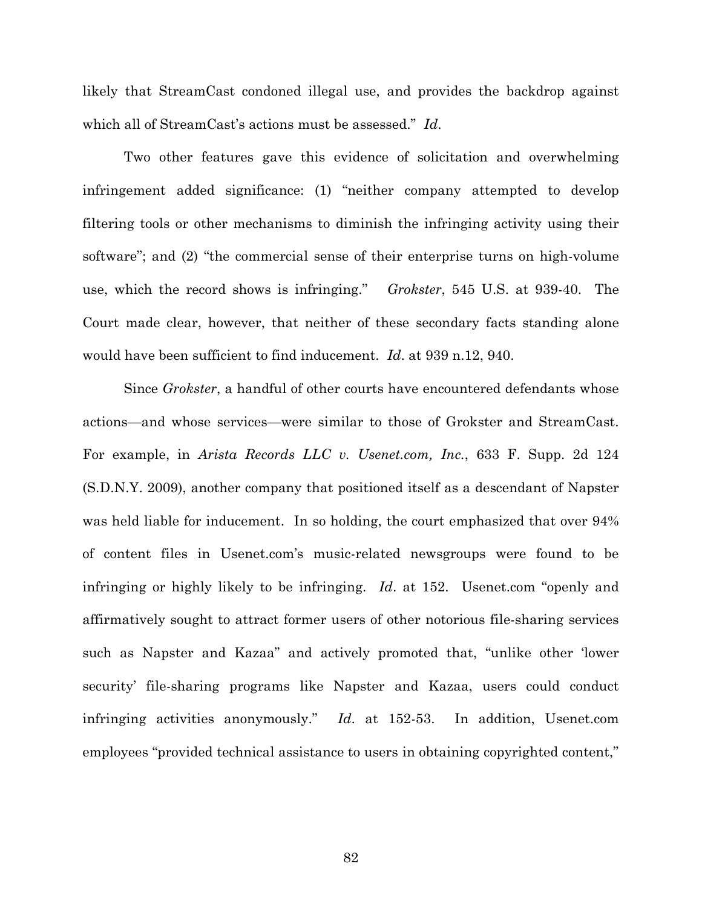likely that StreamCast condoned illegal use, and provides the backdrop against which all of StreamCast's actions must be assessed." *Id*.

Two other features gave this evidence of solicitation and overwhelming infringement added significance: (1) "neither company attempted to develop filtering tools or other mechanisms to diminish the infringing activity using their software"; and (2) "the commercial sense of their enterprise turns on high-volume use, which the record shows is infringing." *Grokster*, 545 U.S. at 939-40. The Court made clear, however, that neither of these secondary facts standing alone would have been sufficient to find inducement. *Id*. at 939 n.12, 940.

Since *Grokster*, a handful of other courts have encountered defendants whose actions—and whose services—were similar to those of Grokster and StreamCast. For example, in *Arista Records LLC v. Usenet.com, Inc.*, 633 F. Supp. 2d 124 (S.D.N.Y. 2009), another company that positioned itself as a descendant of Napster was held liable for inducement. In so holding, the court emphasized that over 94% of content files in Usenet.com's music-related newsgroups were found to be infringing or highly likely to be infringing. *Id*. at 152. Usenet.com "openly and affirmatively sought to attract former users of other notorious file-sharing services such as Napster and Kazaa" and actively promoted that, "unlike other 'lower security' file-sharing programs like Napster and Kazaa, users could conduct infringing activities anonymously." *Id*. at 152-53. In addition, Usenet.com employees "provided technical assistance to users in obtaining copyrighted content,"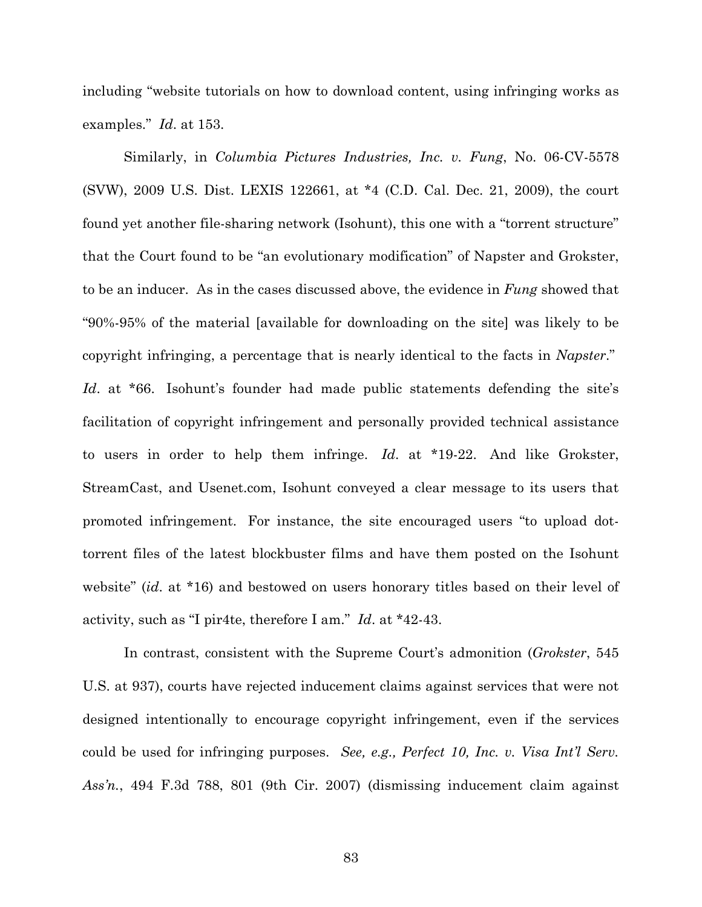including "website tutorials on how to download content, using infringing works as examples." *Id*. at 153.

Similarly, in *Columbia Pictures Industries, Inc. v. Fung*, No. 06-CV-5578 (SVW), 2009 U.S. Dist. LEXIS 122661, at \*4 (C.D. Cal. Dec. 21, 2009), the court found yet another file-sharing network (Isohunt), this one with a "torrent structure" that the Court found to be "an evolutionary modification" of Napster and Grokster, to be an inducer. As in the cases discussed above, the evidence in *Fung* showed that "90%-95% of the material [available for downloading on the site] was likely to be copyright infringing, a percentage that is nearly identical to the facts in *Napster*." *Id*. at \*66. Isohunt's founder had made public statements defending the site's facilitation of copyright infringement and personally provided technical assistance to users in order to help them infringe. *Id*. at \*19-22. And like Grokster, StreamCast, and Usenet.com, Isohunt conveyed a clear message to its users that promoted infringement. For instance, the site encouraged users "to upload dottorrent files of the latest blockbuster films and have them posted on the Isohunt website" (*id*. at \*16) and bestowed on users honorary titles based on their level of activity, such as "I pir4te, therefore I am." *Id*. at \*42-43.

In contrast, consistent with the Supreme Court's admonition (*Grokster*, 545 U.S. at 937), courts have rejected inducement claims against services that were not designed intentionally to encourage copyright infringement, even if the services could be used for infringing purposes. *See, e.g., Perfect 10, Inc. v. Visa Int'l Serv. Ass'n.*, 494 F.3d 788, 801 (9th Cir. 2007) (dismissing inducement claim against

83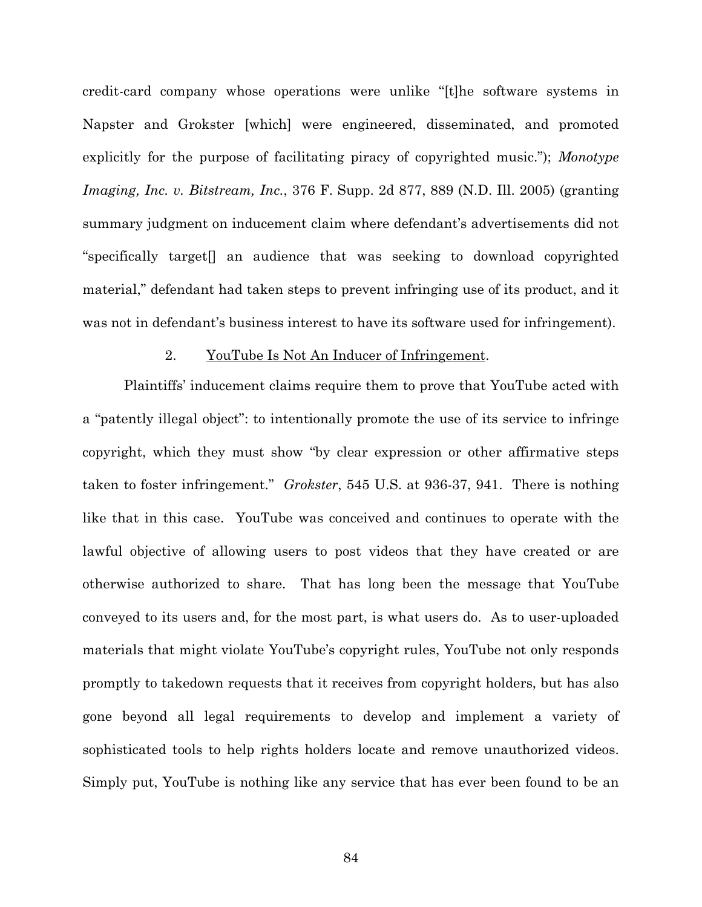credit-card company whose operations were unlike "[t]he software systems in Napster and Grokster [which] were engineered, disseminated, and promoted explicitly for the purpose of facilitating piracy of copyrighted music."); *Monotype Imaging, Inc. v. Bitstream, Inc.*, 376 F. Supp. 2d 877, 889 (N.D. Ill. 2005) (granting summary judgment on inducement claim where defendant's advertisements did not "specifically target[] an audience that was seeking to download copyrighted material," defendant had taken steps to prevent infringing use of its product, and it was not in defendant's business interest to have its software used for infringement).

### 2. YouTube Is Not An Inducer of Infringement.

Plaintiffs' inducement claims require them to prove that YouTube acted with a "patently illegal object": to intentionally promote the use of its service to infringe copyright, which they must show "by clear expression or other affirmative steps taken to foster infringement." *Grokster*, 545 U.S. at 936-37, 941. There is nothing like that in this case. YouTube was conceived and continues to operate with the lawful objective of allowing users to post videos that they have created or are otherwise authorized to share. That has long been the message that YouTube conveyed to its users and, for the most part, is what users do. As to user-uploaded materials that might violate YouTube's copyright rules, YouTube not only responds promptly to takedown requests that it receives from copyright holders, but has also gone beyond all legal requirements to develop and implement a variety of sophisticated tools to help rights holders locate and remove unauthorized videos. Simply put, YouTube is nothing like any service that has ever been found to be an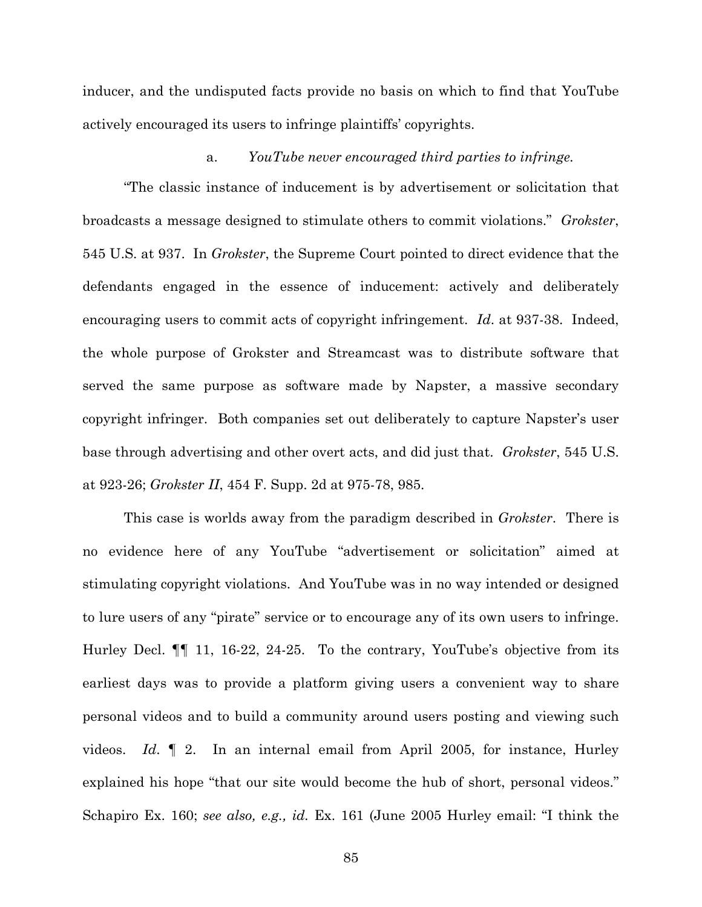inducer, and the undisputed facts provide no basis on which to find that YouTube actively encouraged its users to infringe plaintiffs' copyrights.

### a. *YouTube never encouraged third parties to infringe.*

"The classic instance of inducement is by advertisement or solicitation that broadcasts a message designed to stimulate others to commit violations." *Grokster*, 545 U.S. at 937. In *Grokster*, the Supreme Court pointed to direct evidence that the defendants engaged in the essence of inducement: actively and deliberately encouraging users to commit acts of copyright infringement. *Id*. at 937-38. Indeed, the whole purpose of Grokster and Streamcast was to distribute software that served the same purpose as software made by Napster, a massive secondary copyright infringer. Both companies set out deliberately to capture Napster's user base through advertising and other overt acts, and did just that. *Grokster*, 545 U.S. at 923-26; *Grokster II*, 454 F. Supp. 2d at 975-78, 985.

This case is worlds away from the paradigm described in *Grokster*. There is no evidence here of any YouTube "advertisement or solicitation" aimed at stimulating copyright violations. And YouTube was in no way intended or designed to lure users of any "pirate" service or to encourage any of its own users to infringe. Hurley Decl. ¶¶ 11, 16-22, 24-25. To the contrary, YouTube's objective from its earliest days was to provide a platform giving users a convenient way to share personal videos and to build a community around users posting and viewing such videos. *Id*. ¶ 2. In an internal email from April 2005, for instance, Hurley explained his hope "that our site would become the hub of short, personal videos." Schapiro Ex. 160; *see also, e.g., id.* Ex. 161 (June 2005 Hurley email: "I think the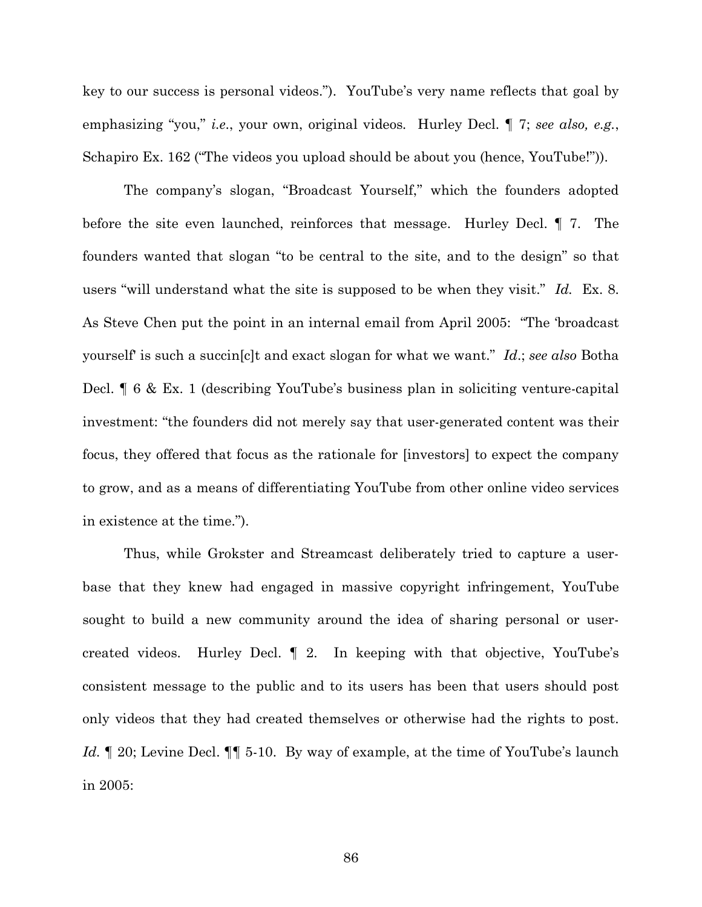key to our success is personal videos."). YouTube's very name reflects that goal by emphasizing "you," *i.e*., your own, original videos*.* Hurley Decl. ¶ 7; *see also, e.g.*, Schapiro Ex. 162 ("The videos you upload should be about you (hence, YouTube!")).

The company's slogan, "Broadcast Yourself," which the founders adopted before the site even launched, reinforces that message. Hurley Decl. ¶ 7. The founders wanted that slogan "to be central to the site, and to the design" so that users "will understand what the site is supposed to be when they visit." *Id.* Ex. 8. As Steve Chen put the point in an internal email from April 2005: "The 'broadcast yourself' is such a succin[c]t and exact slogan for what we want." *Id*.; *see also* Botha Decl. ¶ 6 & Ex. 1 (describing YouTube's business plan in soliciting venture-capital investment: "the founders did not merely say that user-generated content was their focus, they offered that focus as the rationale for [investors] to expect the company to grow, and as a means of differentiating YouTube from other online video services in existence at the time.").

Thus, while Grokster and Streamcast deliberately tried to capture a userbase that they knew had engaged in massive copyright infringement, YouTube sought to build a new community around the idea of sharing personal or usercreated videos. Hurley Decl. ¶ 2. In keeping with that objective, YouTube's consistent message to the public and to its users has been that users should post only videos that they had created themselves or otherwise had the rights to post. *Id.* 120; Levine Decl. 11 5-10. By way of example, at the time of YouTube's launch in 2005:

86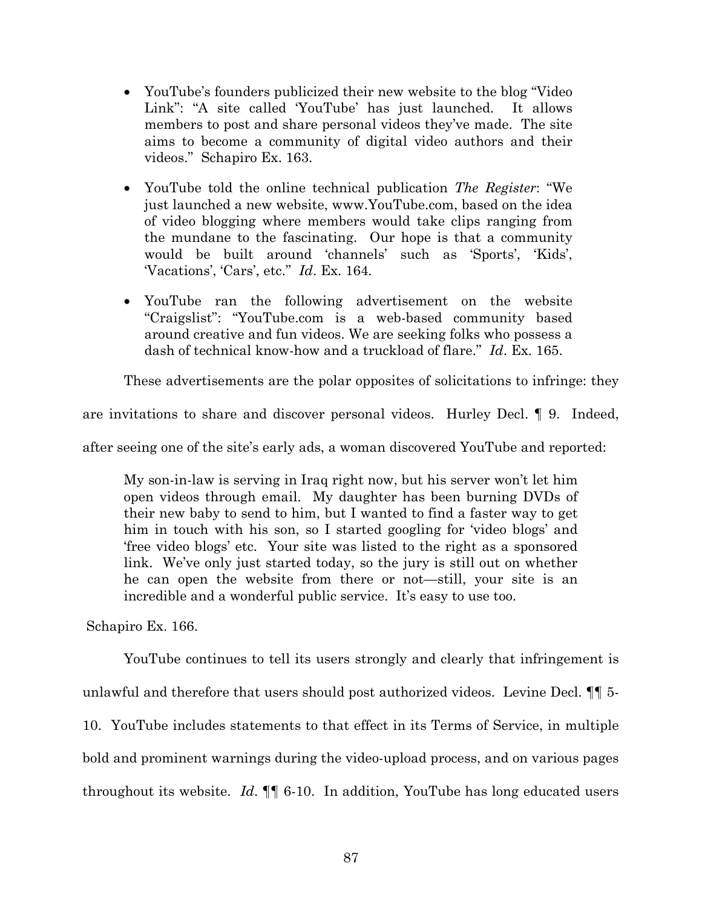- YouTube's founders publicized their new website to the blog "Video Link": "A site called 'YouTube' has just launched. It allows members to post and share personal videos they've made. The site aims to become a community of digital video authors and their videos." Schapiro Ex. 163.
- YouTube told the online technical publication *The Register*: "We just launched a new website, www.YouTube.com, based on the idea of video blogging where members would take clips ranging from the mundane to the fascinating. Our hope is that a community would be built around 'channels' such as 'Sports', 'Kids', 'Vacations', 'Cars', etc." *Id*. Ex. 164*.*
- YouTube ran the following advertisement on the website "Craigslist": "YouTube.com is a web-based community based around creative and fun videos. We are seeking folks who possess a dash of technical know-how and a truckload of flare." *Id*. Ex. 165.

These advertisements are the polar opposites of solicitations to infringe: they

are invitations to share and discover personal videos. Hurley Decl. ¶ 9. Indeed,

after seeing one of the site's early ads, a woman discovered YouTube and reported:

My son-in-law is serving in Iraq right now, but his server won't let him open videos through email. My daughter has been burning DVDs of their new baby to send to him, but I wanted to find a faster way to get him in touch with his son, so I started googling for 'video blogs' and 'free video blogs' etc. Your site was listed to the right as a sponsored link. We've only just started today, so the jury is still out on whether he can open the website from there or not—still, your site is an incredible and a wonderful public service. It's easy to use too.

Schapiro Ex. 166.

YouTube continues to tell its users strongly and clearly that infringement is unlawful and therefore that users should post authorized videos. Levine Decl. ¶¶ 5- 10. YouTube includes statements to that effect in its Terms of Service, in multiple bold and prominent warnings during the video-upload process, and on various pages throughout its website. *Id*. ¶¶ 6-10. In addition, YouTube has long educated users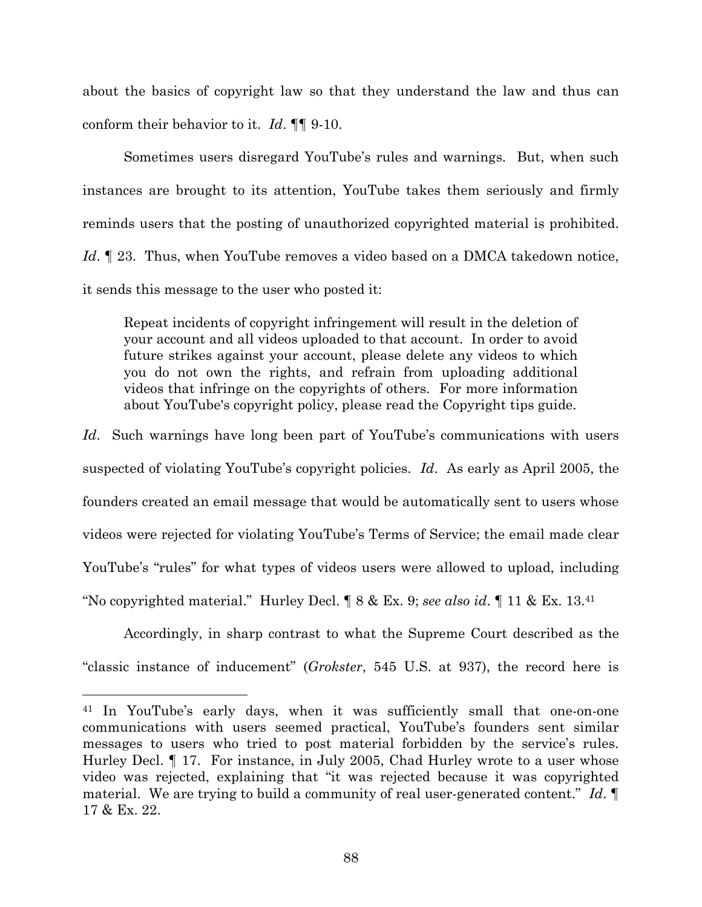about the basics of copyright law so that they understand the law and thus can conform their behavior to it. *Id*. ¶¶ 9-10.

Sometimes users disregard YouTube's rules and warnings. But, when such instances are brought to its attention, YouTube takes them seriously and firmly reminds users that the posting of unauthorized copyrighted material is prohibited. *Id*. ¶ 23. Thus, when YouTube removes a video based on a DMCA takedown notice, it sends this message to the user who posted it:

Repeat incidents of copyright infringement will result in the deletion of your account and all videos uploaded to that account. In order to avoid future strikes against your account, please delete any videos to which you do not own the rights, and refrain from uploading additional videos that infringe on the copyrights of others. For more information about YouTube's copyright policy, please read the Copyright tips guide.

*Id*. Such warnings have long been part of YouTube's communications with users suspected of violating YouTube's copyright policies. *Id*. As early as April 2005, the founders created an email message that would be automatically sent to users whose videos were rejected for violating YouTube's Terms of Service; the email made clear YouTube's "rules" for what types of videos users were allowed to upload, including "No copyrighted material." Hurley Decl. ¶ 8 & Ex. 9; *see also id*. ¶ 11 & Ex. 13.<sup>41</sup>

Accordingly, in sharp contrast to what the Supreme Court described as the "classic instance of inducement" (*Grokster*, 545 U.S. at 937), the record here is

<sup>41</sup> In YouTube's early days, when it was sufficiently small that one-on-one communications with users seemed practical, YouTube's founders sent similar messages to users who tried to post material forbidden by the service's rules. Hurley Decl. ¶ 17. For instance, in July 2005, Chad Hurley wrote to a user whose video was rejected, explaining that "it was rejected because it was copyrighted material. We are trying to build a community of real user-generated content." *Id*. ¶ 17 & Ex. 22.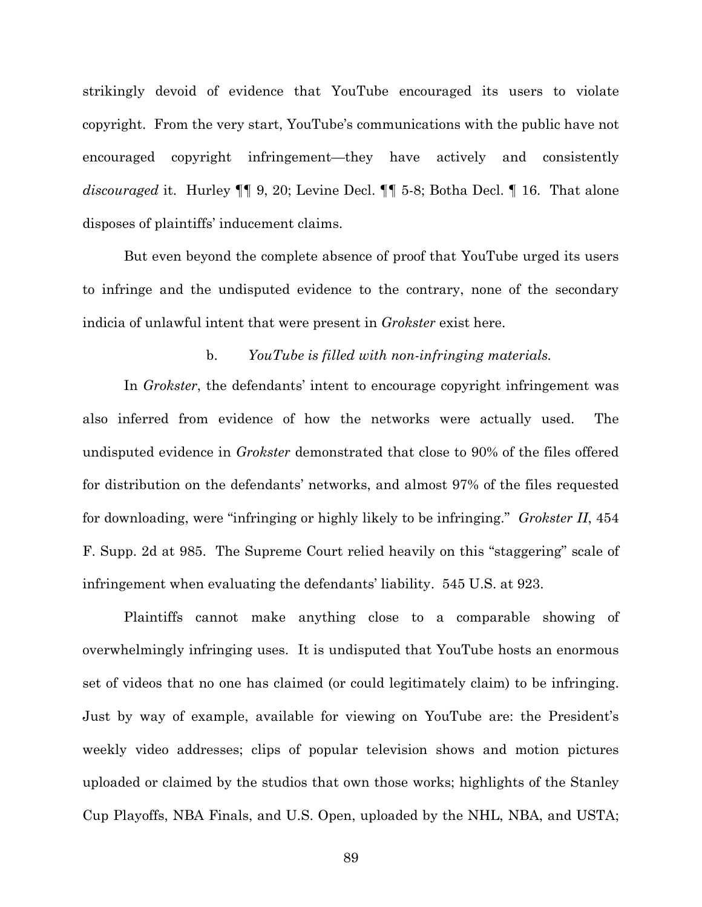strikingly devoid of evidence that YouTube encouraged its users to violate copyright. From the very start, YouTube's communications with the public have not encouraged copyright infringement—they have actively and consistently *discouraged* it. Hurley ¶¶ 9, 20; Levine Decl. ¶¶ 5-8; Botha Decl. ¶ 16. That alone disposes of plaintiffs' inducement claims.

But even beyond the complete absence of proof that YouTube urged its users to infringe and the undisputed evidence to the contrary, none of the secondary indicia of unlawful intent that were present in *Grokster* exist here.

### b. *YouTube is filled with non-infringing materials.*

In *Grokster*, the defendants' intent to encourage copyright infringement was also inferred from evidence of how the networks were actually used. The undisputed evidence in *Grokster* demonstrated that close to 90% of the files offered for distribution on the defendants' networks, and almost 97% of the files requested for downloading, were "infringing or highly likely to be infringing." *Grokster II*, 454 F. Supp. 2d at 985. The Supreme Court relied heavily on this "staggering" scale of infringement when evaluating the defendants' liability. 545 U.S. at 923.

Plaintiffs cannot make anything close to a comparable showing of overwhelmingly infringing uses. It is undisputed that YouTube hosts an enormous set of videos that no one has claimed (or could legitimately claim) to be infringing. Just by way of example, available for viewing on YouTube are: the President's weekly video addresses; clips of popular television shows and motion pictures uploaded or claimed by the studios that own those works; highlights of the Stanley Cup Playoffs, NBA Finals, and U.S. Open, uploaded by the NHL, NBA, and USTA;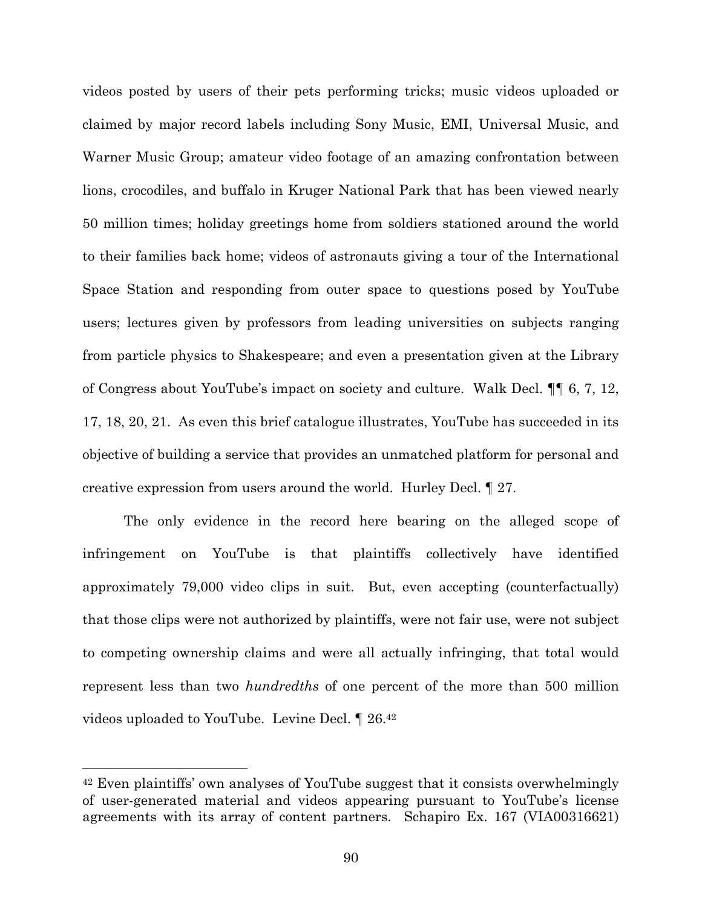videos posted by users of their pets performing tricks; music videos uploaded or claimed by major record labels including Sony Music, EMI, Universal Music, and Warner Music Group; amateur video footage of an amazing confrontation between lions, crocodiles, and buffalo in Kruger National Park that has been viewed nearly 50 million times; holiday greetings home from soldiers stationed around the world to their families back home; videos of astronauts giving a tour of the International Space Station and responding from outer space to questions posed by YouTube users; lectures given by professors from leading universities on subjects ranging from particle physics to Shakespeare; and even a presentation given at the Library of Congress about YouTube's impact on society and culture. Walk Decl. ¶¶ 6, 7, 12, 17, 18, 20, 21. As even this brief catalogue illustrates, YouTube has succeeded in its objective of building a service that provides an unmatched platform for personal and creative expression from users around the world. Hurley Decl. ¶ 27.

The only evidence in the record here bearing on the alleged scope of infringement on YouTube is that plaintiffs collectively have identified approximately 79,000 video clips in suit. But, even accepting (counterfactually) that those clips were not authorized by plaintiffs, were not fair use, were not subject to competing ownership claims and were all actually infringing, that total would represent less than two *hundredths* of one percent of the more than 500 million videos uploaded to YouTube. Levine Decl. ¶ 26.<sup>42</sup>

<sup>42</sup> Even plaintiffs' own analyses of YouTube suggest that it consists overwhelmingly of user-generated material and videos appearing pursuant to YouTube's license agreements with its array of content partners. Schapiro Ex. 167 (VIA00316621)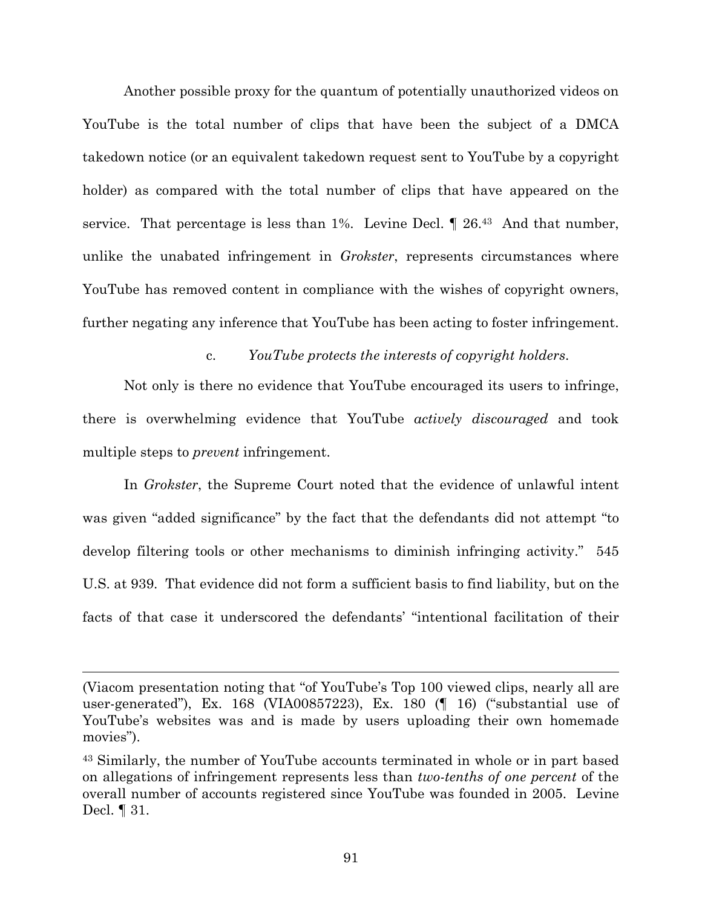Another possible proxy for the quantum of potentially unauthorized videos on YouTube is the total number of clips that have been the subject of a DMCA takedown notice (or an equivalent takedown request sent to YouTube by a copyright holder) as compared with the total number of clips that have appeared on the service. That percentage is less than 1%. Levine Decl. ¶ 26.<sup>43</sup> And that number, unlike the unabated infringement in *Grokster*, represents circumstances where YouTube has removed content in compliance with the wishes of copyright owners, further negating any inference that YouTube has been acting to foster infringement.

c. *YouTube protects the interests of copyright holders*.

Not only is there no evidence that YouTube encouraged its users to infringe, there is overwhelming evidence that YouTube *actively discouraged* and took multiple steps to *prevent* infringement.

In *Grokster*, the Supreme Court noted that the evidence of unlawful intent was given "added significance" by the fact that the defendants did not attempt "to develop filtering tools or other mechanisms to diminish infringing activity." 545 U.S. at 939. That evidence did not form a sufficient basis to find liability, but on the facts of that case it underscored the defendants' "intentional facilitation of their

<sup>(</sup>Viacom presentation noting that "of YouTube's Top 100 viewed clips, nearly all are user-generated"), Ex. 168 (VIA00857223), Ex. 180 (¶ 16) ("substantial use of YouTube's websites was and is made by users uploading their own homemade movies").

<sup>43</sup> Similarly, the number of YouTube accounts terminated in whole or in part based on allegations of infringement represents less than *two-tenths of one percent* of the overall number of accounts registered since YouTube was founded in 2005. Levine Decl. ¶ 31.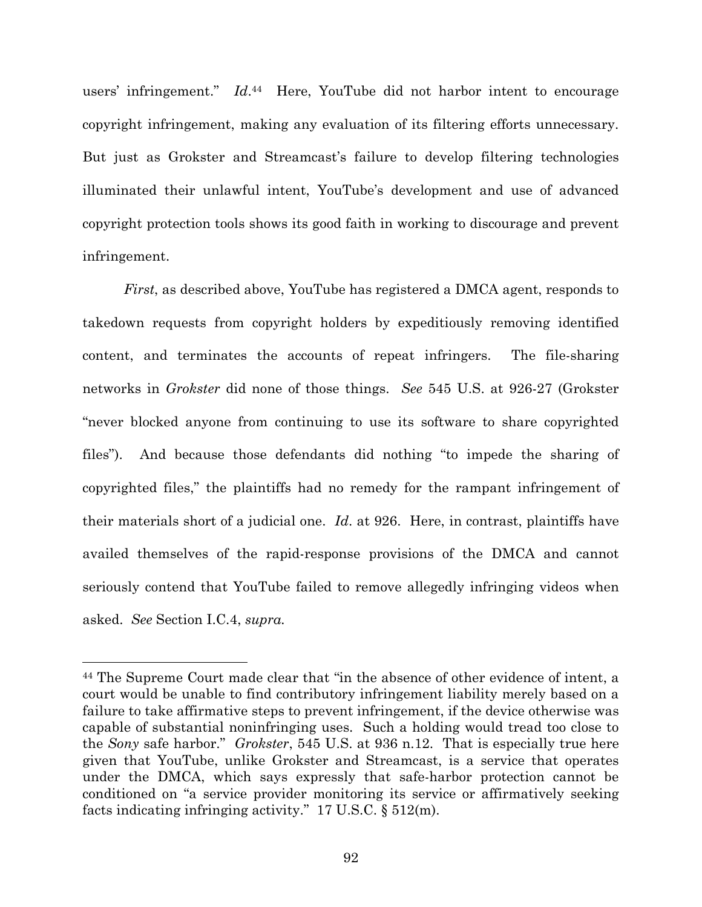users' infringement." *Id*. <sup>44</sup> Here, YouTube did not harbor intent to encourage copyright infringement, making any evaluation of its filtering efforts unnecessary. But just as Grokster and Streamcast's failure to develop filtering technologies illuminated their unlawful intent, YouTube's development and use of advanced copyright protection tools shows its good faith in working to discourage and prevent infringement.

*First*, as described above, YouTube has registered a DMCA agent, responds to takedown requests from copyright holders by expeditiously removing identified content, and terminates the accounts of repeat infringers. The file-sharing networks in *Grokster* did none of those things. *See* 545 U.S. at 926-27 (Grokster "never blocked anyone from continuing to use its software to share copyrighted files"). And because those defendants did nothing "to impede the sharing of copyrighted files," the plaintiffs had no remedy for the rampant infringement of their materials short of a judicial one. *Id*. at 926. Here, in contrast, plaintiffs have availed themselves of the rapid-response provisions of the DMCA and cannot seriously contend that YouTube failed to remove allegedly infringing videos when asked. *See* Section I.C.4, *supra.*

<sup>44</sup> The Supreme Court made clear that "in the absence of other evidence of intent, a court would be unable to find contributory infringement liability merely based on a failure to take affirmative steps to prevent infringement, if the device otherwise was capable of substantial noninfringing uses. Such a holding would tread too close to the *Sony* safe harbor." *Grokster*, 545 U.S. at 936 n.12. That is especially true here given that YouTube, unlike Grokster and Streamcast, is a service that operates under the DMCA, which says expressly that safe-harbor protection cannot be conditioned on "a service provider monitoring its service or affirmatively seeking facts indicating infringing activity." 17 U.S.C. § 512(m).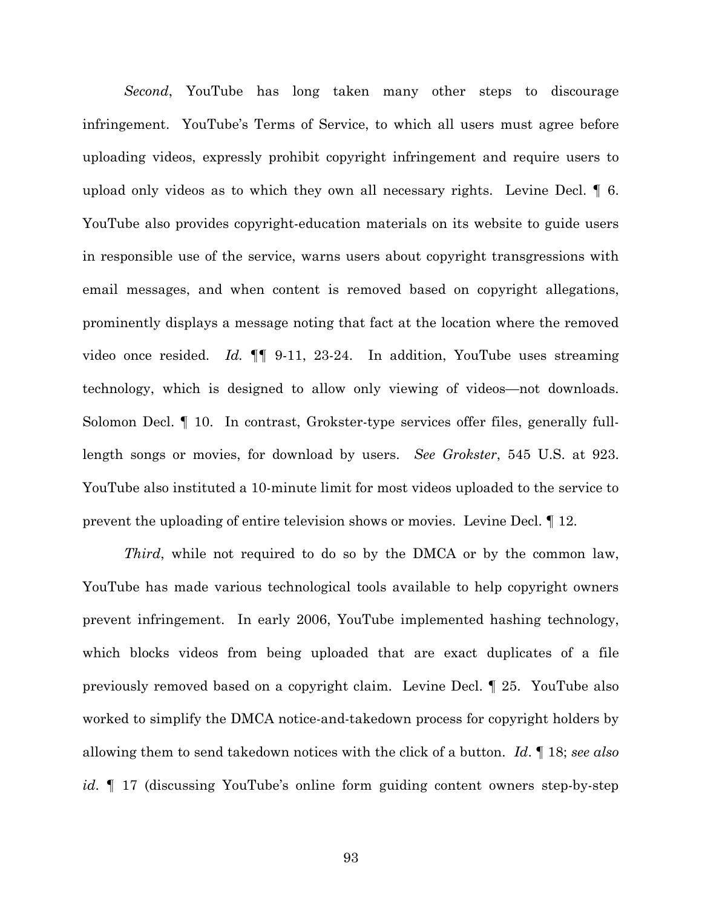*Second*, YouTube has long taken many other steps to discourage infringement. YouTube's Terms of Service, to which all users must agree before uploading videos, expressly prohibit copyright infringement and require users to upload only videos as to which they own all necessary rights. Levine Decl. ¶ 6. YouTube also provides copyright-education materials on its website to guide users in responsible use of the service, warns users about copyright transgressions with email messages, and when content is removed based on copyright allegations, prominently displays a message noting that fact at the location where the removed video once resided. *Id.* ¶¶ 9-11, 23-24. In addition, YouTube uses streaming technology, which is designed to allow only viewing of videos—not downloads. Solomon Decl. ¶ 10. In contrast, Grokster-type services offer files, generally fulllength songs or movies, for download by users. *See Grokster*, 545 U.S. at 923. YouTube also instituted a 10-minute limit for most videos uploaded to the service to prevent the uploading of entire television shows or movies. Levine Decl. ¶ 12.

*Third*, while not required to do so by the DMCA or by the common law, YouTube has made various technological tools available to help copyright owners prevent infringement. In early 2006, YouTube implemented hashing technology, which blocks videos from being uploaded that are exact duplicates of a file previously removed based on a copyright claim. Levine Decl. ¶ 25. YouTube also worked to simplify the DMCA notice-and-takedown process for copyright holders by allowing them to send takedown notices with the click of a button. *Id*. ¶ 18; *see also id*. ¶ 17 (discussing YouTube's online form guiding content owners step-by-step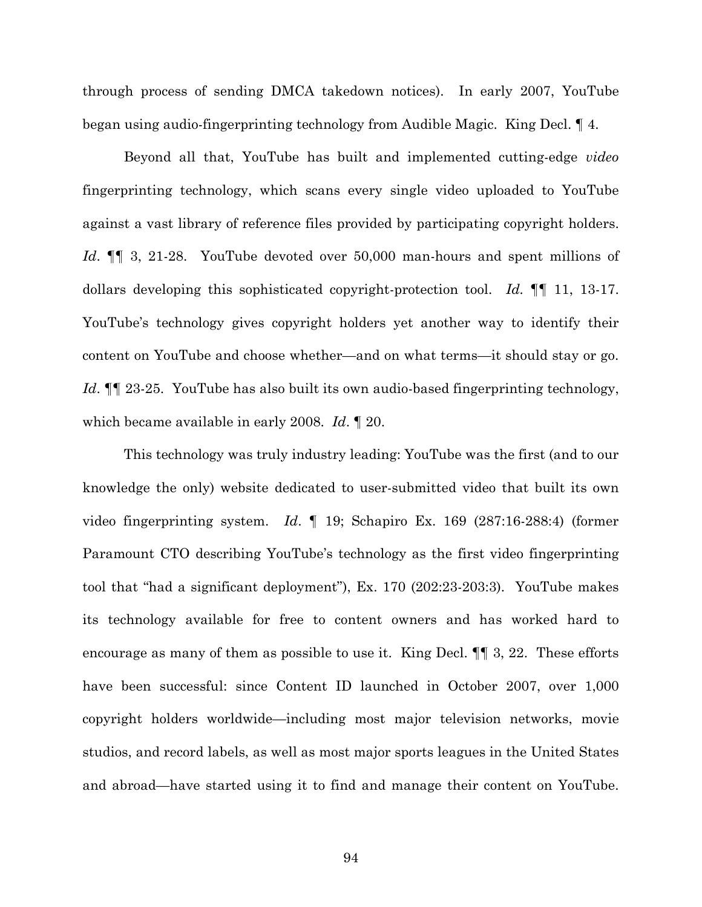through process of sending DMCA takedown notices). In early 2007, YouTube began using audio-fingerprinting technology from Audible Magic. King Decl. ¶ 4.

Beyond all that, YouTube has built and implemented cutting-edge *video* fingerprinting technology, which scans every single video uploaded to YouTube against a vast library of reference files provided by participating copyright holders. *Id*. ¶¶ 3, 21-28. YouTube devoted over 50,000 man-hours and spent millions of dollars developing this sophisticated copyright-protection tool. *Id.* ¶¶ 11, 13-17. YouTube's technology gives copyright holders yet another way to identify their content on YouTube and choose whether—and on what terms—it should stay or go. *Id*. ¶¶ 23-25. YouTube has also built its own audio-based fingerprinting technology, which became available in early 2008. *Id*. ¶ 20.

This technology was truly industry leading: YouTube was the first (and to our knowledge the only) website dedicated to user-submitted video that built its own video fingerprinting system. *Id*. ¶ 19; Schapiro Ex. 169 (287:16-288:4) (former Paramount CTO describing YouTube's technology as the first video fingerprinting tool that "had a significant deployment"), Ex. 170 (202:23-203:3). YouTube makes its technology available for free to content owners and has worked hard to encourage as many of them as possible to use it. King Decl. ¶¶ 3, 22. These efforts have been successful: since Content ID launched in October 2007, over 1,000 copyright holders worldwide—including most major television networks, movie studios, and record labels, as well as most major sports leagues in the United States and abroad—have started using it to find and manage their content on YouTube.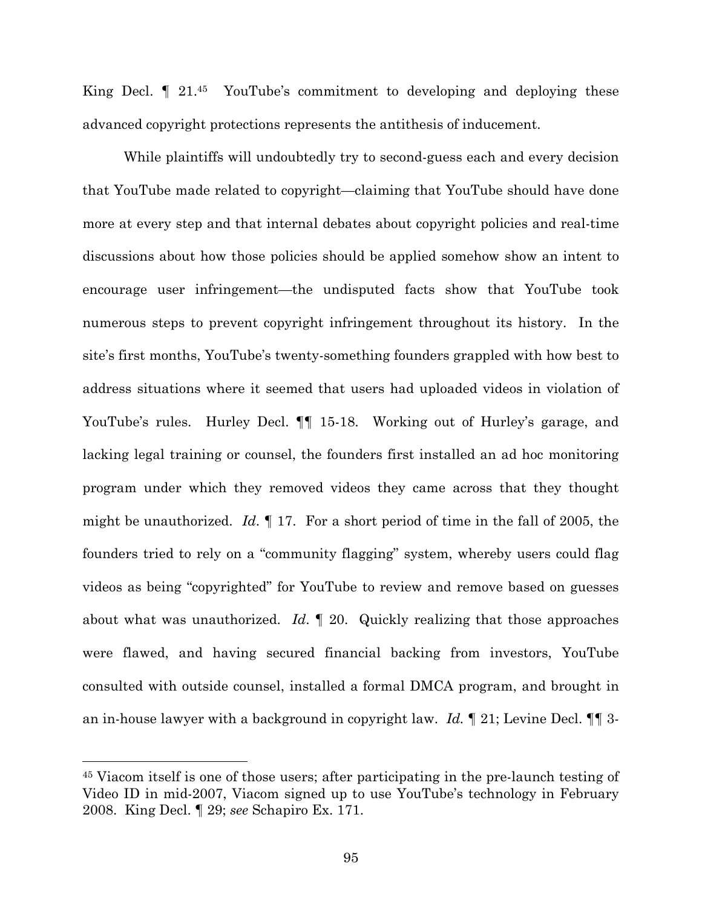King Decl. I 21.45 YouTube's commitment to developing and deploying these advanced copyright protections represents the antithesis of inducement.

While plaintiffs will undoubtedly try to second-guess each and every decision that YouTube made related to copyright—claiming that YouTube should have done more at every step and that internal debates about copyright policies and real-time discussions about how those policies should be applied somehow show an intent to encourage user infringement—the undisputed facts show that YouTube took numerous steps to prevent copyright infringement throughout its history. In the site's first months, YouTube's twenty-something founders grappled with how best to address situations where it seemed that users had uploaded videos in violation of YouTube's rules. Hurley Decl.  $\P\P$  15-18. Working out of Hurley's garage, and lacking legal training or counsel, the founders first installed an ad hoc monitoring program under which they removed videos they came across that they thought might be unauthorized. *Id*. ¶ 17. For a short period of time in the fall of 2005, the founders tried to rely on a "community flagging" system, whereby users could flag videos as being "copyrighted" for YouTube to review and remove based on guesses about what was unauthorized. *Id*. ¶ 20. Quickly realizing that those approaches were flawed, and having secured financial backing from investors, YouTube consulted with outside counsel, installed a formal DMCA program, and brought in an in-house lawyer with a background in copyright law. *Id.* ¶ 21; Levine Decl. ¶¶ 3-

<sup>45</sup> Viacom itself is one of those users; after participating in the pre-launch testing of Video ID in mid-2007, Viacom signed up to use YouTube's technology in February 2008. King Decl. ¶ 29; *see* Schapiro Ex. 171.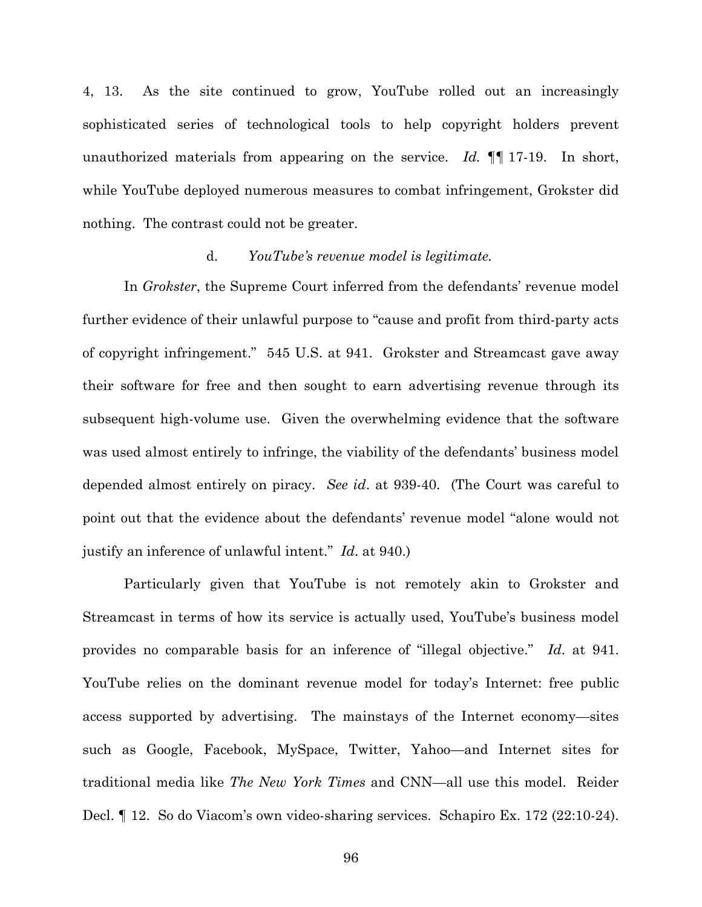4, 13. As the site continued to grow, YouTube rolled out an increasingly sophisticated series of technological tools to help copyright holders prevent unauthorized materials from appearing on the service. *Id.* ¶¶ 17-19. In short, while YouTube deployed numerous measures to combat infringement, Grokster did nothing. The contrast could not be greater.

### d. *YouTube's revenue model is legitimate.*

In *Grokster*, the Supreme Court inferred from the defendants' revenue model further evidence of their unlawful purpose to "cause and profit from third-party acts of copyright infringement." 545 U.S. at 941. Grokster and Streamcast gave away their software for free and then sought to earn advertising revenue through its subsequent high-volume use. Given the overwhelming evidence that the software was used almost entirely to infringe, the viability of the defendants' business model depended almost entirely on piracy. *See id*. at 939-40. (The Court was careful to point out that the evidence about the defendants' revenue model "alone would not justify an inference of unlawful intent." *Id*. at 940.)

Particularly given that YouTube is not remotely akin to Grokster and Streamcast in terms of how its service is actually used, YouTube's business model provides no comparable basis for an inference of "illegal objective." *Id*. at 941. YouTube relies on the dominant revenue model for today's Internet: free public access supported by advertising. The mainstays of the Internet economy—sites such as Google, Facebook, MySpace, Twitter, Yahoo—and Internet sites for traditional media like *The New York Times* and CNN—all use this model. Reider Decl. ¶ 12. So do Viacom's own video-sharing services. Schapiro Ex. 172 (22:10-24).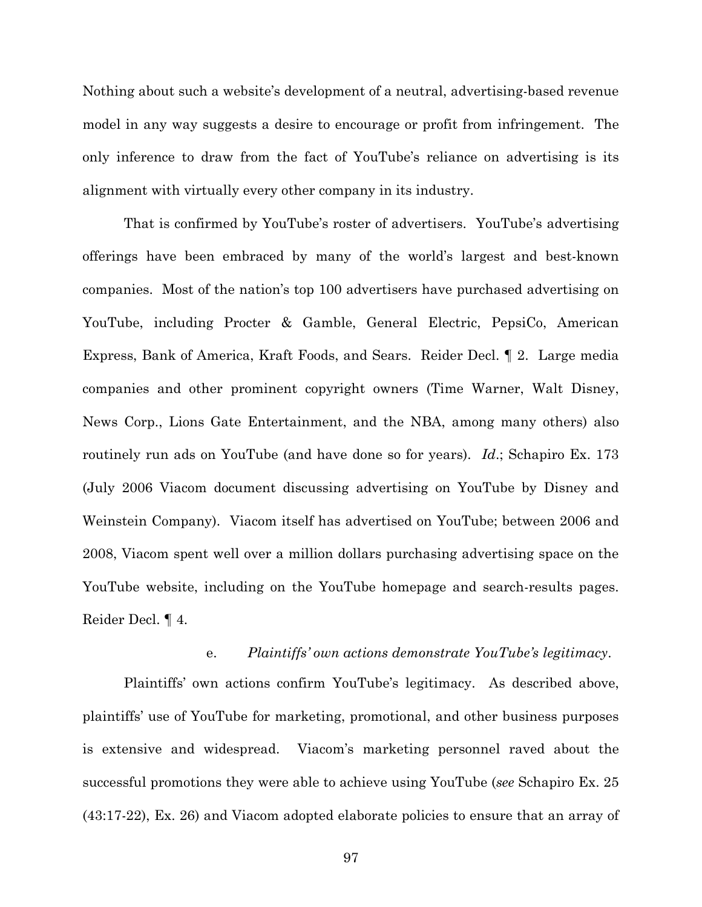Nothing about such a website's development of a neutral, advertising-based revenue model in any way suggests a desire to encourage or profit from infringement. The only inference to draw from the fact of YouTube's reliance on advertising is its alignment with virtually every other company in its industry.

That is confirmed by YouTube's roster of advertisers. YouTube's advertising offerings have been embraced by many of the world's largest and best-known companies. Most of the nation's top 100 advertisers have purchased advertising on YouTube, including Procter & Gamble, General Electric, PepsiCo, American Express, Bank of America, Kraft Foods, and Sears. Reider Decl. ¶ 2. Large media companies and other prominent copyright owners (Time Warner, Walt Disney, News Corp., Lions Gate Entertainment, and the NBA, among many others) also routinely run ads on YouTube (and have done so for years). *Id*.; Schapiro Ex. 173 (July 2006 Viacom document discussing advertising on YouTube by Disney and Weinstein Company). Viacom itself has advertised on YouTube; between 2006 and 2008, Viacom spent well over a million dollars purchasing advertising space on the YouTube website, including on the YouTube homepage and search-results pages. Reider Decl. ¶ 4.

## e. *Plaintiffs' own actions demonstrate YouTube's legitimacy*.

Plaintiffs' own actions confirm YouTube's legitimacy. As described above, plaintiffs' use of YouTube for marketing, promotional, and other business purposes is extensive and widespread. Viacom's marketing personnel raved about the successful promotions they were able to achieve using YouTube (*see* Schapiro Ex. 25 (43:17-22), Ex. 26) and Viacom adopted elaborate policies to ensure that an array of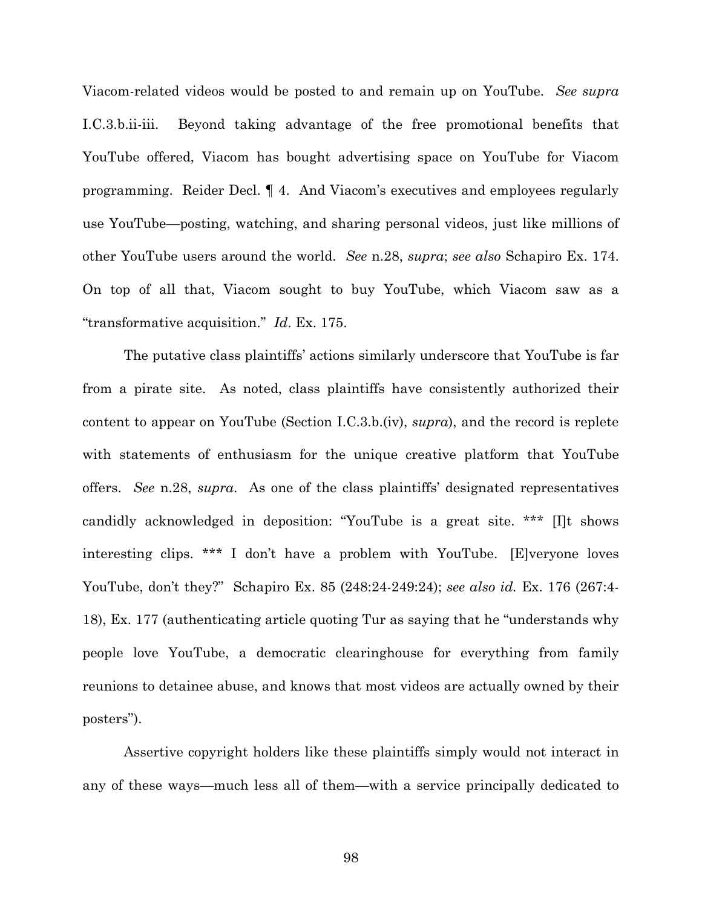Viacom-related videos would be posted to and remain up on YouTube. *See supra* I.C.3.b.ii-iii. Beyond taking advantage of the free promotional benefits that YouTube offered, Viacom has bought advertising space on YouTube for Viacom programming. Reider Decl. ¶ 4. And Viacom's executives and employees regularly use YouTube—posting, watching, and sharing personal videos, just like millions of other YouTube users around the world. *See* n.28, *supra*; *see also* Schapiro Ex. 174. On top of all that, Viacom sought to buy YouTube, which Viacom saw as a "transformative acquisition." *Id*. Ex. 175.

The putative class plaintiffs' actions similarly underscore that YouTube is far from a pirate site. As noted, class plaintiffs have consistently authorized their content to appear on YouTube (Section I.C.3.b.(iv), *supra*), and the record is replete with statements of enthusiasm for the unique creative platform that YouTube offers. *See* n.28, *supra*. As one of the class plaintiffs' designated representatives candidly acknowledged in deposition: "YouTube is a great site. \*\*\* [I]t shows interesting clips. \*\*\* I don't have a problem with YouTube. [E]veryone loves YouTube, don't they?" Schapiro Ex. 85 (248:24-249:24); *see also id.* Ex. 176 (267:4- 18), Ex. 177 (authenticating article quoting Tur as saying that he "understands why people love YouTube, a democratic clearinghouse for everything from family reunions to detainee abuse, and knows that most videos are actually owned by their posters").

Assertive copyright holders like these plaintiffs simply would not interact in any of these ways—much less all of them—with a service principally dedicated to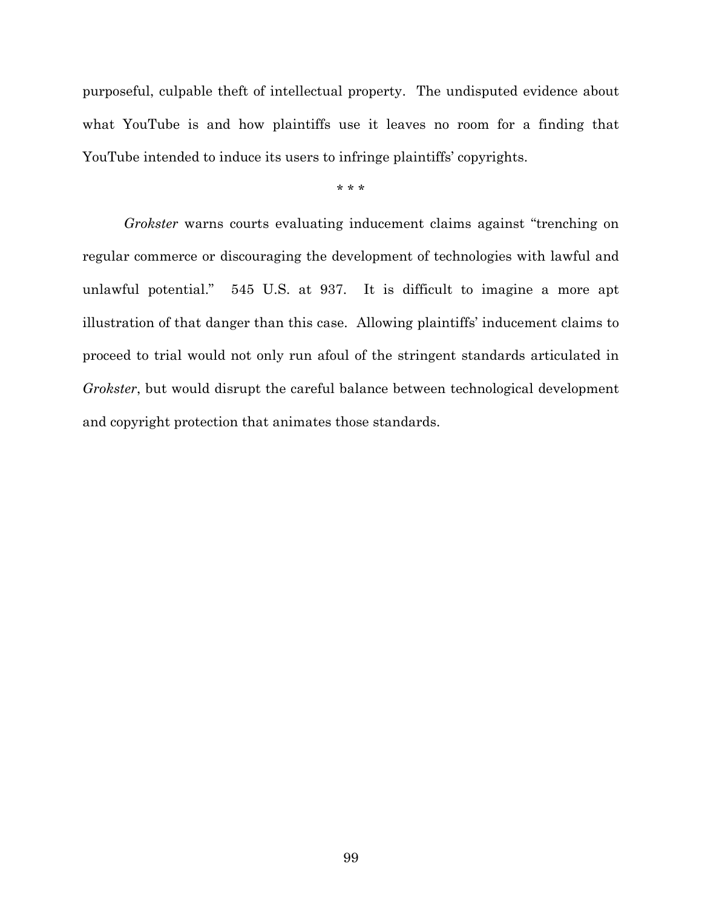purposeful, culpable theft of intellectual property. The undisputed evidence about what YouTube is and how plaintiffs use it leaves no room for a finding that YouTube intended to induce its users to infringe plaintiffs' copyrights.

\* \* \*

*Grokster* warns courts evaluating inducement claims against "trenching on regular commerce or discouraging the development of technologies with lawful and unlawful potential." 545 U.S. at 937. It is difficult to imagine a more apt illustration of that danger than this case. Allowing plaintiffs' inducement claims to proceed to trial would not only run afoul of the stringent standards articulated in *Grokster*, but would disrupt the careful balance between technological development and copyright protection that animates those standards.